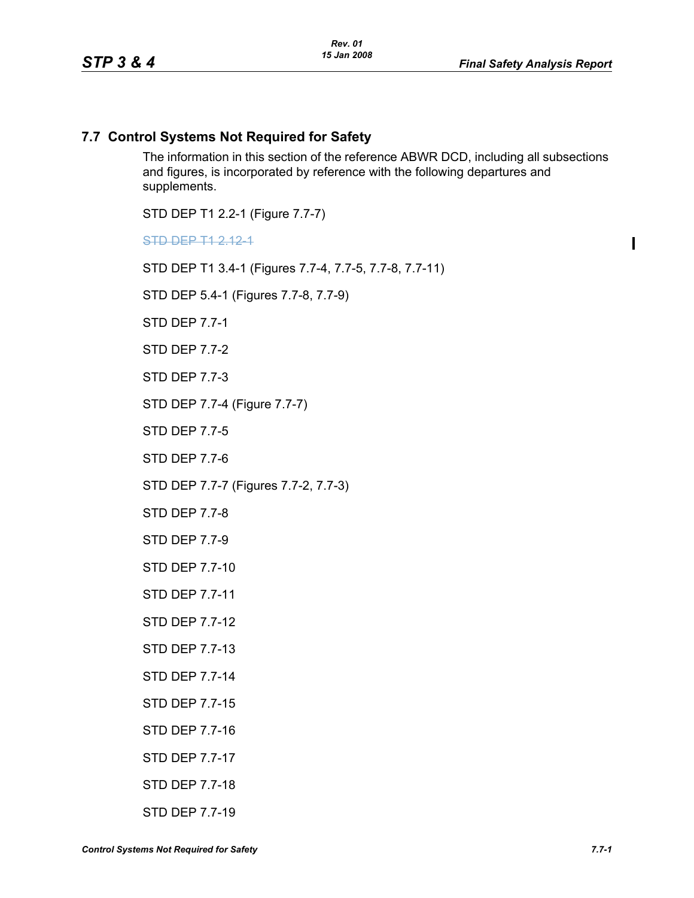$\blacksquare$ 

## **7.7 Control Systems Not Required for Safety**

The information in this section of the reference ABWR DCD, including all subsections and figures, is incorporated by reference with the following departures and supplements.

STD DEP T1 2.2-1 (Figure 7.7-7)

STD DEP T1 2.12-1

STD DEP T1 3.4-1 (Figures 7.7-4, 7.7-5, 7.7-8, 7.7-11)

STD DEP 5.4-1 (Figures 7.7-8, 7.7-9)

STD DEP 7.7-1

STD DEP 7.7-2

STD DEP 7.7-3

STD DEP 7.7-4 (Figure 7.7-7)

STD DEP 7.7-5

STD DFP 77-6

STD DEP 7.7-7 (Figures 7.7-2, 7.7-3)

STD DEP 7.7-8

STD DEP 7.7-9

STD DEP 7.7-10

STD DEP 7.7-11

STD DEP 7.7-12

STD DEP 7.7-13

STD DEP 7.7-14

STD DEP 7.7-15

STD DEP 7.7-16

STD DEP 7.7-17

STD DEP 7.7-18

STD DEP 7.7-19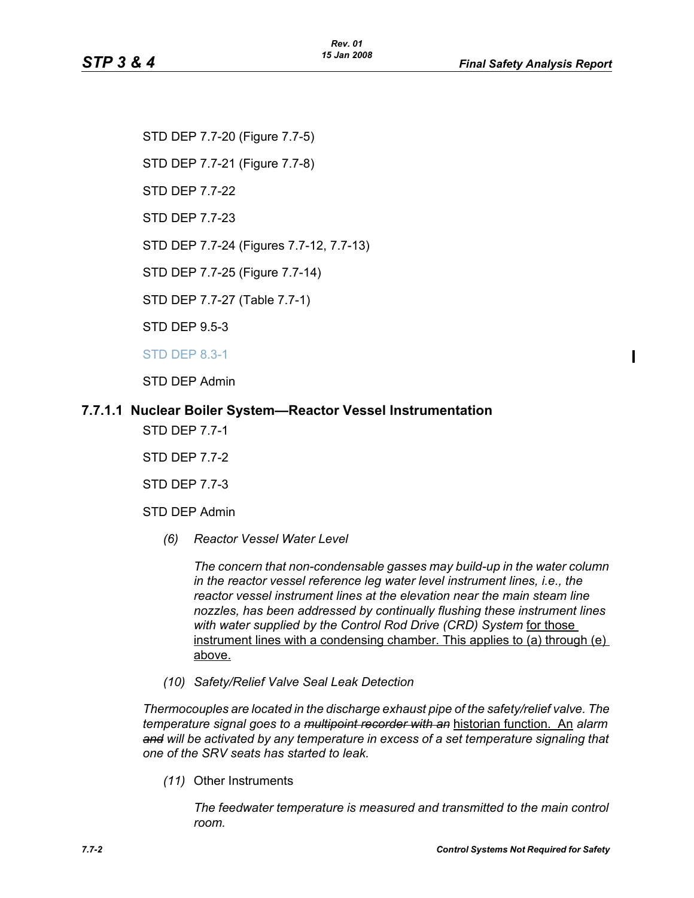STD DEP 7.7-20 (Figure 7.7-5) STD DEP 7.7-21 (Figure 7.7-8)

STD DEP 7.7-22

STD DEP 7.7-23

STD DEP 7.7-24 (Figures 7.7-12, 7.7-13)

STD DEP 7.7-25 (Figure 7.7-14)

STD DEP 7.7-27 (Table 7.7-1)

STD DEP 9.5-3

STD DEP 8.3-1

STD DEP Admin

## **7.7.1.1 Nuclear Boiler System—Reactor Vessel Instrumentation**

STD DEP 7.7-1

STD DEP 7.7-2

STD DEP 7.7-3

- STD DEP Admin
	- *(6) Reactor Vessel Water Level*

*The concern that non-condensable gasses may build-up in the water column in the reactor vessel reference leg water level instrument lines, i.e., the reactor vessel instrument lines at the elevation near the main steam line nozzles, has been addressed by continually flushing these instrument lines*  with water supplied by the Control Rod Drive (CRD) System for those instrument lines with a condensing chamber. This applies to (a) through (e) above.

*(10) Safety/Relief Valve Seal Leak Detection*

*Thermocouples are located in the discharge exhaust pipe of the safety/relief valve. The temperature signal goes to a multipoint recorder with an* historian function. An *alarm and will be activated by any temperature in excess of a set temperature signaling that one of the SRV seats has started to leak.*

*(11)* Other Instruments

*The feedwater temperature is measured and transmitted to the main control room.*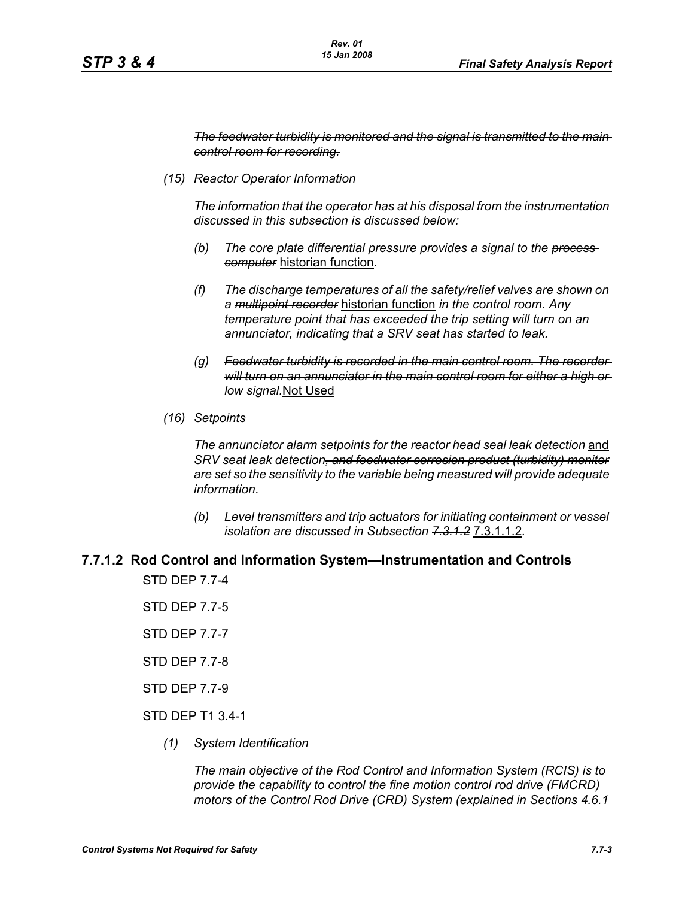*The feedwater turbidity is monitored and the signal is transmitted to the main control room for recording.*

*(15) Reactor Operator Information*

*The information that the operator has at his disposal from the instrumentation discussed in this subsection is discussed below:*

- *(b) The core plate differential pressure provides a signal to the process computer* historian function*.*
- *(f) The discharge temperatures of all the safety/relief valves are shown on a multipoint recorder* historian function *in the control room. Any temperature point that has exceeded the trip setting will turn on an annunciator, indicating that a SRV seat has started to leak.*
- *(g) Feedwater turbidity is recorded in the main control room. The recorder will turn on an annunciator in the main control room for either a high or low signal.*Not Used
- *(16) Setpoints*

*The annunciator alarm setpoints for the reactor head seal leak detection* and *SRV seat leak detection, and feedwater corrosion product (turbidity) monitor are set so the sensitivity to the variable being measured will provide adequate information.*

*(b) Level transmitters and trip actuators for initiating containment or vessel isolation are discussed in Subsection 7.3.1.2* 7.3.1.1.2*.*

### **7.7.1.2 Rod Control and Information System—Instrumentation and Controls**

STD DEP 7.7-4

STD DEP 7.7-5

STD DEP 7.7-7

STD DEP 7.7-8

STD DEP 7.7-9

- STD DEP T1 3.4-1
	- *(1) System Identification*

*The main objective of the Rod Control and Information System (RCIS) is to provide the capability to control the fine motion control rod drive (FMCRD) motors of the Control Rod Drive (CRD) System (explained in Sections 4.6.1*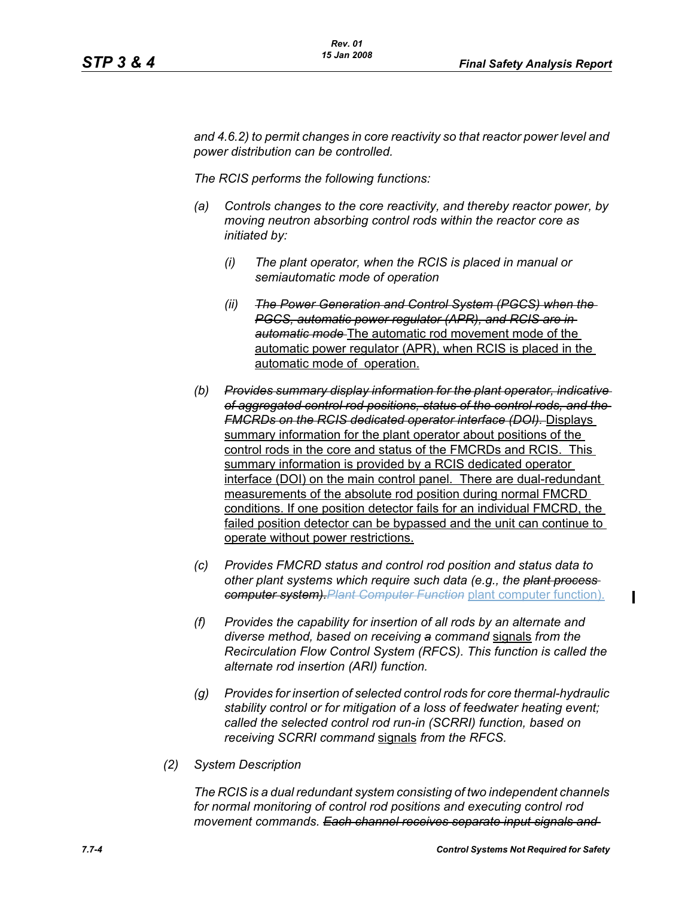*and 4.6.2) to permit changes in core reactivity so that reactor power level and power distribution can be controlled.* 

*The RCIS performs the following functions:*

- *(a) Controls changes to the core reactivity, and thereby reactor power, by moving neutron absorbing control rods within the reactor core as initiated by:*
	- *(i) The plant operator, when the RCIS is placed in manual or semiautomatic mode of operation*
	- *(ii) The Power Generation and Control System (PGCS) when the PGCS, automatic power regulator (APR), and RCIS are in automatic mode* The automatic rod movement mode of the automatic power regulator (APR), when RCIS is placed in the automatic mode of operation.
- *(b) Provides summary display information for the plant operator, indicative of aggregated control rod positions, status of the control rods, and the FMCRDs on the RCIS dedicated operator interface (DOI).* Displays summary information for the plant operator about positions of the control rods in the core and status of the FMCRDs and RCIS. This summary information is provided by a RCIS dedicated operator interface (DOI) on the main control panel. There are dual-redundant measurements of the absolute rod position during normal FMCRD conditions. If one position detector fails for an individual FMCRD, the failed position detector can be bypassed and the unit can continue to operate without power restrictions.
- *(c) Provides FMCRD status and control rod position and status data to other plant systems which require such data (e.g., the plant process computer system).Plant Computer Function* plant computer function).
- *(f) Provides the capability for insertion of all rods by an alternate and diverse method, based on receiving a command* signals *from the Recirculation Flow Control System (RFCS). This function is called the alternate rod insertion (ARI) function.*
- *(g) Provides for insertion of selected control rods for core thermal-hydraulic stability control or for mitigation of a loss of feedwater heating event; called the selected control rod run-in (SCRRI) function, based on receiving SCRRI command* signals *from the RFCS.*
- *(2) System Description*

*The RCIS is a dual redundant system consisting of two independent channels for normal monitoring of control rod positions and executing control rod movement commands. Each channel receives separate input signals and* 

 $\mathbf I$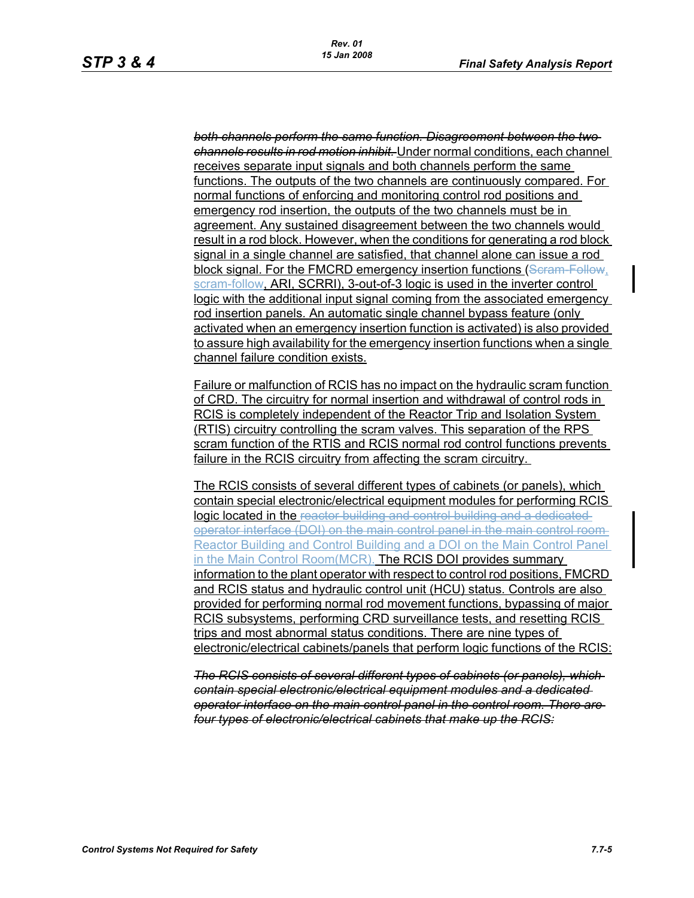*both channels perform the same function. Disagreement between the two channels results in rod motion inhibit.* Under normal conditions, each channel receives separate input signals and both channels perform the same functions. The outputs of the two channels are continuously compared. For normal functions of enforcing and monitoring control rod positions and emergency rod insertion, the outputs of the two channels must be in agreement. Any sustained disagreement between the two channels would result in a rod block. However, when the conditions for generating a rod block signal in a single channel are satisfied, that channel alone can issue a rod block signal. For the FMCRD emergency insertion functions (Seram-Follow, scram-follow, ARI, SCRRI), 3-out-of-3 logic is used in the inverter control logic with the additional input signal coming from the associated emergency rod insertion panels. An automatic single channel bypass feature (only activated when an emergency insertion function is activated) is also provided to assure high availability for the emergency insertion functions when a single channel failure condition exists.

Failure or malfunction of RCIS has no impact on the hydraulic scram function of CRD. The circuitry for normal insertion and withdrawal of control rods in RCIS is completely independent of the Reactor Trip and Isolation System (RTIS) circuitry controlling the scram valves. This separation of the RPS scram function of the RTIS and RCIS normal rod control functions prevents failure in the RCIS circuitry from affecting the scram circuitry.

The RCIS consists of several different types of cabinets (or panels), which contain special electronic/electrical equipment modules for performing RCIS logic located in the reactor building and control building and a dedicated operator interface (DOI) on the main control panel in the main control room Reactor Building and Control Building and a DOI on the Main Control Panel in the Main Control Room(MCR). The RCIS DOI provides summary information to the plant operator with respect to control rod positions, FMCRD and RCIS status and hydraulic control unit (HCU) status. Controls are also provided for performing normal rod movement functions, bypassing of major RCIS subsystems, performing CRD surveillance tests, and resetting RCIS trips and most abnormal status conditions. There are nine types of electronic/electrical cabinets/panels that perform logic functions of the RCIS:

*The RCIS consists of several different types of cabinets (or panels), which contain special electronic/electrical equipment modules and a dedicated operator interface on the main control panel in the control room. There are four types of electronic/electrical cabinets that make up the RCIS:*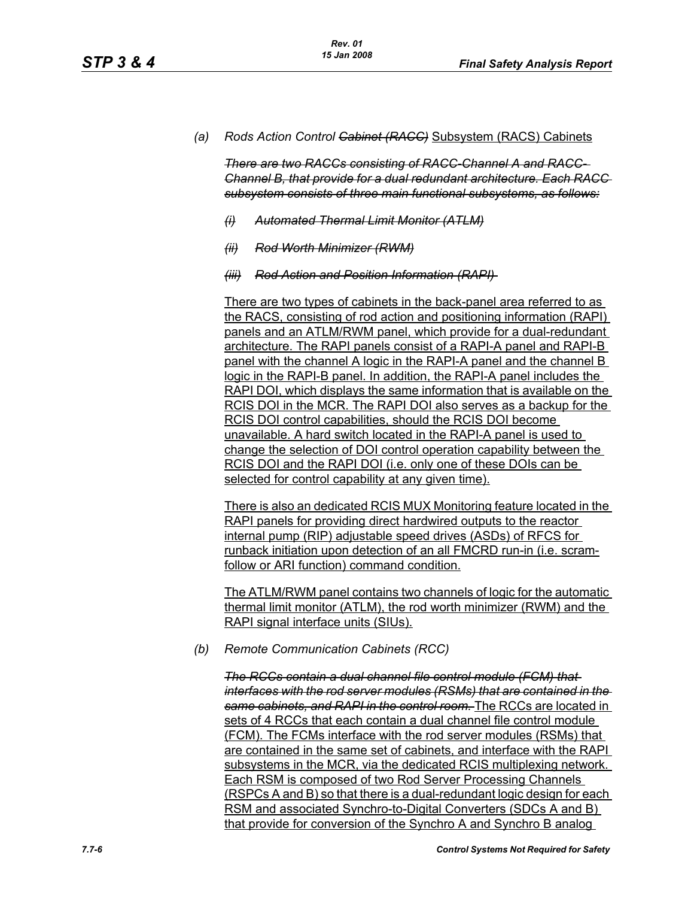*(a) Rods Action Control Cabinet (RACC)* Subsystem (RACS) Cabinets

*There are two RACCs consisting of RACC-Channel A and RACC-Channel B, that provide for a dual redundant architecture. Each RACC subsystem consists of three main functional subsystems, as follows:*

- *(i) Automated Thermal Limit Monitor (ATLM)*
- *(ii) Rod Worth Minimizer (RWM)*
- *(iii) Rod Action and Position Information (RAPI)*

There are two types of cabinets in the back-panel area referred to as the RACS, consisting of rod action and positioning information (RAPI) panels and an ATLM/RWM panel, which provide for a dual-redundant architecture. The RAPI panels consist of a RAPI-A panel and RAPI-B panel with the channel A logic in the RAPI-A panel and the channel B logic in the RAPI-B panel. In addition, the RAPI-A panel includes the RAPI DOI, which displays the same information that is available on the RCIS DOI in the MCR. The RAPI DOI also serves as a backup for the RCIS DOI control capabilities, should the RCIS DOI become unavailable. A hard switch located in the RAPI-A panel is used to change the selection of DOI control operation capability between the RCIS DOI and the RAPI DOI (i.e. only one of these DOIs can be selected for control capability at any given time).

There is also an dedicated RCIS MUX Monitoring feature located in the RAPI panels for providing direct hardwired outputs to the reactor internal pump (RIP) adjustable speed drives (ASDs) of RFCS for runback initiation upon detection of an all FMCRD run-in (i.e. scramfollow or ARI function) command condition.

The ATLM/RWM panel contains two channels of logic for the automatic thermal limit monitor (ATLM), the rod worth minimizer (RWM) and the RAPI signal interface units (SIUs).

*(b) Remote Communication Cabinets (RCC)*

*The RCCs contain a dual channel file control module (FCM) that interfaces with the rod server modules (RSMs) that are contained in the same cabinets, and RAPI in the control room.* The RCCs are located in sets of 4 RCCs that each contain a dual channel file control module (FCM). The FCMs interface with the rod server modules (RSMs) that are contained in the same set of cabinets, and interface with the RAPI subsystems in the MCR, via the dedicated RCIS multiplexing network. Each RSM is composed of two Rod Server Processing Channels (RSPCs A and B) so that there is a dual-redundant logic design for each RSM and associated Synchro-to-Digital Converters (SDCs A and B) that provide for conversion of the Synchro A and Synchro B analog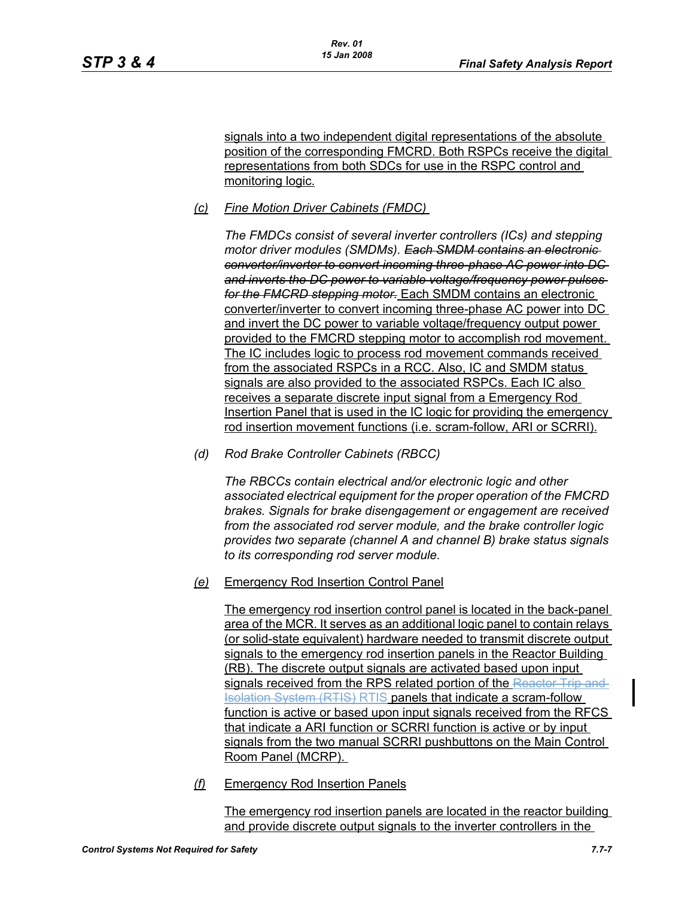signals into a two independent digital representations of the absolute position of the corresponding FMCRD. Both RSPCs receive the digital representations from both SDCs for use in the RSPC control and monitoring logic.

## *(c) Fine Motion Driver Cabinets (FMDC)*

*The FMDCs consist of several inverter controllers (ICs) and stepping motor driver modules (SMDMs). Each SMDM contains an electronic converter/inverter to convert incoming three-phase AC power into DC and inverts the DC power to variable voltage/frequency power pulses for the FMCRD stepping motor.* Each SMDM contains an electronic converter/inverter to convert incoming three-phase AC power into DC and invert the DC power to variable voltage/frequency output power provided to the FMCRD stepping motor to accomplish rod movement. The IC includes logic to process rod movement commands received from the associated RSPCs in a RCC. Also, IC and SMDM status signals are also provided to the associated RSPCs. Each IC also receives a separate discrete input signal from a Emergency Rod Insertion Panel that is used in the IC logic for providing the emergency rod insertion movement functions (i.e. scram-follow, ARI or SCRRI).

*(d) Rod Brake Controller Cabinets (RBCC)*

*The RBCCs contain electrical and/or electronic logic and other associated electrical equipment for the proper operation of the FMCRD brakes. Signals for brake disengagement or engagement are received from the associated rod server module, and the brake controller logic provides two separate (channel A and channel B) brake status signals to its corresponding rod server module.*

*(e)* Emergency Rod Insertion Control Panel

The emergency rod insertion control panel is located in the back-panel area of the MCR. It serves as an additional logic panel to contain relays (or solid-state equivalent) hardware needed to transmit discrete output signals to the emergency rod insertion panels in the Reactor Building (RB). The discrete output signals are activated based upon input signals received from the RPS related portion of the Reactor Trip and Isolation System (RTIS) RTIS panels that indicate a scram-follow function is active or based upon input signals received from the RFCS that indicate a ARI function or SCRRI function is active or by input signals from the two manual SCRRI pushbuttons on the Main Control Room Panel (MCRP).

*(f)* Emergency Rod Insertion Panels

The emergency rod insertion panels are located in the reactor building and provide discrete output signals to the inverter controllers in the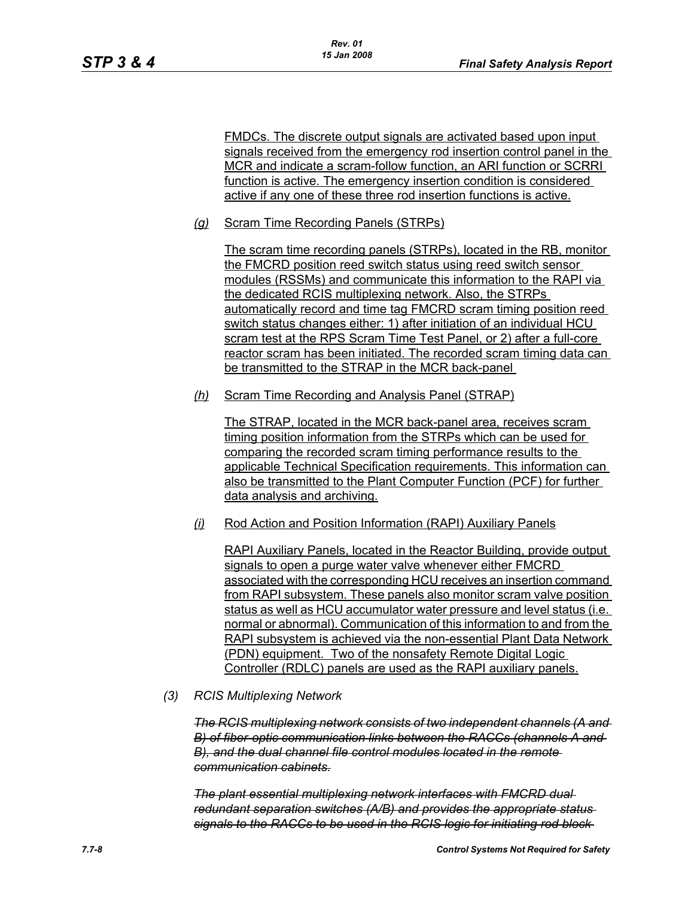FMDCs. The discrete output signals are activated based upon input signals received from the emergency rod insertion control panel in the MCR and indicate a scram-follow function, an ARI function or SCRRI function is active. The emergency insertion condition is considered active if any one of these three rod insertion functions is active.

*(g)* Scram Time Recording Panels (STRPs)

The scram time recording panels (STRPs), located in the RB, monitor the FMCRD position reed switch status using reed switch sensor modules (RSSMs) and communicate this information to the RAPI via the dedicated RCIS multiplexing network. Also, the STRPs automatically record and time tag FMCRD scram timing position reed switch status changes either: 1) after initiation of an individual HCU scram test at the RPS Scram Time Test Panel, or 2) after a full-core reactor scram has been initiated. The recorded scram timing data can be transmitted to the STRAP in the MCR back-panel

*(h)* Scram Time Recording and Analysis Panel (STRAP)

The STRAP. located in the MCR back-panel area, receives scram timing position information from the STRPs which can be used for comparing the recorded scram timing performance results to the applicable Technical Specification requirements. This information can also be transmitted to the Plant Computer Function (PCF) for further data analysis and archiving.

*(i)* Rod Action and Position Information (RAPI) Auxiliary Panels

RAPI Auxiliary Panels, located in the Reactor Building, provide output signals to open a purge water valve whenever either FMCRD associated with the corresponding HCU receives an insertion command from RAPI subsystem. These panels also monitor scram valve position status as well as HCU accumulator water pressure and level status (i.e. normal or abnormal). Communication of this information to and from the RAPI subsystem is achieved via the non-essential Plant Data Network (PDN) equipment. Two of the nonsafety Remote Digital Logic Controller (RDLC) panels are used as the RAPI auxiliary panels.

*(3) RCIS Multiplexing Network*

*The RCIS multiplexing network consists of two independent channels (A and B) of fiber-optic communication links between the RACCs (channels A and B), and the dual channel file control modules located in the remote communication cabinets.*

*The plant essential multiplexing network interfaces with FMCRD dual redundant separation switches (A/B) and provides the appropriate status signals to the RACCs to be used in the RCIS logic for initiating rod block*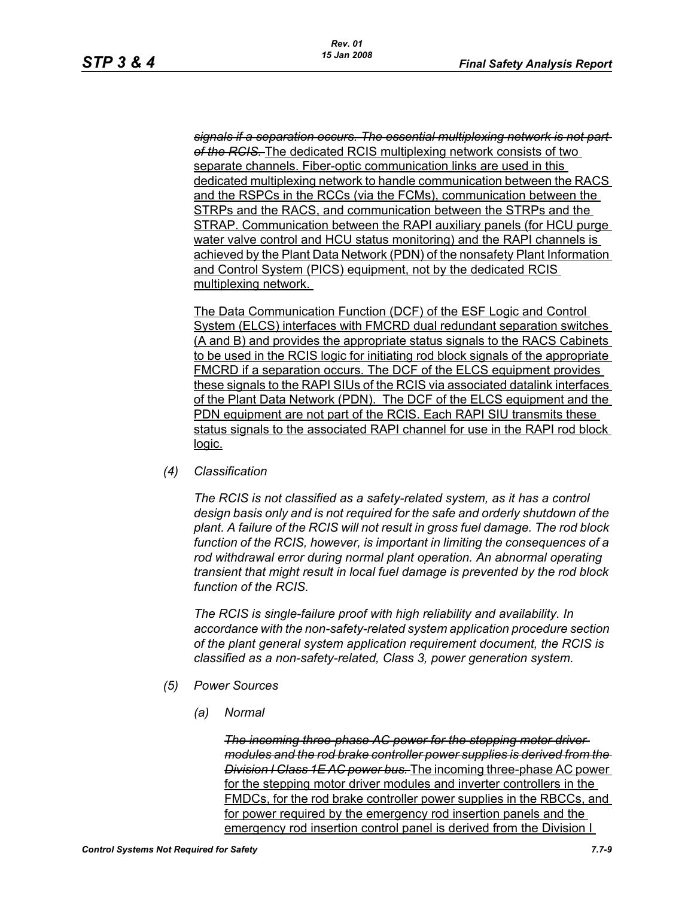*signals if a separation occurs. The essential multiplexing network is not part of the RCIS.* The dedicated RCIS multiplexing network consists of two separate channels. Fiber-optic communication links are used in this dedicated multiplexing network to handle communication between the RACS and the RSPCs in the RCCs (via the FCMs), communication between the STRPs and the RACS, and communication between the STRPs and the STRAP. Communication between the RAPI auxiliary panels (for HCU purge water valve control and HCU status monitoring) and the RAPI channels is achieved by the Plant Data Network (PDN) of the nonsafety Plant Information and Control System (PICS) equipment, not by the dedicated RCIS multiplexing network.

The Data Communication Function (DCF) of the ESF Logic and Control System (ELCS) interfaces with FMCRD dual redundant separation switches (A and B) and provides the appropriate status signals to the RACS Cabinets to be used in the RCIS logic for initiating rod block signals of the appropriate FMCRD if a separation occurs. The DCF of the ELCS equipment provides these signals to the RAPI SIUs of the RCIS via associated datalink interfaces of the Plant Data Network (PDN). The DCF of the ELCS equipment and the PDN equipment are not part of the RCIS. Each RAPI SIU transmits these status signals to the associated RAPI channel for use in the RAPI rod block logic.

*(4) Classification*

*The RCIS is not classified as a safety-related system, as it has a control design basis only and is not required for the safe and orderly shutdown of the plant. A failure of the RCIS will not result in gross fuel damage. The rod block function of the RCIS, however, is important in limiting the consequences of a rod withdrawal error during normal plant operation. An abnormal operating transient that might result in local fuel damage is prevented by the rod block function of the RCIS.*

*The RCIS is single-failure proof with high reliability and availability. In accordance with the non-safety-related system application procedure section of the plant general system application requirement document, the RCIS is classified as a non-safety-related, Class 3, power generation system.*

- *(5) Power Sources*
	- *(a) Normal*

*The incoming three-phase AC power for the stepping motor driver modules and the rod brake controller power supplies is derived from the Division I Class 1E AC power bus.* The incoming three-phase AC power for the stepping motor driver modules and inverter controllers in the FMDCs, for the rod brake controller power supplies in the RBCCs, and for power required by the emergency rod insertion panels and the emergency rod insertion control panel is derived from the Division I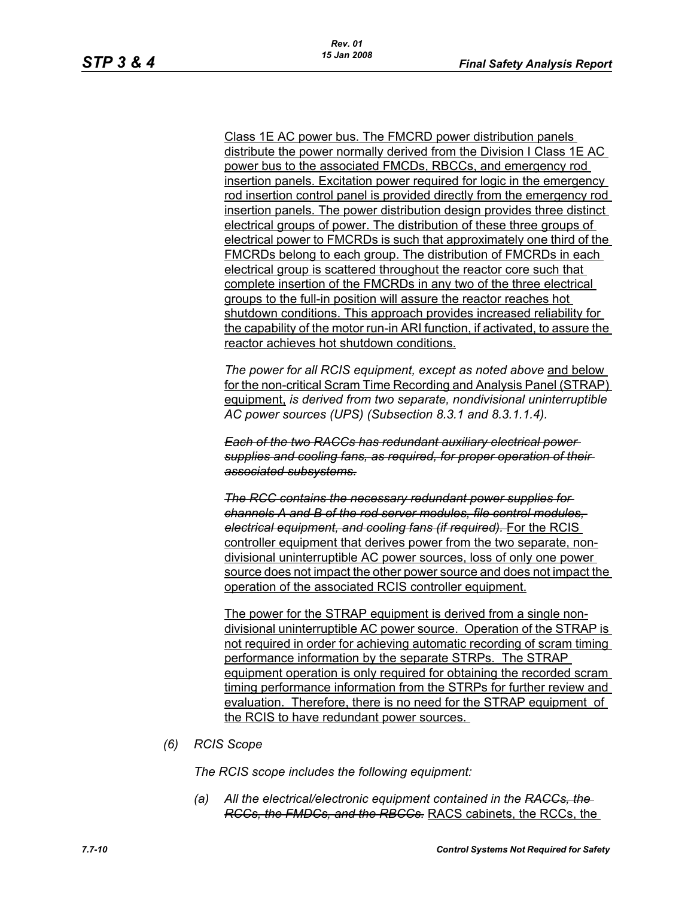Class 1E AC power bus. The FMCRD power distribution panels distribute the power normally derived from the Division I Class 1E AC power bus to the associated FMCDs, RBCCs, and emergency rod insertion panels. Excitation power required for logic in the emergency rod insertion control panel is provided directly from the emergency rod insertion panels. The power distribution design provides three distinct electrical groups of power. The distribution of these three groups of electrical power to FMCRDs is such that approximately one third of the FMCRDs belong to each group. The distribution of FMCRDs in each electrical group is scattered throughout the reactor core such that complete insertion of the FMCRDs in any two of the three electrical groups to the full-in position will assure the reactor reaches hot shutdown conditions. This approach provides increased reliability for the capability of the motor run-in ARI function, if activated, to assure the reactor achieves hot shutdown conditions.

*The power for all RCIS equipment, except as noted above* and below for the non-critical Scram Time Recording and Analysis Panel (STRAP) equipment, *is derived from two separate, nondivisional uninterruptible AC power sources (UPS) (Subsection 8.3.1 and 8.3.1.1.4).*

*Each of the two RACCs has redundant auxiliary electrical power supplies and cooling fans, as required, for proper operation of their associated subsystems.*

*The RCC contains the necessary redundant power supplies for channels A and B of the rod server modules, file control modules, electrical equipment, and cooling fans (if required).* For the RCIS controller equipment that derives power from the two separate, nondivisional uninterruptible AC power sources, loss of only one power source does not impact the other power source and does not impact the operation of the associated RCIS controller equipment.

The power for the STRAP equipment is derived from a single nondivisional uninterruptible AC power source. Operation of the STRAP is not required in order for achieving automatic recording of scram timing performance information by the separate STRPs. The STRAP equipment operation is only required for obtaining the recorded scram timing performance information from the STRPs for further review and evaluation. Therefore, there is no need for the STRAP equipment of the RCIS to have redundant power sources.

*(6) RCIS Scope*

*The RCIS scope includes the following equipment:*

*(a) All the electrical/electronic equipment contained in the RACCs, the RCCs, the FMDCs, and the RBCCs.* RACS cabinets, the RCCs, the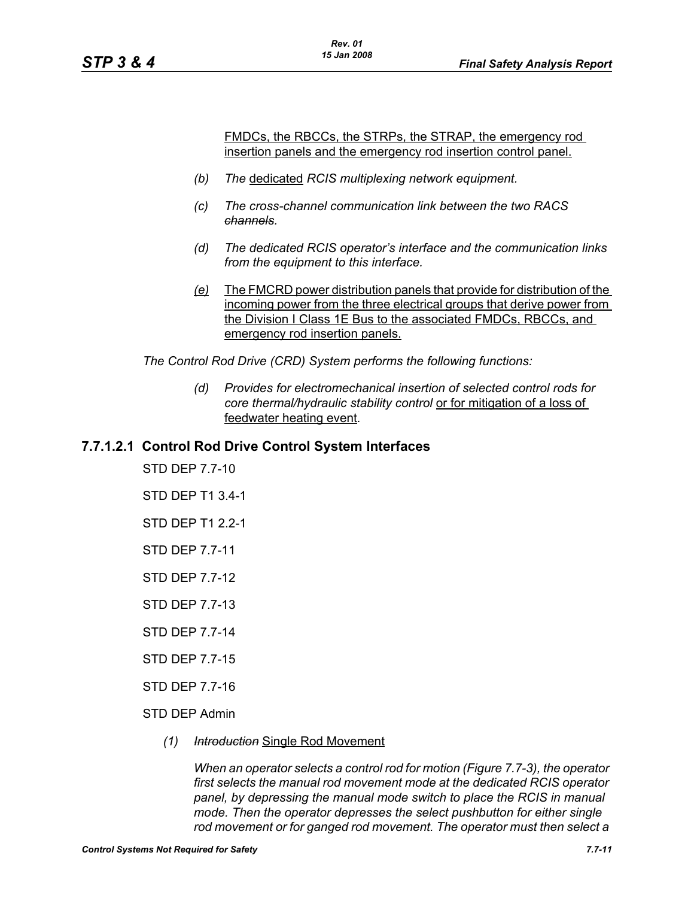FMDCs, the RBCCs, the STRPs, the STRAP, the emergency rod insertion panels and the emergency rod insertion control panel.

- *(b) The* dedicated *RCIS multiplexing network equipment.*
- *(c) The cross-channel communication link between the two RACS channels.*
- *(d) The dedicated RCIS operator's interface and the communication links from the equipment to this interface.*
- *(e)* The FMCRD power distribution panels that provide for distribution of the incoming power from the three electrical groups that derive power from the Division I Class 1E Bus to the associated FMDCs, RBCCs, and emergency rod insertion panels.

*The Control Rod Drive (CRD) System performs the following functions:*

*(d) Provides for electromechanical insertion of selected control rods for core thermal/hydraulic stability control* or for mitigation of a loss of feedwater heating event*.*

# **7.7.1.2.1 Control Rod Drive Control System Interfaces**

STD DEP 7.7-10 STD DEP T1 3.4-1 STD DEP T1 2.2-1 STD DEP 7.7-11 STD DEP 7.7-12

STD DEP 7.7-13

STD DEP 7.7-14

STD DEP 7.7-15

STD DEP 7.7-16

STD DEP Admin

*(1) Introduction* Single Rod Movement

*When an operator selects a control rod for motion (Figure 7.7-3), the operator first selects the manual rod movement mode at the dedicated RCIS operator panel, by depressing the manual mode switch to place the RCIS in manual mode. Then the operator depresses the select pushbutton for either single rod movement or for ganged rod movement. The operator must then select a*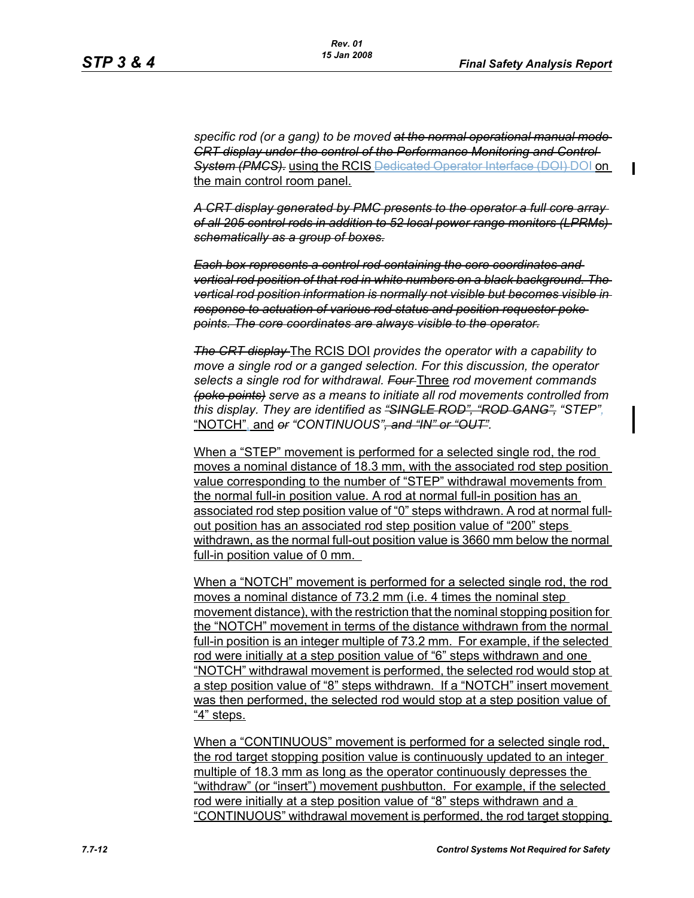$\mathbf I$ 

*specific rod (or a gang) to be moved at the normal operational manual mode CRT display under the control of the Performance Monitoring and Control System (PMCS).* using the RCIS Dedicated Operator Interface (DOI) DOI on the main control room panel.

*A CRT display generated by PMC presents to the operator a full core array of all 205 control rods in addition to 52 local power range monitors (LPRMs) schematically as a group of boxes.*

*Each box represents a control rod containing the core coordinates and vertical rod position of that rod in white numbers on a black background. The vertical rod position information is normally not visible but becomes visible in response to actuation of various rod status and position requestor poke points. The core coordinates are always visible to the operator.*

*The CRT display* The RCIS DOI *provides the operator with a capability to move a single rod or a ganged selection. For this discussion, the operator selects a single rod for withdrawal. Four* Three *rod movement commands (poke points) serve as a means to initiate all rod movements controlled from this display. They are identified as "SINGLE ROD", "ROD GANG", "STEP",* "NOTCH", and *or "CONTINUOUS", and "IN" or "OUT".*

When a "STEP" movement is performed for a selected single rod, the rod moves a nominal distance of 18.3 mm, with the associated rod step position value corresponding to the number of "STEP" withdrawal movements from the normal full-in position value. A rod at normal full-in position has an associated rod step position value of "0" steps withdrawn. A rod at normal fullout position has an associated rod step position value of "200" steps withdrawn, as the normal full-out position value is 3660 mm below the normal full-in position value of 0 mm.

When a "NOTCH" movement is performed for a selected single rod, the rod moves a nominal distance of 73.2 mm (i.e. 4 times the nominal step movement distance), with the restriction that the nominal stopping position for the "NOTCH" movement in terms of the distance withdrawn from the normal full-in position is an integer multiple of 73.2 mm. For example, if the selected rod were initially at a step position value of "6" steps withdrawn and one "NOTCH" withdrawal movement is performed, the selected rod would stop at a step position value of "8" steps withdrawn. If a "NOTCH" insert movement was then performed, the selected rod would stop at a step position value of "4" steps.

When a "CONTINUOUS" movement is performed for a selected single rod, the rod target stopping position value is continuously updated to an integer multiple of 18.3 mm as long as the operator continuously depresses the "withdraw" (or "insert") movement pushbutton. For example, if the selected rod were initially at a step position value of "8" steps withdrawn and a "CONTINUOUS" withdrawal movement is performed, the rod target stopping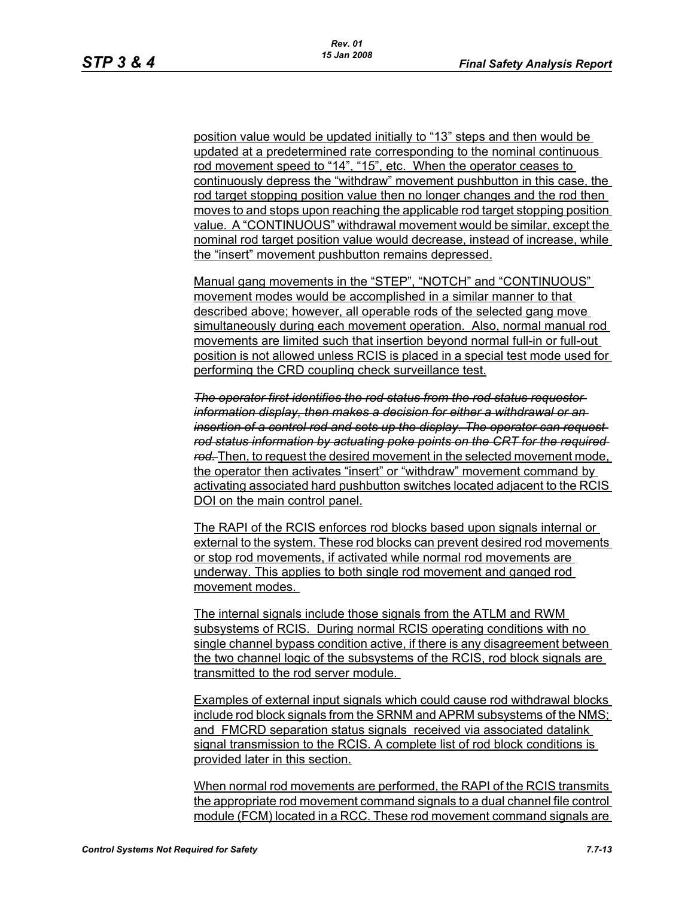position value would be updated initially to "13" steps and then would be updated at a predetermined rate corresponding to the nominal continuous rod movement speed to "14", "15", etc. When the operator ceases to continuously depress the "withdraw" movement pushbutton in this case, the rod target stopping position value then no longer changes and the rod then moves to and stops upon reaching the applicable rod target stopping position value. A "CONTINUOUS" withdrawal movement would be similar, except the nominal rod target position value would decrease, instead of increase, while the "insert" movement pushbutton remains depressed.

Manual gang movements in the "STEP", "NOTCH" and "CONTINUOUS" movement modes would be accomplished in a similar manner to that described above; however, all operable rods of the selected gang move simultaneously during each movement operation. Also, normal manual rod movements are limited such that insertion beyond normal full-in or full-out position is not allowed unless RCIS is placed in a special test mode used for performing the CRD coupling check surveillance test.

*The operator first identifies the rod status from the rod status requestor information display, then makes a decision for either a withdrawal or an insertion of a control rod and sets up the display. The operator can request rod status information by actuating poke points on the CRT for the required rod.* Then, to request the desired movement in the selected movement mode, the operator then activates "insert" or "withdraw" movement command by activating associated hard pushbutton switches located adjacent to the RCIS DOI on the main control panel.

The RAPI of the RCIS enforces rod blocks based upon signals internal or external to the system. These rod blocks can prevent desired rod movements or stop rod movements, if activated while normal rod movements are underway. This applies to both single rod movement and ganged rod movement modes.

The internal signals include those signals from the ATLM and RWM subsystems of RCIS. During normal RCIS operating conditions with no single channel bypass condition active, if there is any disagreement between the two channel logic of the subsystems of the RCIS, rod block signals are transmitted to the rod server module.

Examples of external input signals which could cause rod withdrawal blocks include rod block signals from the SRNM and APRM subsystems of the NMS; and FMCRD separation status signals received via associated datalink signal transmission to the RCIS. A complete list of rod block conditions is provided later in this section.

When normal rod movements are performed, the RAPI of the RCIS transmits the appropriate rod movement command signals to a dual channel file control module (FCM) located in a RCC. These rod movement command signals are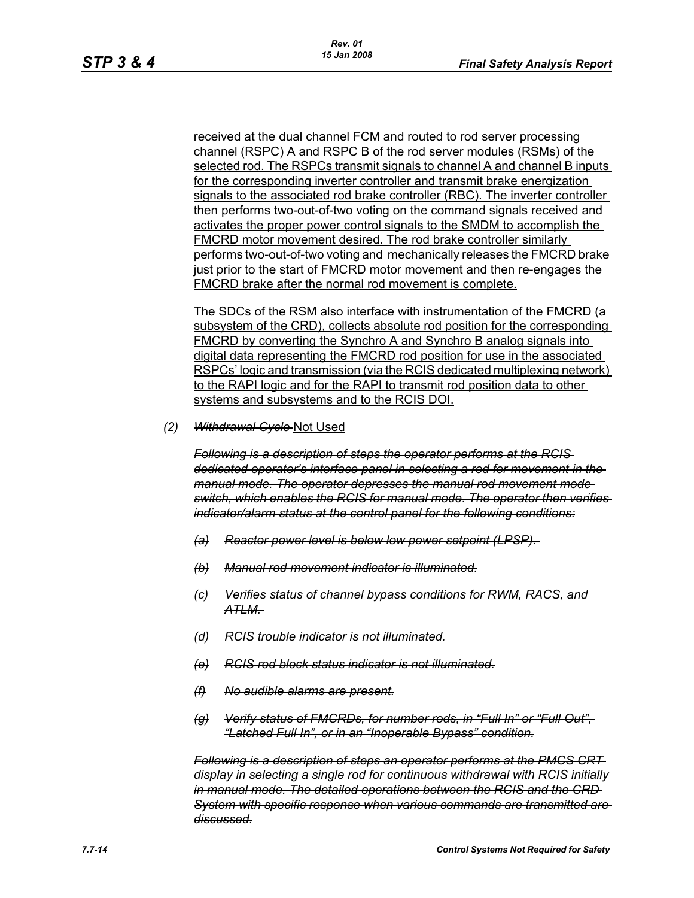received at the dual channel FCM and routed to rod server processing channel (RSPC) A and RSPC B of the rod server modules (RSMs) of the selected rod. The RSPCs transmit signals to channel A and channel B inputs for the corresponding inverter controller and transmit brake energization signals to the associated rod brake controller (RBC). The inverter controller then performs two-out-of-two voting on the command signals received and activates the proper power control signals to the SMDM to accomplish the FMCRD motor movement desired. The rod brake controller similarly performs two-out-of-two voting and mechanically releases the FMCRD brake just prior to the start of FMCRD motor movement and then re-engages the FMCRD brake after the normal rod movement is complete.

The SDCs of the RSM also interface with instrumentation of the FMCRD (a subsystem of the CRD), collects absolute rod position for the corresponding FMCRD by converting the Synchro A and Synchro B analog signals into digital data representing the FMCRD rod position for use in the associated RSPCs' logic and transmission (via the RCIS dedicated multiplexing network) to the RAPI logic and for the RAPI to transmit rod position data to other systems and subsystems and to the RCIS DOI.

*(2) Withdrawal Cycle* Not Used

*Following is a description of steps the operator performs at the RCIS dedicated operator's interface panel in selecting a rod for movement in the manual mode. The operator depresses the manual rod movement mode switch, which enables the RCIS for manual mode. The operator then verifies indicator/alarm status at the control panel for the following conditions:*

- *(a) Reactor power level is below low power setpoint (LPSP).*
- *(b) Manual rod movement indicator is illuminated.*
- *(c) Verifies status of channel bypass conditions for RWM, RACS, and ATLM.*
- *(d) RCIS trouble indicator is not illuminated.*
- *(e) RCIS rod block status indicator is not illuminated.*
- *(f) No audible alarms are present.*
- *(g) Verify status of FMCRDs, for number rods, in "Full In" or "Full Out", "Latched Full In", or in an "Inoperable Bypass" condition.*

*Following is a description of steps an operator performs at the PMCS CRT display in selecting a single rod for continuous withdrawal with RCIS initially in manual mode. The detailed operations between the RCIS and the CRD System with specific response when various commands are transmitted are discussed.*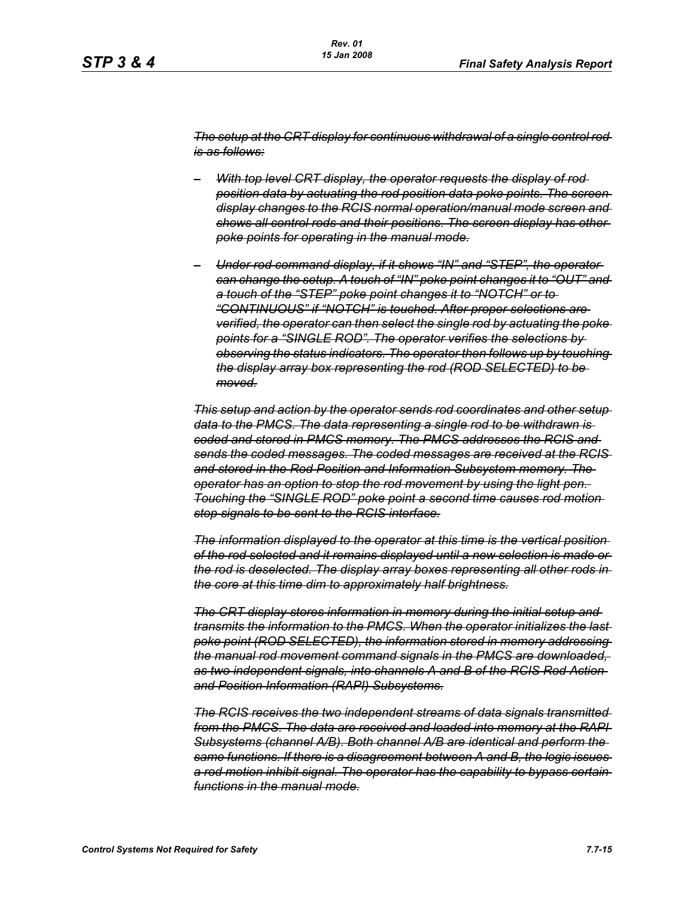*The setup at the CRT display for continuous withdrawal of a single control rod is as follows:*

- *– With top level CRT display, the operator requests the display of rod position data by actuating the rod position data poke points. The screen display changes to the RCIS normal operation/manual mode screen and shows all control rods and their positions. The screen display has other poke points for operating in the manual mode.*
- *– Under rod command display, if it shows "IN" and "STEP", the operator can change the setup. A touch of "IN" poke point changes it to "OUT" and a touch of the "STEP" poke point changes it to "NOTCH" or to "CONTINUOUS" if "NOTCH" is touched. After proper selections are verified, the operator can then select the single rod by actuating the poke points for a "SINGLE ROD". The operator verifies the selections by observing the status indicators. The operator then follows up by touching the display array box representing the rod (ROD SELECTED) to be moved.*

*This setup and action by the operator sends rod coordinates and other setup data to the PMCS. The data representing a single rod to be withdrawn is coded and stored in PMCS memory. The PMCS addresses the RCIS and sends the coded messages. The coded messages are received at the RCIS and stored in the Rod Position and Information Subsystem memory. The operator has an option to stop the rod movement by using the light pen. Touching the "SINGLE ROD" poke point a second time causes rod motion stop signals to be sent to the RCIS interface.*

*The information displayed to the operator at this time is the vertical position of the rod selected and it remains displayed until a new selection is made or the rod is deselected. The display array boxes representing all other rods in the core at this time dim to approximately half brightness.*

*The CRT display stores information in memory during the initial setup and transmits the information to the PMCS. When the operator initializes the last poke point (ROD SELECTED), the information stored in memory addressing the manual rod movement command signals in the PMCS are downloaded, as two independent signals, into channels A and B of the RCIS Rod Action and Position Information (RAPI) Subsystems.*

*The RCIS receives the two independent streams of data signals transmitted from the PMCS. The data are received and loaded into memory at the RAPI Subsystems (channel A/B). Both channel A/B are identical and perform the same functions. If there is a disagreement between A and B, the logic issues a rod motion inhibit signal. The operator has the capability to bypass certain functions in the manual mode.*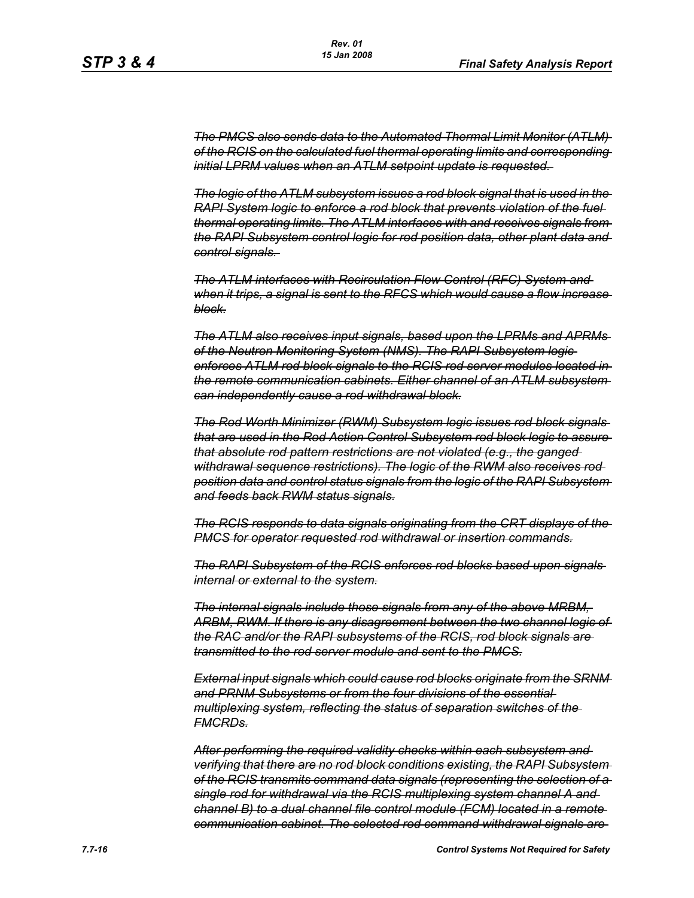*The PMCS also sends data to the Automated Thermal Limit Monitor (ATLM) of the RCIS on the calculated fuel thermal operating limits and corresponding initial LPRM values when an ATLM setpoint update is requested.* 

*The logic of the ATLM subsystem issues a rod block signal that is used in the RAPI System logic to enforce a rod block that prevents violation of the fuel thermal operating limits. The ATLM interfaces with and receives signals from the RAPI Subsystem control logic for rod position data, other plant data and control signals.* 

*The ATLM interfaces with Recirculation Flow Control (RFC) System and when it trips, a signal is sent to the RFCS which would cause a flow increase block.*

*The ATLM also receives input signals, based upon the LPRMs and APRMs of the Neutron Monitoring System (NMS). The RAPI Subsystem logic enforces ATLM rod block signals to the RCIS rod server modules located in the remote communication cabinets. Either channel of an ATLM subsystem can independently cause a rod withdrawal block.*

*The Rod Worth Minimizer (RWM) Subsystem logic issues rod block signals that are used in the Rod Action Control Subsystem rod block logic to assure that absolute rod pattern restrictions are not violated (e.g., the ganged withdrawal sequence restrictions). The logic of the RWM also receives rod position data and control status signals from the logic of the RAPI Subsystem and feeds back RWM status signals.*

*The RCIS responds to data signals originating from the CRT displays of the PMCS for operator requested rod withdrawal or insertion commands.*

*The RAPI Subsystem of the RCIS enforces rod blocks based upon signals internal or external to the system.*

*The internal signals include those signals from any of the above MRBM, ARBM, RWM. If there is any disagreement between the two channel logic of the RAC and/or the RAPI subsystems of the RCIS, rod block signals are transmitted to the rod server module and sent to the PMCS.*

*External input signals which could cause rod blocks originate from the SRNM and PRNM Subsystems or from the four divisions of the essential multiplexing system, reflecting the status of separation switches of the FMCRDs.*

*After performing the required validity checks within each subsystem and verifying that there are no rod block conditions existing, the RAPI Subsystem of the RCIS transmits command data signals (representing the selection of a single rod for withdrawal via the RCIS multiplexing system channel A and channel B) to a dual channel file control module (FCM) located in a remote communication cabinet. The selected rod command withdrawal signals are*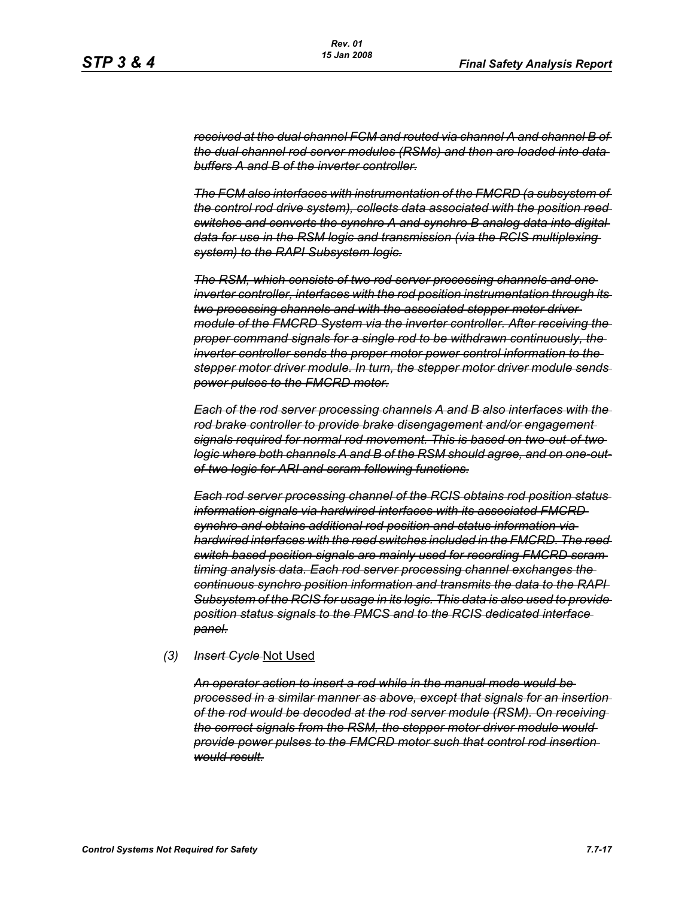*received at the dual channel FCM and routed via channel A and channel B of the dual channel rod server modules (RSMs) and then are loaded into data buffers A and B of the inverter controller.*

*The FCM also interfaces with instrumentation of the FMCRD (a subsystem of the control rod drive system), collects data associated with the position reed switches and converts the synchro A and synchro B analog data into digital data for use in the RSM logic and transmission (via the RCIS multiplexing system) to the RAPI Subsystem logic.*

*The RSM, which consists of two rod server processing channels and one inverter controller, interfaces with the rod position instrumentation through its two processing channels and with the associated stepper motor driver module of the FMCRD System via the inverter controller. After receiving the proper command signals for a single rod to be withdrawn continuously, the inverter controller sends the proper motor power control information to the stepper motor driver module. In turn, the stepper motor driver module sends power pulses to the FMCRD motor.*

*Each of the rod server processing channels A and B also interfaces with the rod brake controller to provide brake disengagement and/or engagement signals required for normal rod movement. This is based on two-out-of-two logic where both channels A and B of the RSM should agree, and on one-outof-two logic for ARI and scram following functions.*

*Each rod server processing channel of the RCIS obtains rod position status information signals via hardwired interfaces with its associated FMCRD synchro and obtains additional rod position and status information via hardwired interfaces with the reed switches included in the FMCRD. The reed switch based position signals are mainly used for recording FMCRD scram timing analysis data. Each rod server processing channel exchanges the continuous synchro position information and transmits the data to the RAPI Subsystem of the RCIS for usage in its logic. This data is also used to provide position status signals to the PMCS and to the RCIS dedicated interface panel.*

#### *(3) Insert Cycle* Not Used

*An operator action to insert a rod while in the manual mode would be processed in a similar manner as above, except that signals for an insertion of the rod would be decoded at the rod server module (RSM). On receiving the correct signals from the RSM, the stepper motor driver module would provide power pulses to the FMCRD motor such that control rod insertion would result.*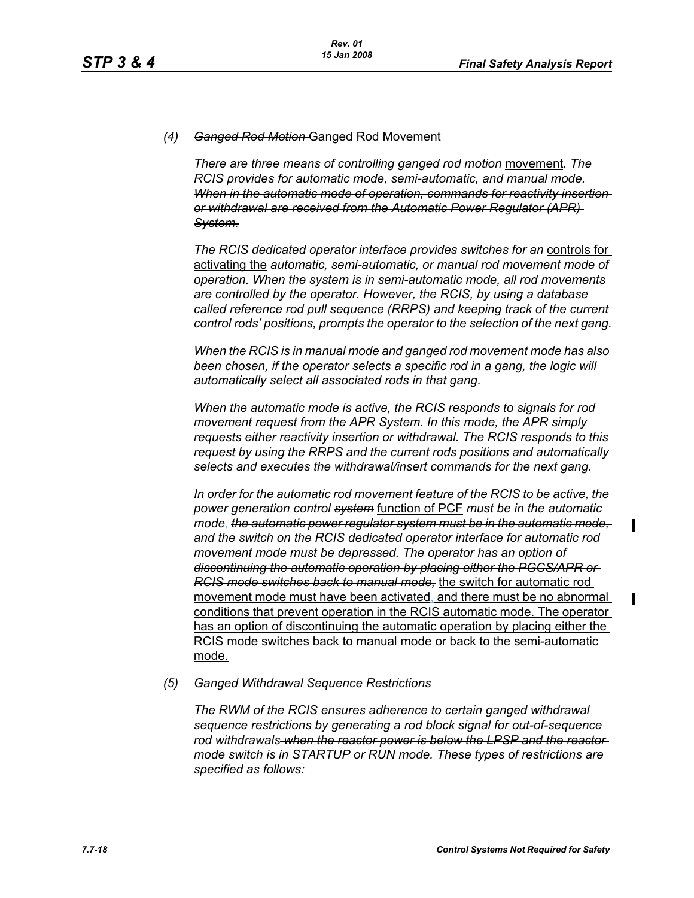### *(4) Ganged Rod Motion* Ganged Rod Movement

*There are three means of controlling ganged rod motion* movement*. The RCIS provides for automatic mode, semi-automatic, and manual mode. When in the automatic mode of operation, commands for reactivity insertion or withdrawal are received from the Automatic Power Regulator (APR) System.*

*The RCIS dedicated operator interface provides switches for an* controls for activating the *automatic, semi-automatic, or manual rod movement mode of operation. When the system is in semi-automatic mode, all rod movements are controlled by the operator. However, the RCIS, by using a database called reference rod pull sequence (RRPS) and keeping track of the current control rods' positions, prompts the operator to the selection of the next gang.*

*When the RCIS is in manual mode and ganged rod movement mode has also been chosen, if the operator selects a specific rod in a gang, the logic will automatically select all associated rods in that gang.*

*When the automatic mode is active, the RCIS responds to signals for rod movement request from the APR System. In this mode, the APR simply requests either reactivity insertion or withdrawal. The RCIS responds to this request by using the RRPS and the current rods positions and automatically selects and executes the withdrawal/insert commands for the next gang.*

In order for the automatic rod movement feature of the RCIS to be active, the *power generation control system* function of PCF *must be in the automatic mode, the automatic power regulator system must be in the automatic mode, and the switch on the RCIS dedicated operator interface for automatic rod movement mode must be depressed. The operator has an option of discontinuing the automatic operation by placing either the PGCS/APR or RCIS mode switches back to manual mode,* the switch for automatic rod movement mode must have been activated, and there must be no abnormal conditions that prevent operation in the RCIS automatic mode. The operator has an option of discontinuing the automatic operation by placing either the RCIS mode switches back to manual mode or back to the semi-automatic mode.

*(5) Ganged Withdrawal Sequence Restrictions*

*The RWM of the RCIS ensures adherence to certain ganged withdrawal sequence restrictions by generating a rod block signal for out-of-sequence rod withdrawals when the reactor power is below the LPSP and the reactor mode switch is in STARTUP or RUN mode. These types of restrictions are specified as follows:*

 $\mathbf I$ 

 $\mathbf I$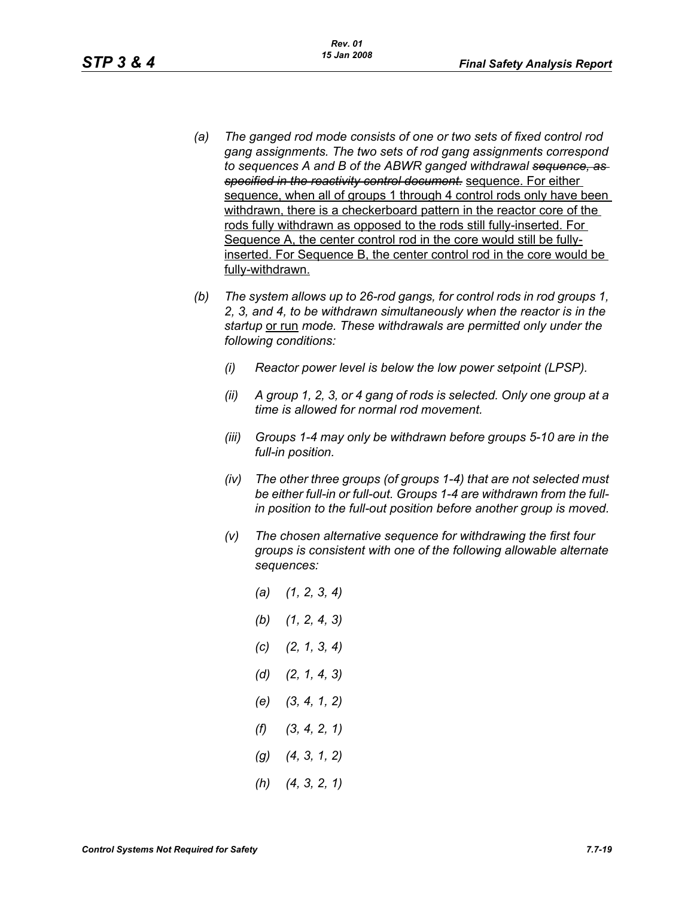- *(a) The ganged rod mode consists of one or two sets of fixed control rod gang assignments. The two sets of rod gang assignments correspond to sequences A and B of the ABWR ganged withdrawal sequence, as specified in the reactivity control document.* sequence. For either sequence, when all of groups 1 through 4 control rods only have been withdrawn, there is a checkerboard pattern in the reactor core of the rods fully withdrawn as opposed to the rods still fully-inserted. For Sequence A, the center control rod in the core would still be fullyinserted. For Sequence B, the center control rod in the core would be fully-withdrawn.
- *(b) The system allows up to 26-rod gangs, for control rods in rod groups 1, 2, 3, and 4, to be withdrawn simultaneously when the reactor is in the startup* or run *mode. These withdrawals are permitted only under the following conditions:*
	- *(i) Reactor power level is below the low power setpoint (LPSP).*
	- *(ii) A group 1, 2, 3, or 4 gang of rods is selected. Only one group at a time is allowed for normal rod movement.*
	- *(iii) Groups 1-4 may only be withdrawn before groups 5-10 are in the full-in position.*
	- *(iv) The other three groups (of groups 1-4) that are not selected must be either full-in or full-out. Groups 1-4 are withdrawn from the fullin position to the full-out position before another group is moved.*
	- *(v) The chosen alternative sequence for withdrawing the first four groups is consistent with one of the following allowable alternate sequences:*
		- *(a) (1, 2, 3, 4) (b) (1, 2, 4, 3) (c) (2, 1, 3, 4) (d) (2, 1, 4, 3) (e) (3, 4, 1, 2) (f) (3, 4, 2, 1) (g) (4, 3, 1, 2) (h) (4, 3, 2, 1)*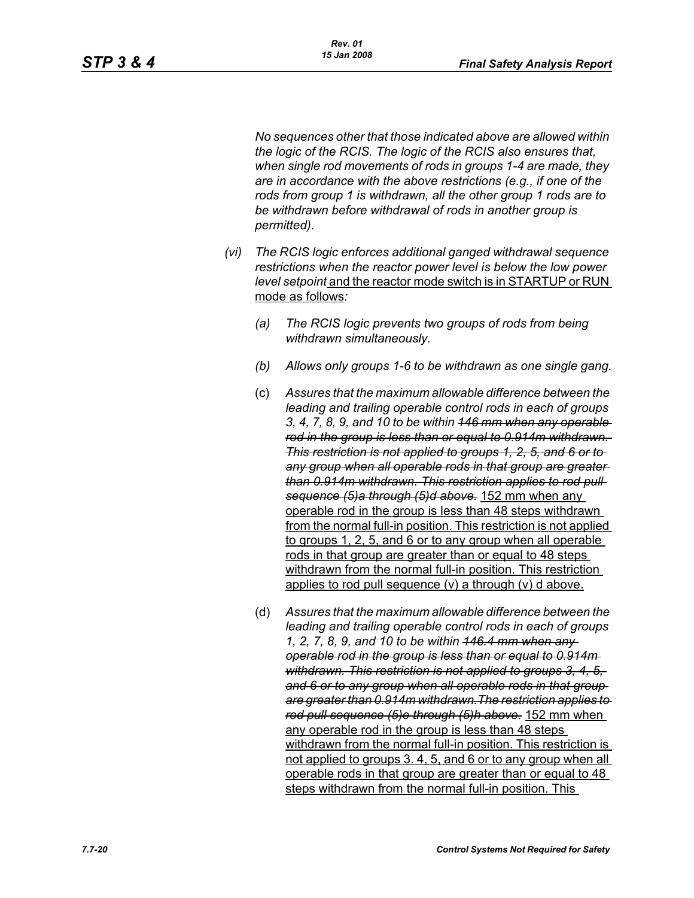*No sequences other that those indicated above are allowed within the logic of the RCIS. The logic of the RCIS also ensures that, when single rod movements of rods in groups 1-4 are made, they are in accordance with the above restrictions (e.g., if one of the rods from group 1 is withdrawn, all the other group 1 rods are to be withdrawn before withdrawal of rods in another group is permitted).*

- *(vi) The RCIS logic enforces additional ganged withdrawal sequence restrictions when the reactor power level is below the low power level setpoint* and the reactor mode switch is in STARTUP or RUN mode as follows*:*
	- *(a) The RCIS logic prevents two groups of rods from being withdrawn simultaneously.*
	- *(b) Allows only groups 1-6 to be withdrawn as one single gang.*
	- (c) *Assures that the maximum allowable difference between the leading and trailing operable control rods in each of groups 3, 4, 7, 8, 9, and 10 to be within 146 mm when any operable rod in the group is less than or equal to 0.914m withdrawn. This restriction is not applied to groups 1, 2, 5, and 6 or to any group when all operable rods in that group are greater than 0.914m withdrawn. This restriction applies to rod pull sequence (5)a through (5)d above.* 152 mm when any operable rod in the group is less than 48 steps withdrawn from the normal full-in position. This restriction is not applied to groups 1, 2, 5, and 6 or to any group when all operable rods in that group are greater than or equal to 48 steps withdrawn from the normal full-in position. This restriction applies to rod pull sequence (v) a through (v) d above.
	- (d) *Assures that the maximum allowable difference between the leading and trailing operable control rods in each of groups 1, 2, 7, 8, 9, and 10 to be within 146.4 mm when any operable rod in the group is less than or equal to 0.914m withdrawn. This restriction is not applied to groups 3, 4, 5, and 6 or to any group when all operable rods in that group are greater than 0.914m withdrawn.The restriction applies to rod pull sequence (5)e through (5)h above.* 152 mm when any operable rod in the group is less than 48 steps withdrawn from the normal full-in position. This restriction is not applied to groups 3. 4, 5, and 6 or to any group when all operable rods in that group are greater than or equal to 48 steps withdrawn from the normal full-in position. This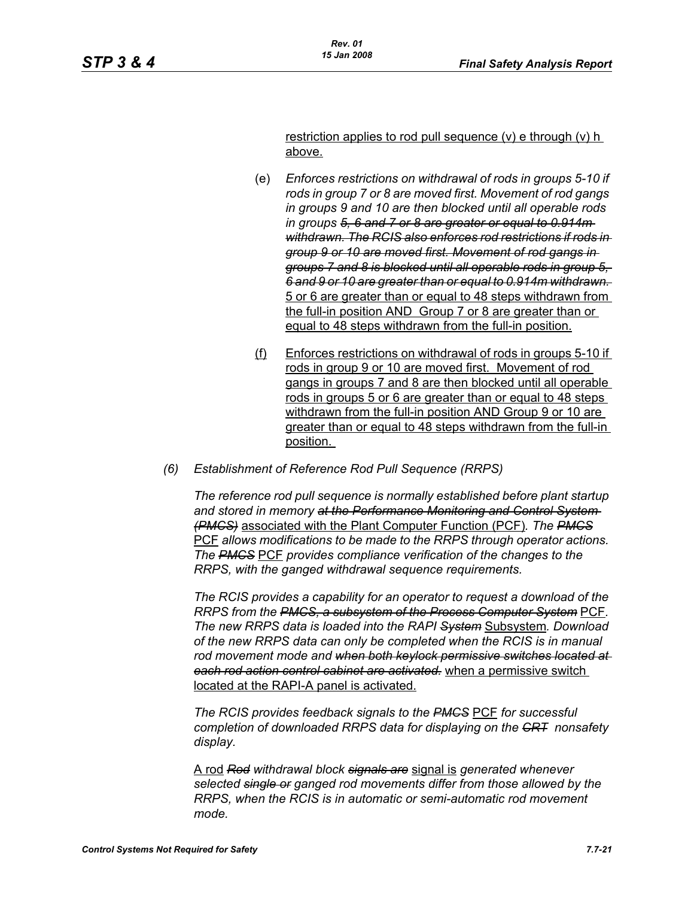restriction applies to rod pull sequence (v) e through (v) h above.

- (e) *Enforces restrictions on withdrawal of rods in groups 5-10 if rods in group 7 or 8 are moved first. Movement of rod gangs in groups 9 and 10 are then blocked until all operable rods in groups 5, 6 and 7 or 8 are greater or equal to 0.914m withdrawn. The RCIS also enforces rod restrictions if rods in group 9 or 10 are moved first. Movement of rod gangs in groups 7 and 8 is blocked until all operable rods in group 5, 6 and 9 or 10 are greater than or equal to 0.914m withdrawn.*  5 or 6 are greater than or equal to 48 steps withdrawn from the full-in position AND Group 7 or 8 are greater than or equal to 48 steps withdrawn from the full-in position.
- (f) Enforces restrictions on withdrawal of rods in groups 5-10 if rods in group 9 or 10 are moved first. Movement of rod gangs in groups 7 and 8 are then blocked until all operable rods in groups 5 or 6 are greater than or equal to 48 steps withdrawn from the full-in position AND Group 9 or 10 are greater than or equal to 48 steps withdrawn from the full-in position.
- *(6) Establishment of Reference Rod Pull Sequence (RRPS)*

*The reference rod pull sequence is normally established before plant startup and stored in memory at the Performance Monitoring and Control System (PMCS)* associated with the Plant Computer Function (PCF)*. The PMCS* PCF *allows modifications to be made to the RRPS through operator actions. The PMCS* PCF *provides compliance verification of the changes to the RRPS, with the ganged withdrawal sequence requirements.*

*The RCIS provides a capability for an operator to request a download of the RRPS from the PMCS, a subsystem of the Process Computer System* PCF*. The new RRPS data is loaded into the RAPI System* Subsystem*. Download of the new RRPS data can only be completed when the RCIS is in manual rod movement mode and when both keylock permissive switches located at each rod action control cabinet are activated.* when a permissive switch located at the RAPI-A panel is activated.

*The RCIS provides feedback signals to the PMCS* PCF *for successful completion of downloaded RRPS data for displaying on the CRT nonsafety display.*

A rod *Rod withdrawal block signals are* signal is *generated whenever selected single or ganged rod movements differ from those allowed by the RRPS, when the RCIS is in automatic or semi-automatic rod movement mode.*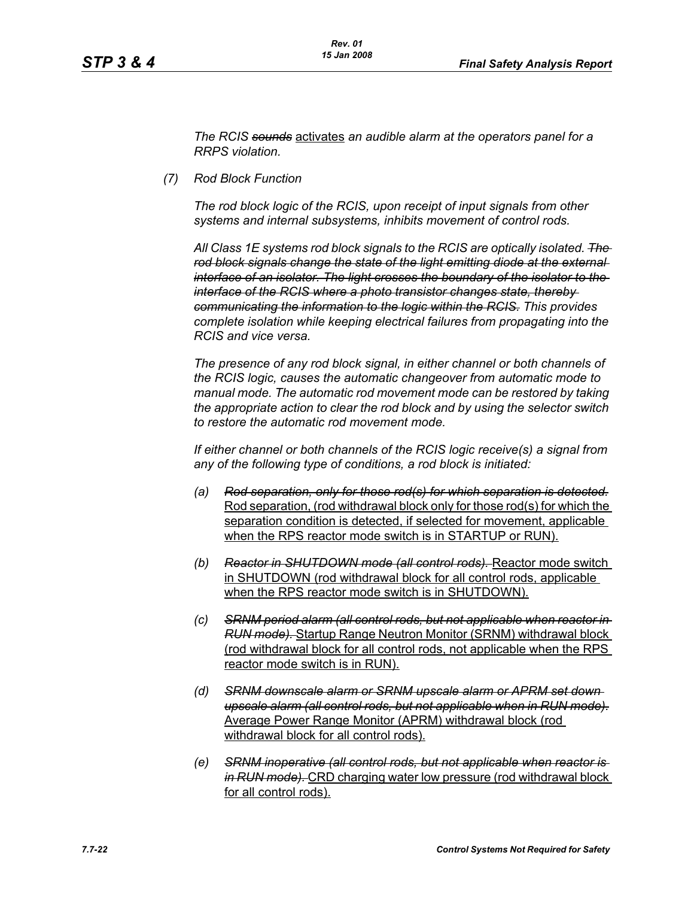*The RCIS sounds* activates *an audible alarm at the operators panel for a RRPS violation.*

*(7) Rod Block Function*

*The rod block logic of the RCIS, upon receipt of input signals from other systems and internal subsystems, inhibits movement of control rods.*

*All Class 1E systems rod block signals to the RCIS are optically isolated. The rod block signals change the state of the light emitting diode at the external interface of an isolator. The light crosses the boundary of the isolator to the interface of the RCIS where a photo transistor changes state, thereby communicating the information to the logic within the RCIS. This provides complete isolation while keeping electrical failures from propagating into the RCIS and vice versa.*

*The presence of any rod block signal, in either channel or both channels of the RCIS logic, causes the automatic changeover from automatic mode to manual mode. The automatic rod movement mode can be restored by taking the appropriate action to clear the rod block and by using the selector switch to restore the automatic rod movement mode.*

*If either channel or both channels of the RCIS logic receive(s) a signal from any of the following type of conditions, a rod block is initiated:*

- *(a) Rod separation, only for those rod(s) for which separation is detected.* Rod separation, (rod withdrawal block only for those rod(s) for which the separation condition is detected, if selected for movement, applicable when the RPS reactor mode switch is in STARTUP or RUN).
- *(b) Reactor in SHUTDOWN mode (all control rods).* Reactor mode switch in SHUTDOWN (rod withdrawal block for all control rods, applicable when the RPS reactor mode switch is in SHUTDOWN).
- *(c) SRNM period alarm (all control rods, but not applicable when reactor in RUN mode).* Startup Range Neutron Monitor (SRNM) withdrawal block (rod withdrawal block for all control rods, not applicable when the RPS reactor mode switch is in RUN).
- *(d) SRNM downscale alarm or SRNM upscale alarm or APRM set down upscale alarm (all control rods, but not applicable when in RUN mode).* Average Power Range Monitor (APRM) withdrawal block (rod withdrawal block for all control rods).
- *(e) SRNM inoperative (all control rods, but not applicable when reactor is in RUN mode).* CRD charging water low pressure (rod withdrawal block for all control rods).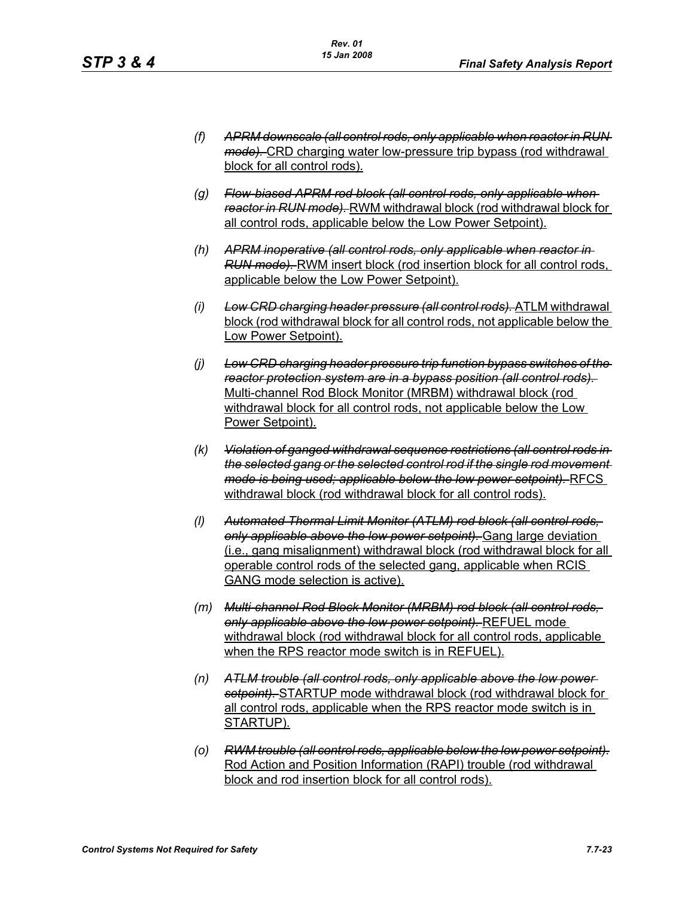- *(f) APRM downscale (all control rods, only applicable when reactor in RUN mode).* CRD charging water low-pressure trip bypass (rod withdrawal block for all control rods).
- *(g) Flow-biased APRM rod block (all control rods, only applicable when reactor in RUN mode).* RWM withdrawal block (rod withdrawal block for all control rods, applicable below the Low Power Setpoint).
- *(h) APRM inoperative (all control rods, only applicable when reactor in RUN mode).* RWM insert block (rod insertion block for all control rods, applicable below the Low Power Setpoint).
- *(i) Low CRD charging header pressure (all control rods).* ATLM withdrawal block (rod withdrawal block for all control rods, not applicable below the Low Power Setpoint).
- *(j) Low CRD charging header pressure trip function bypass switches of the reactor protection system are in a bypass position (all control rods).*  Multi-channel Rod Block Monitor (MRBM) withdrawal block (rod withdrawal block for all control rods, not applicable below the Low Power Setpoint).
- *(k) Violation of ganged withdrawal sequence restrictions (all control rods in the selected gang or the selected control rod if the single rod movement mode is being used; applicable below the low power setpoint).* RFCS withdrawal block (rod withdrawal block for all control rods).
- *(l) Automated Thermal Limit Monitor (ATLM) rod block (all control rods, only applicable above the low power setpoint).* Gang large deviation (i.e., gang misalignment) withdrawal block (rod withdrawal block for all operable control rods of the selected gang, applicable when RCIS GANG mode selection is active).
- *(m) Multi-channel Rod Block Monitor (MRBM) rod block (all control rods, only applicable above the low power setpoint).* REFUEL mode withdrawal block (rod withdrawal block for all control rods, applicable when the RPS reactor mode switch is in REFUEL).
- *(n) ATLM trouble (all control rods, only applicable above the low power setpoint).* STARTUP mode withdrawal block (rod withdrawal block for all control rods, applicable when the RPS reactor mode switch is in STARTUP).
- *(o) RWM trouble (all control rods, applicable below the low power setpoint).* Rod Action and Position Information (RAPI) trouble (rod withdrawal block and rod insertion block for all control rods).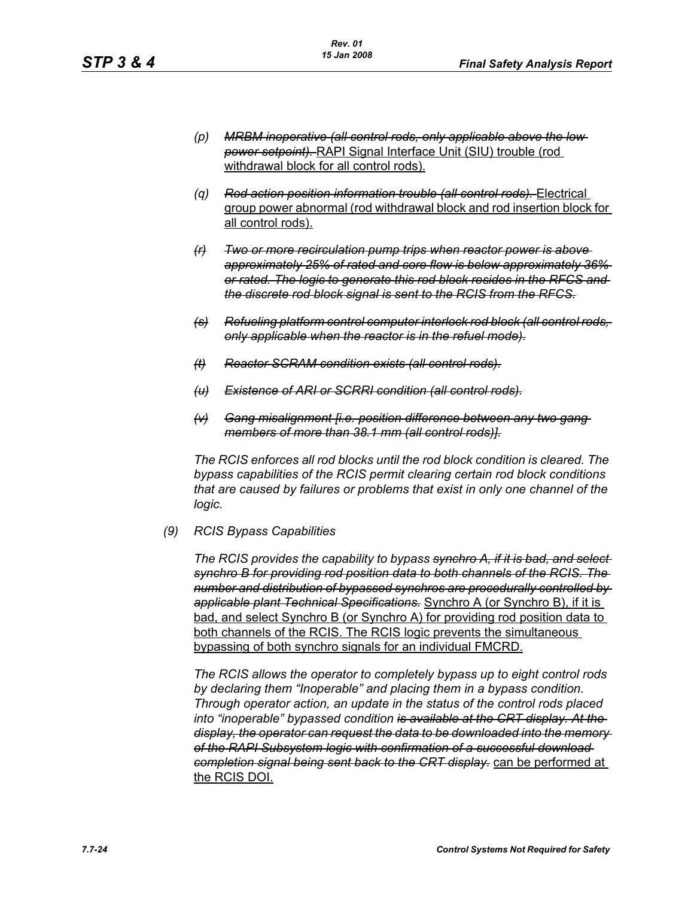- *(p) MRBM inoperative (all control rods, only applicable above the low power setpoint).* RAPI Signal Interface Unit (SIU) trouble (rod withdrawal block for all control rods).
- *(q) Rod action position information trouble (all control rods).* Electrical group power abnormal (rod withdrawal block and rod insertion block for all control rods).
- *(r) Two or more recirculation pump trips when reactor power is above approximately 25% of rated and core flow is below approximately 36% or rated. The logic to generate this rod block resides in the RFCS and the discrete rod block signal is sent to the RCIS from the RFCS.*
- *(s) Refueling platform control computer interlock rod block (all control rods, only applicable when the reactor is in the refuel mode).*
- *(t) Reactor SCRAM condition exists (all control rods).*
- *(u) Existence of ARI or SCRRI condition (all control rods).*
- *(v) Gang misalignment [i.e. position difference between any two gang members of more than 38.1 mm (all control rods)].*

*The RCIS enforces all rod blocks until the rod block condition is cleared. The bypass capabilities of the RCIS permit clearing certain rod block conditions that are caused by failures or problems that exist in only one channel of the logic.*

*(9) RCIS Bypass Capabilities*

*The RCIS provides the capability to bypass synchro A, if it is bad, and select synchro B for providing rod position data to both channels of the RCIS. The number and distribution of bypassed synchros are procedurally controlled by applicable plant Technical Specifications.* Synchro A (or Synchro B), if it is bad, and select Synchro B (or Synchro A) for providing rod position data to both channels of the RCIS. The RCIS logic prevents the simultaneous bypassing of both synchro signals for an individual FMCRD.

*The RCIS allows the operator to completely bypass up to eight control rods by declaring them "Inoperable" and placing them in a bypass condition. Through operator action, an update in the status of the control rods placed into "inoperable" bypassed condition is available at the CRT display. At the display, the operator can request the data to be downloaded into the memory of the RAPI Subsystem logic with confirmation of a successful download completion signal being sent back to the CRT display.* can be performed at the RCIS DOI.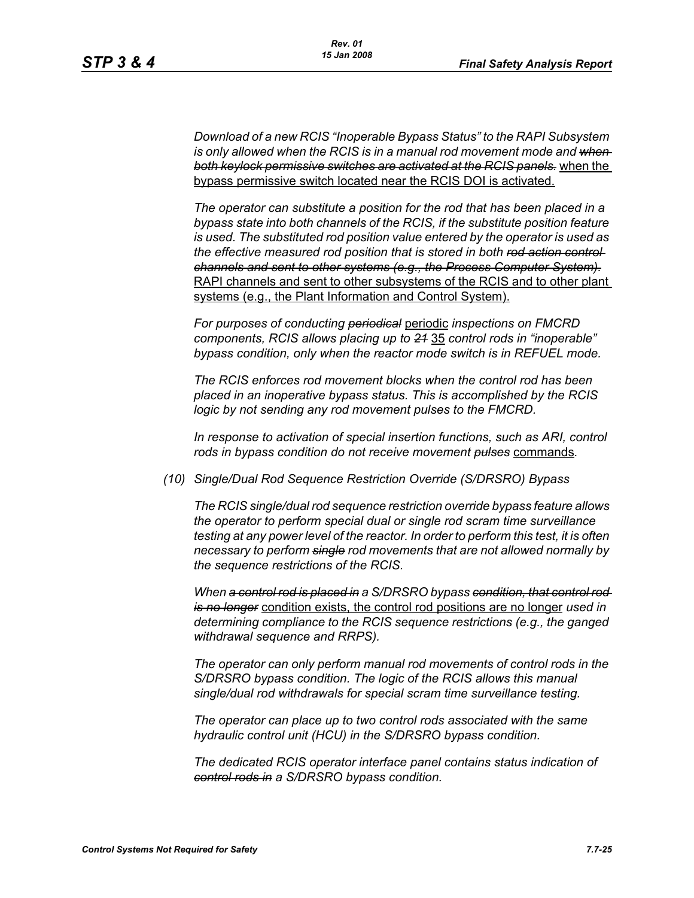*Download of a new RCIS "Inoperable Bypass Status" to the RAPI Subsystem*  is only allowed when the RCIS is in a manual rod movement mode and when*both keylock permissive switches are activated at the RCIS panels.* when the bypass permissive switch located near the RCIS DOI is activated.

*The operator can substitute a position for the rod that has been placed in a bypass state into both channels of the RCIS, if the substitute position feature is used. The substituted rod position value entered by the operator is used as the effective measured rod position that is stored in both rod action control channels and sent to other systems (e.g., the Process Computer System).* RAPI channels and sent to other subsystems of the RCIS and to other plant systems (e.g., the Plant Information and Control System).

*For purposes of conducting periodical* periodic *inspections on FMCRD components, RCIS allows placing up to 21* 35 *control rods in "inoperable" bypass condition, only when the reactor mode switch is in REFUEL mode.*

*The RCIS enforces rod movement blocks when the control rod has been placed in an inoperative bypass status. This is accomplished by the RCIS logic by not sending any rod movement pulses to the FMCRD.*

*In response to activation of special insertion functions, such as ARI, control rods in bypass condition do not receive movement pulses* commands*.*

*(10) Single/Dual Rod Sequence Restriction Override (S/DRSRO) Bypass*

*The RCIS single/dual rod sequence restriction override bypass feature allows the operator to perform special dual or single rod scram time surveillance testing at any power level of the reactor. In order to perform this test, it is often necessary to perform single rod movements that are not allowed normally by the sequence restrictions of the RCIS.*

*When a control rod is placed in a S/DRSRO bypass condition, that control rod is no longer* condition exists, the control rod positions are no longer *used in determining compliance to the RCIS sequence restrictions (e.g., the ganged withdrawal sequence and RRPS).*

*The operator can only perform manual rod movements of control rods in the S/DRSRO bypass condition. The logic of the RCIS allows this manual single/dual rod withdrawals for special scram time surveillance testing.*

*The operator can place up to two control rods associated with the same hydraulic control unit (HCU) in the S/DRSRO bypass condition.*

*The dedicated RCIS operator interface panel contains status indication of control rods in a S/DRSRO bypass condition.*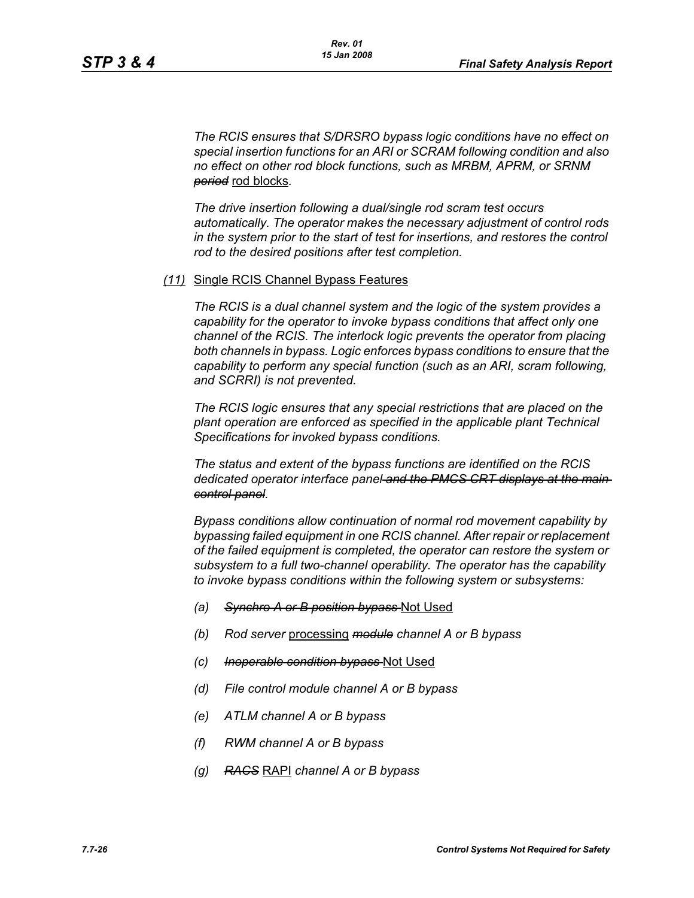*The RCIS ensures that S/DRSRO bypass logic conditions have no effect on special insertion functions for an ARI or SCRAM following condition and also no effect on other rod block functions, such as MRBM, APRM, or SRNM period* rod blocks*.*

*The drive insertion following a dual/single rod scram test occurs automatically. The operator makes the necessary adjustment of control rods in the system prior to the start of test for insertions, and restores the control rod to the desired positions after test completion.*

#### *(11)* Single RCIS Channel Bypass Features

*The RCIS is a dual channel system and the logic of the system provides a capability for the operator to invoke bypass conditions that affect only one channel of the RCIS. The interlock logic prevents the operator from placing both channels in bypass. Logic enforces bypass conditions to ensure that the capability to perform any special function (such as an ARI, scram following, and SCRRI) is not prevented.*

*The RCIS logic ensures that any special restrictions that are placed on the plant operation are enforced as specified in the applicable plant Technical Specifications for invoked bypass conditions.*

*The status and extent of the bypass functions are identified on the RCIS dedicated operator interface panel and the PMCS CRT displays at the main control panel.*

*Bypass conditions allow continuation of normal rod movement capability by bypassing failed equipment in one RCIS channel. After repair or replacement of the failed equipment is completed, the operator can restore the system or subsystem to a full two-channel operability. The operator has the capability to invoke bypass conditions within the following system or subsystems:*

- *(a) Synchro A or B position bypass* Not Used
- *(b) Rod server* processing *module channel A or B bypass*
- *(c) Inoperable condition bypass* Not Used
- *(d) File control module channel A or B bypass*
- *(e) ATLM channel A or B bypass*
- *(f) RWM channel A or B bypass*
- *(g) RACS* RAPI *channel A or B bypass*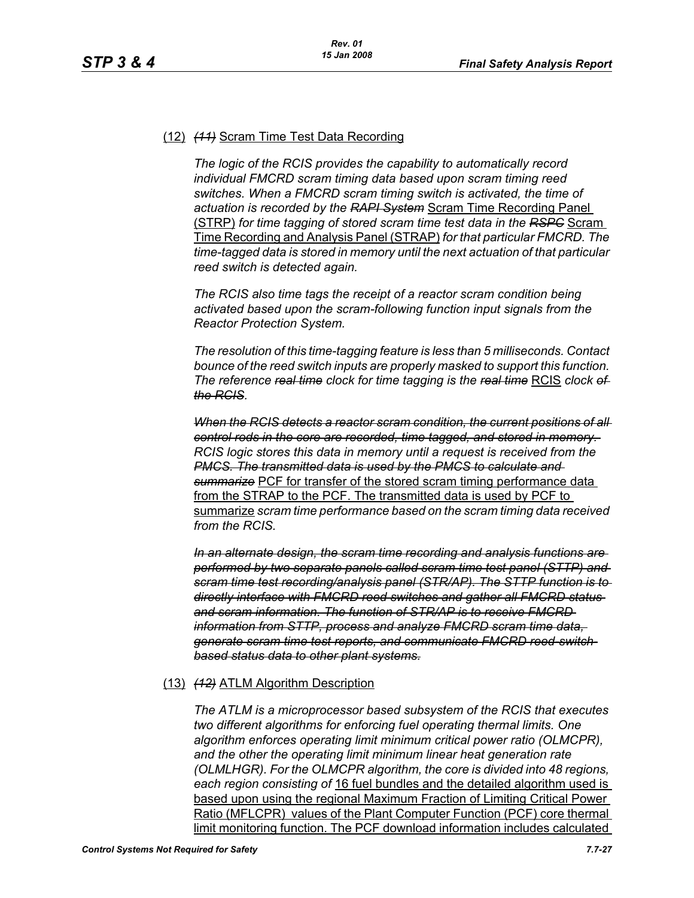# (12) *(11)* Scram Time Test Data Recording

*The logic of the RCIS provides the capability to automatically record individual FMCRD scram timing data based upon scram timing reed switches. When a FMCRD scram timing switch is activated, the time of actuation is recorded by the RAPI System* Scram Time Recording Panel (STRP) *for time tagging of stored scram time test data in the RSPC* Scram Time Recording and Analysis Panel (STRAP) *for that particular FMCRD. The time-tagged data is stored in memory until the next actuation of that particular reed switch is detected again.*

*The RCIS also time tags the receipt of a reactor scram condition being activated based upon the scram-following function input signals from the Reactor Protection System.*

*The resolution of this time-tagging feature is less than 5 milliseconds. Contact bounce of the reed switch inputs are properly masked to support this function. The reference real time clock for time tagging is the real time* RCIS *clock of the RCIS.*

*When the RCIS detects a reactor scram condition, the current positions of all control rods in the core are recorded, time tagged, and stored in memory. RCIS logic stores this data in memory until a request is received from the PMCS. The transmitted data is used by the PMCS to calculate and summarize* PCF for transfer of the stored scram timing performance data from the STRAP to the PCF. The transmitted data is used by PCF to summarize *scram time performance based on the scram timing data received from the RCIS.*

*In an alternate design, the scram time recording and analysis functions are performed by two separate panels called scram time test panel (STTP) and scram time test recording/analysis panel (STR/AP). The STTP function is to directly interface with FMCRD reed switches and gather all FMCRD status and scram information. The function of STR/AP is to receive FMCRD information from STTP, process and analyze FMCRD scram time data, generate scram time test reports, and communicate FMCRD reed-switchbased status data to other plant systems.*

## (13) *(12)* ATLM Algorithm Description

*The ATLM is a microprocessor based subsystem of the RCIS that executes two different algorithms for enforcing fuel operating thermal limits. One algorithm enforces operating limit minimum critical power ratio (OLMCPR), and the other the operating limit minimum linear heat generation rate (OLMLHGR). For the OLMCPR algorithm, the core is divided into 48 regions, each region consisting of* 16 fuel bundles and the detailed algorithm used is based upon using the regional Maximum Fraction of Limiting Critical Power Ratio (MFLCPR) values of the Plant Computer Function (PCF) core thermal limit monitoring function. The PCF download information includes calculated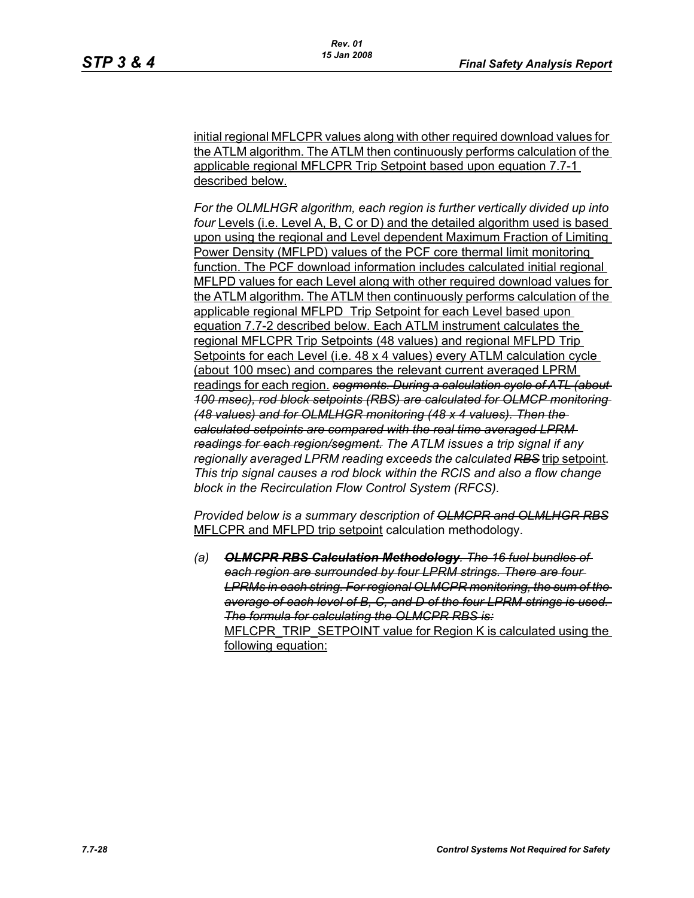initial regional MFLCPR values along with other required download values for the ATLM algorithm. The ATLM then continuously performs calculation of the applicable regional MFLCPR Trip Setpoint based upon equation 7.7-1 described below.

*For the OLMLHGR algorithm, each region is further vertically divided up into four* Levels (i.e. Level A, B, C or D) and the detailed algorithm used is based upon using the regional and Level dependent Maximum Fraction of Limiting Power Density (MFLPD) values of the PCF core thermal limit monitoring function. The PCF download information includes calculated initial regional MFLPD values for each Level along with other required download values for the ATLM algorithm. The ATLM then continuously performs calculation of the applicable regional MFLPD Trip Setpoint for each Level based upon equation 7.7-2 described below. Each ATLM instrument calculates the regional MFLCPR Trip Setpoints (48 values) and regional MFLPD Trip Setpoints for each Level (i.e. 48 x 4 values) every ATLM calculation cycle (about 100 msec) and compares the relevant current averaged LPRM readings for each region. *segments. During a calculation cycle of ATL (about 100 msec), rod block setpoints (RBS) are calculated for OLMCP monitoring (48 values) and for OLMLHGR monitoring (48 x 4 values). Then the calculated setpoints are compared with the real time averaged LPRM readings for each region/segment. The ATLM issues a trip signal if any regionally averaged LPRM reading exceeds the calculated RBS* trip setpoint*. This trip signal causes a rod block within the RCIS and also a flow change block in the Recirculation Flow Control System (RFCS).* 

*Provided below is a summary description of OLMCPR and OLMLHGR RBS* MFLCPR and MFLPD trip setpoint calculation methodology.

*(a) OLMCPR RBS Calculation Methodology. The 16 fuel bundles of each region are surrounded by four LPRM strings. There are four LPRMs in each string. For regional OLMCPR monitoring, the sum of the average of each level of B, C, and D of the four LPRM strings is used. The formula for calculating the OLMCPR RBS is:* MFLCPR\_TRIP\_SETPOINT value for Region K is calculated using the following equation: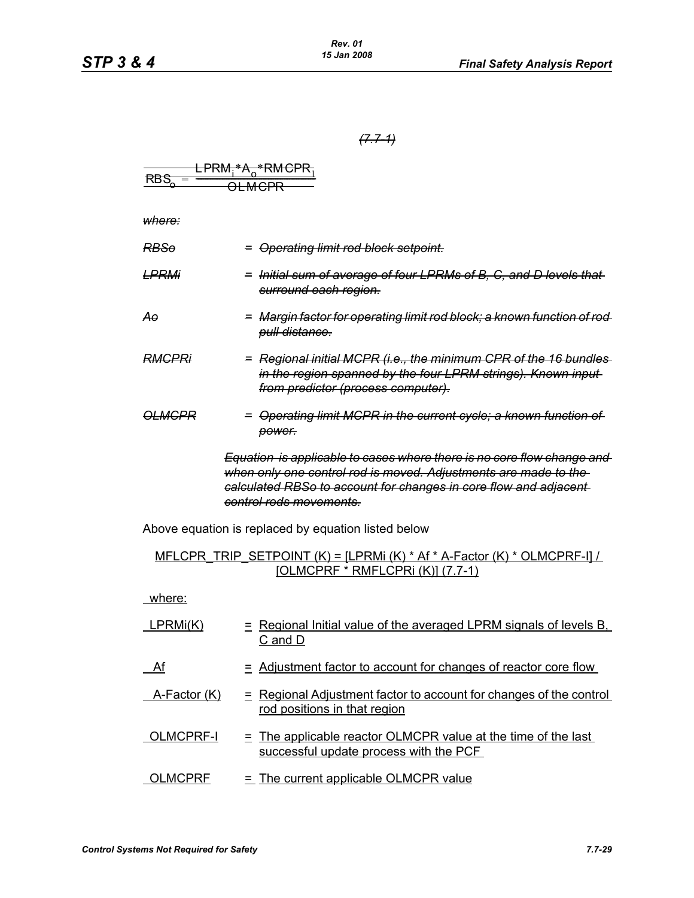$\sim$ 

*(7.7-1)*

| RES <sub>o</sub> = $\frac{1 \text{PRM}_1 + A_o + \text{RMGPR}_1}{0 \text{LMPPR}}$                                                                                  |                                                                                                                                                                                                                                                                                                                    |                                                                                                    |
|--------------------------------------------------------------------------------------------------------------------------------------------------------------------|--------------------------------------------------------------------------------------------------------------------------------------------------------------------------------------------------------------------------------------------------------------------------------------------------------------------|----------------------------------------------------------------------------------------------------|
| Where:                                                                                                                                                             |                                                                                                                                                                                                                                                                                                                    |                                                                                                    |
| RESo = Operating limit rod block-setpoint.                                                                                                                         |                                                                                                                                                                                                                                                                                                                    |                                                                                                    |
| LPRMi                                                                                                                                                              | = Initial sum of average of four LPRMs of B, C, and D levels that<br>surround each region.                                                                                                                                                                                                                         |                                                                                                    |
| Ao                                                                                                                                                                 | = Margin-factor for operating limit rod block; a known function of rod<br>pull distance.                                                                                                                                                                                                                           |                                                                                                    |
| RMCPRi                                                                                                                                                             | = Regional initial MCPR (i.e., the minimum CPR of the 16 bundles<br>in the region spanned by the four LPRM strings). Known input<br>from predictor (process computer).                                                                                                                                             |                                                                                                    |
| OLMCPR                                                                                                                                                             | = Operating limit MCPR in the current cycle; a known function of<br>to<br>equation is applicable to cases where there is no core flow change and<br>when only one content rod is moved. Adjustments are made to the-<br>calculated RBSo to account for changes in core flow and adjacent<br>control rods movement. |                                                                                                    |
| Above equation is replaced by equation listed below<br>MFLCPR TRIP SETPONIT (K) = [LPRMi (K) * Af + A-Factor (K) * OLMCPRF-1]/<br>[OLMCPRF * RMFLCPRI (K)] (7.7-1) |                                                                                                                                                                                                                                                                                                                    |                                                                                                    |
| where:                                                                                                                                                             |                                                                                                                                                                                                                                                                                                                    |                                                                                                    |
| LPRMi(K)                                                                                                                                                           | = Regional Initial value of the averaged LPRM signals of levels B.<br>C and D                                                                                                                                                                                                                                      |                                                                                                    |
| Af                                                                                                                                                                 | = Adjional Adjustment factor to account for changes of reactor core flow.<br>A-Factor (K)                                                                                                                                                                                                                          | = Regional Adjustment factor to account for changes of the control<br>rod positions in that region |
| OLMCPRF = The current applicable OLMCPR value at the time of the last<br>successful update process with the PCF.                                                   |                                                                                                                                                                                                                                                                                                                    |                                                                                                    |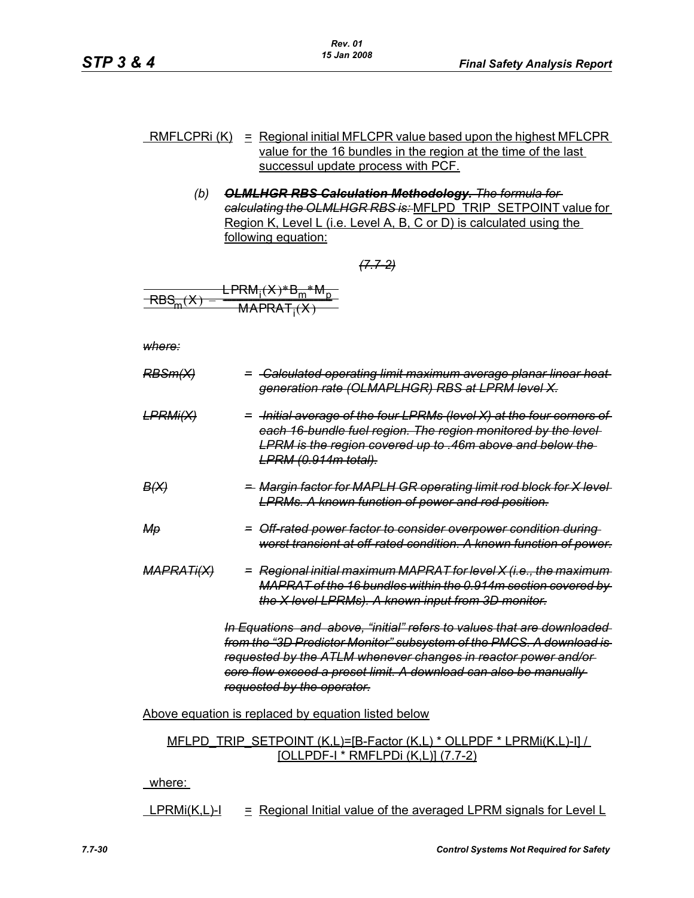- RMFLCPRI  $(K)$  = Regional initial MFLCPR value based upon the highest MFLCPR value for the 16 bundles in the region at the time of the last successul update process with PCF.
	- *(b) OLMLHGR RBS Calculation Methodology. The formula for calculating the OLMLHGR RBS is:* MFLPD\_TRIP\_SETPOINT value for Region K, Level L (i.e. Level A, B, C or D) is calculated using the following equation:

*(7.7-2)*

$$
\frac{\text{LPRM}_{i}(X)*B_{m}^{*}M_{p}}{\text{RBS}_{m}(X) = \text{MAPRAT}_{i}(X)}
$$

*where:*

| <del>RBSm(X)</del>                                                                                                                                                                                                                                                                                                 | = -Calculated operating limit maximum average planar linear heat-<br>generation rate (OLMAPLHGR) RBS at LPRM level X.                                                                                                                          |  |  |  |  |  |
|--------------------------------------------------------------------------------------------------------------------------------------------------------------------------------------------------------------------------------------------------------------------------------------------------------------------|------------------------------------------------------------------------------------------------------------------------------------------------------------------------------------------------------------------------------------------------|--|--|--|--|--|
| <del>LPRMi(X)</del>                                                                                                                                                                                                                                                                                                | = -Initial average of the four LPRMs (level X) at the four corners of<br>each 16 bundle fuel region. The region monitored by the level-<br><b>LPRM</b> is the region covered up to .46m above and below the<br><del>LPRM (0.914m total).</del> |  |  |  |  |  |
| <del>B(X)</del>                                                                                                                                                                                                                                                                                                    | <del>-</del> Margin factor for MAPLH GR operating limit rod block for X level<br><b>LPRMs. A known function of power and rod position.</b>                                                                                                     |  |  |  |  |  |
| Mө                                                                                                                                                                                                                                                                                                                 | = Off rated power factor to consider overpower condition during<br>worst transient at off-rated condition. A known function of power.                                                                                                          |  |  |  |  |  |
| <del>MAPRATi(X)</del>                                                                                                                                                                                                                                                                                              | = Regional initial maximum MAPRAT for level X (i.e., the maximum<br>MAPRAT of the 16 bundles within the 0.914m section covered by<br>the X level LPRMs). A known input from 3D monitor.                                                        |  |  |  |  |  |
| In Equations and above, "initial" refers to values that are downloaded<br>from the "3D Predictor Monitor" subsystem of the PMCS. A download is<br>requested by the ATLM whenever changes in reactor power and/or<br>core flow exceed a preset limit. A download can also be manually<br>requested by the operator. |                                                                                                                                                                                                                                                |  |  |  |  |  |
| Above equation is replaced by equation listed below                                                                                                                                                                                                                                                                |                                                                                                                                                                                                                                                |  |  |  |  |  |
|                                                                                                                                                                                                                                                                                                                    | MFLPD TRIP SETPOINT $(K,L)= [B-Factor(K,L) * OLLPDF * LPRMi(K,L)-I]/I$<br><u> [OLLPDF-I * RMFLPDi (K,L)] (7.7-2)</u>                                                                                                                           |  |  |  |  |  |
| where:                                                                                                                                                                                                                                                                                                             |                                                                                                                                                                                                                                                |  |  |  |  |  |

 $LPRMi(K, L)-I$  = Regional Initial value of the averaged LPRM signals for Level L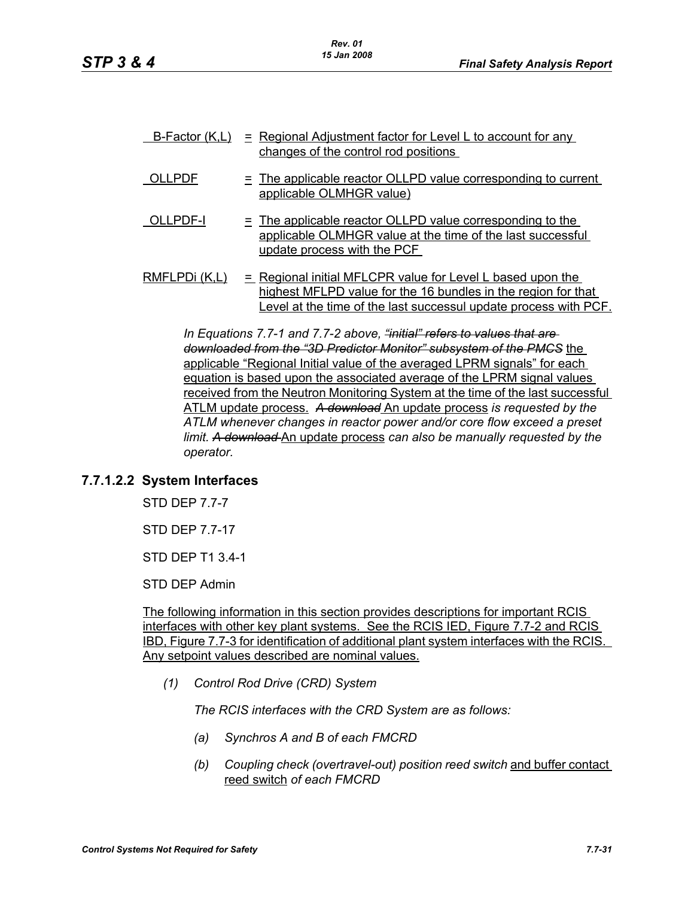|               | <u>B-Factor (K,L) = Regional Adjustment factor for Level L to account for any</u><br>changes of the control rod positions                                                                         |
|---------------|---------------------------------------------------------------------------------------------------------------------------------------------------------------------------------------------------|
| OLLPDF        | $\equiv$ The applicable reactor OLLPD value corresponding to current<br>applicable OLMHGR value)                                                                                                  |
| OLLPDF-I      | $\equiv$ The applicable reactor OLLPD value corresponding to the<br>applicable OLMHGR value at the time of the last successful<br>update process with the PCF                                     |
| RMFLPDi (K,L) | $=$ Regional initial MFLCPR value for Level L based upon the<br>highest MFLPD value for the 16 bundles in the region for that<br>Level at the time of the last successul update process with PCF. |

*In Equations 7.7-1 and 7.7-2 above, "initial" refers to values that are downloaded from the "3D Predictor Monitor" subsystem of the PMCS* the applicable "Regional Initial value of the averaged LPRM signals" for each equation is based upon the associated average of the LPRM signal values received from the Neutron Monitoring System at the time of the last successful ATLM update process. *A download* An update process *is requested by the ATLM whenever changes in reactor power and/or core flow exceed a preset limit. A download* An update process *can also be manually requested by the operator.*

## **7.7.1.2.2 System Interfaces**

STD DEP 7.7-7

STD DEP 7.7-17

STD DEP T1 3.4-1

STD DEP Admin

The following information in this section provides descriptions for important RCIS interfaces with other key plant systems. See the RCIS IED, Figure 7.7-2 and RCIS IBD, Figure 7.7-3 for identification of additional plant system interfaces with the RCIS. Any setpoint values described are nominal values.

*(1) Control Rod Drive (CRD) System*

*The RCIS interfaces with the CRD System are as follows:*

- *(a) Synchros A and B of each FMCRD*
- *(b) Coupling check (overtravel-out) position reed switch* and buffer contact reed switch *of each FMCRD*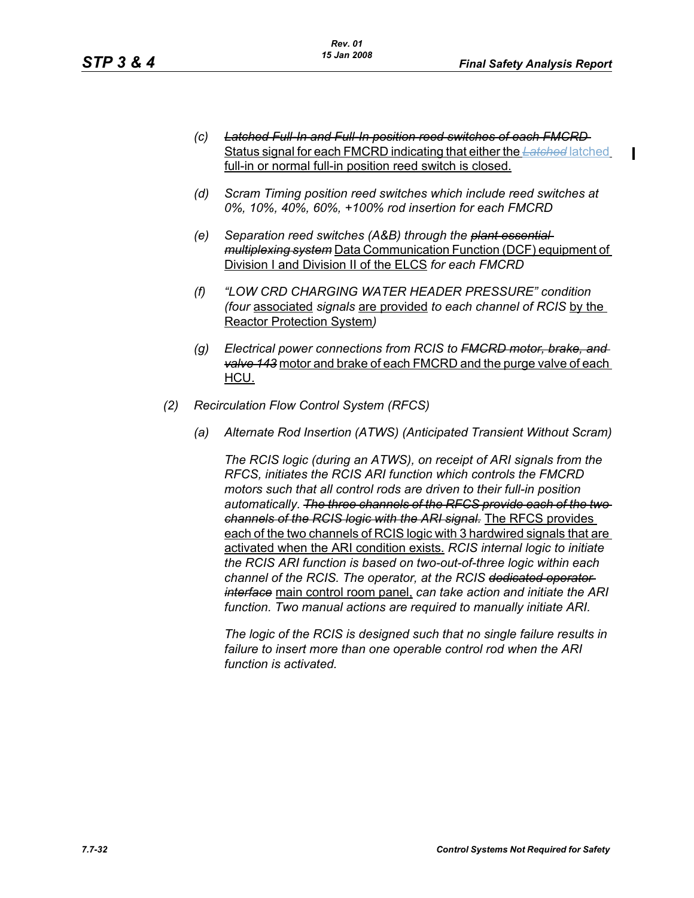П

- *(c) Latched Full-In and Full-In position reed switches of each FMCRD*  Status signal for each FMCRD indicating that either the *Latched* latched full-in or normal full-in position reed switch is closed.
- *(d) Scram Timing position reed switches which include reed switches at 0%, 10%, 40%, 60%, +100% rod insertion for each FMCRD*
- *(e) Separation reed switches (A&B) through the plant essential multiplexing system* Data Communication Function (DCF) equipment of Division I and Division II of the ELCS *for each FMCRD*
- *(f) "LOW CRD CHARGING WATER HEADER PRESSURE" condition (four* associated *signals* are provided *to each channel of RCIS* by the Reactor Protection System*)*
- *(g) Electrical power connections from RCIS to FMCRD motor, brake, and valve 143* motor and brake of each FMCRD and the purge valve of each HCU.
- *(2) Recirculation Flow Control System (RFCS)*
	- *(a) Alternate Rod Insertion (ATWS) (Anticipated Transient Without Scram)*

*The RCIS logic (during an ATWS), on receipt of ARI signals from the RFCS, initiates the RCIS ARI function which controls the FMCRD motors such that all control rods are driven to their full-in position automatically. The three channels of the RFCS provide each of the two channels of the RCIS logic with the ARI signal.* The RFCS provides each of the two channels of RCIS logic with 3 hardwired signals that are activated when the ARI condition exists. *RCIS internal logic to initiate the RCIS ARI function is based on two-out-of-three logic within each channel of the RCIS. The operator, at the RCIS dedicated operator interface* main control room panel, *can take action and initiate the ARI function. Two manual actions are required to manually initiate ARI.*

*The logic of the RCIS is designed such that no single failure results in failure to insert more than one operable control rod when the ARI function is activated.*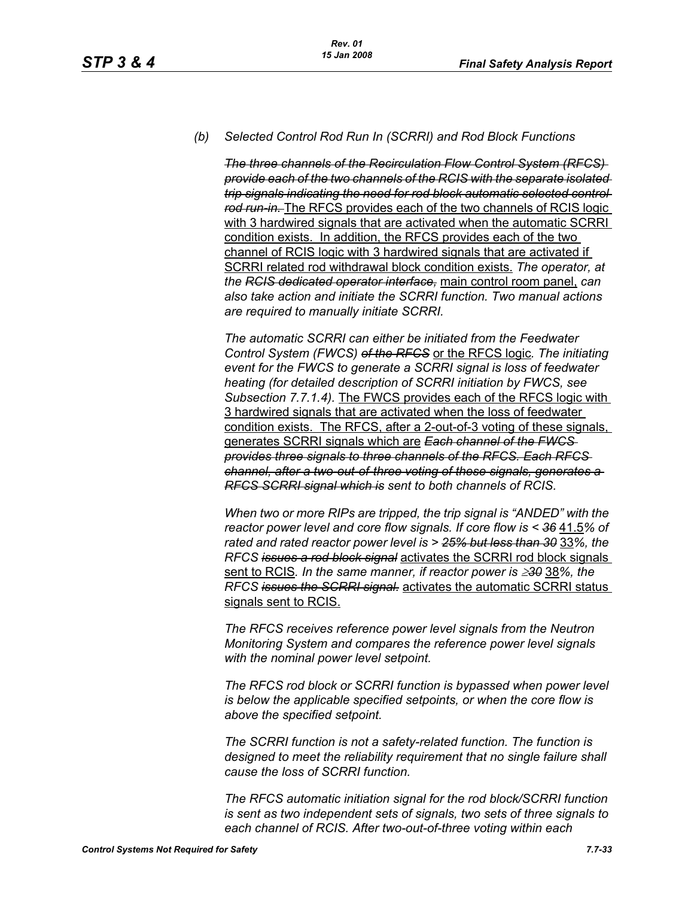#### *(b) Selected Control Rod Run In (SCRRI) and Rod Block Functions*

*The three channels of the Recirculation Flow Control System (RFCS) provide each of the two channels of the RCIS with the separate isolated trip signals indicating the need for rod block automatic selected control rod run-in.* The RFCS provides each of the two channels of RCIS logic with 3 hardwired signals that are activated when the automatic SCRRI condition exists. In addition, the RFCS provides each of the two channel of RCIS logic with 3 hardwired signals that are activated if SCRRI related rod withdrawal block condition exists. *The operator, at the RCIS dedicated operator interface,* main control room panel, *can also take action and initiate the SCRRI function. Two manual actions are required to manually initiate SCRRI.*

*The automatic SCRRI can either be initiated from the Feedwater Control System (FWCS) of the RFCS* or the RFCS logic*. The initiating event for the FWCS to generate a SCRRI signal is loss of feedwater heating (for detailed description of SCRRI initiation by FWCS, see Subsection 7.7.1.4).* The FWCS provides each of the RFCS logic with 3 hardwired signals that are activated when the loss of feedwater condition exists. The RFCS, after a 2-out-of-3 voting of these signals, generates SCRRI signals which are *Each channel of the FWCS provides three signals to three channels of the RFCS. Each RFCS channel, after a two-out-of-three voting of these signals, generates a RFCS SCRRI signal which is sent to both channels of RCIS.*

*When two or more RIPs are tripped, the trip signal is "ANDED" with the reactor power level and core flow signals. If core flow is < 36* 41.5*% of rated and rated reactor power level is > 25% but less than 30* 33*%, the RFCS issues a rod block signal* activates the SCRRI rod block signals sent to RCIS*. In the same manner, if reactor power is* ≥*30* 38*%, the RFCS issues the SCRRI signal.* activates the automatic SCRRI status signals sent to RCIS.

*The RFCS receives reference power level signals from the Neutron Monitoring System and compares the reference power level signals with the nominal power level setpoint.*

*The RFCS rod block or SCRRI function is bypassed when power level is below the applicable specified setpoints, or when the core flow is above the specified setpoint.*

*The SCRRI function is not a safety-related function. The function is designed to meet the reliability requirement that no single failure shall cause the loss of SCRRI function.*

*The RFCS automatic initiation signal for the rod block/SCRRI function is sent as two independent sets of signals, two sets of three signals to each channel of RCIS. After two-out-of-three voting within each*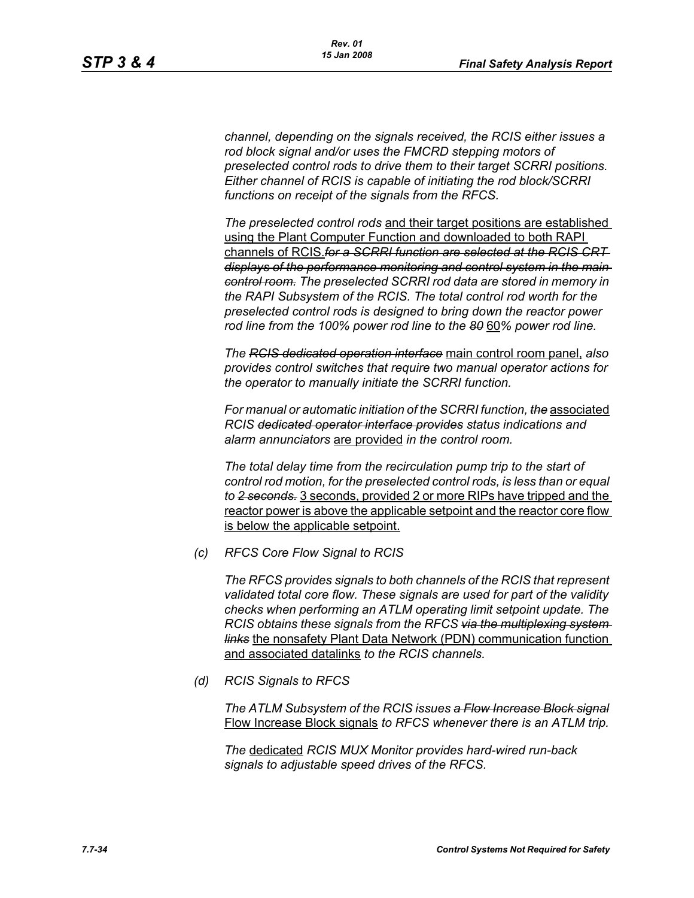*channel, depending on the signals received, the RCIS either issues a rod block signal and/or uses the FMCRD stepping motors of preselected control rods to drive them to their target SCRRI positions. Either channel of RCIS is capable of initiating the rod block/SCRRI functions on receipt of the signals from the RFCS.*

*The preselected control rods* and their target positions are established using the Plant Computer Function and downloaded to both RAPI channels of RCIS.*for a SCRRI function are selected at the RCIS CRT displays of the performance monitoring and control system in the main control room. The preselected SCRRI rod data are stored in memory in the RAPI Subsystem of the RCIS. The total control rod worth for the preselected control rods is designed to bring down the reactor power rod line from the 100% power rod line to the 80* 60*% power rod line.*

*The RCIS dedicated operation interface* main control room panel, *also provides control switches that require two manual operator actions for the operator to manually initiate the SCRRI function.*

*For manual or automatic initiation of the SCRRI function, the* associated *RCIS dedicated operator interface provides status indications and alarm annunciators* are provided *in the control room.*

*The total delay time from the recirculation pump trip to the start of control rod motion, for the preselected control rods, is less than or equal to 2 seconds.* 3 seconds, provided 2 or more RIPs have tripped and the reactor power is above the applicable setpoint and the reactor core flow is below the applicable setpoint.

*(c) RFCS Core Flow Signal to RCIS*

*The RFCS provides signals to both channels of the RCIS that represent validated total core flow. These signals are used for part of the validity checks when performing an ATLM operating limit setpoint update. The RCIS obtains these signals from the RFCS via the multiplexing system links* the nonsafety Plant Data Network (PDN) communication function and associated datalinks *to the RCIS channels.*

*(d) RCIS Signals to RFCS*

*The ATLM Subsystem of the RCIS issues a Flow Increase Block signal* Flow Increase Block signals *to RFCS whenever there is an ATLM trip.*

*The* dedicated *RCIS MUX Monitor provides hard-wired run-back signals to adjustable speed drives of the RFCS.*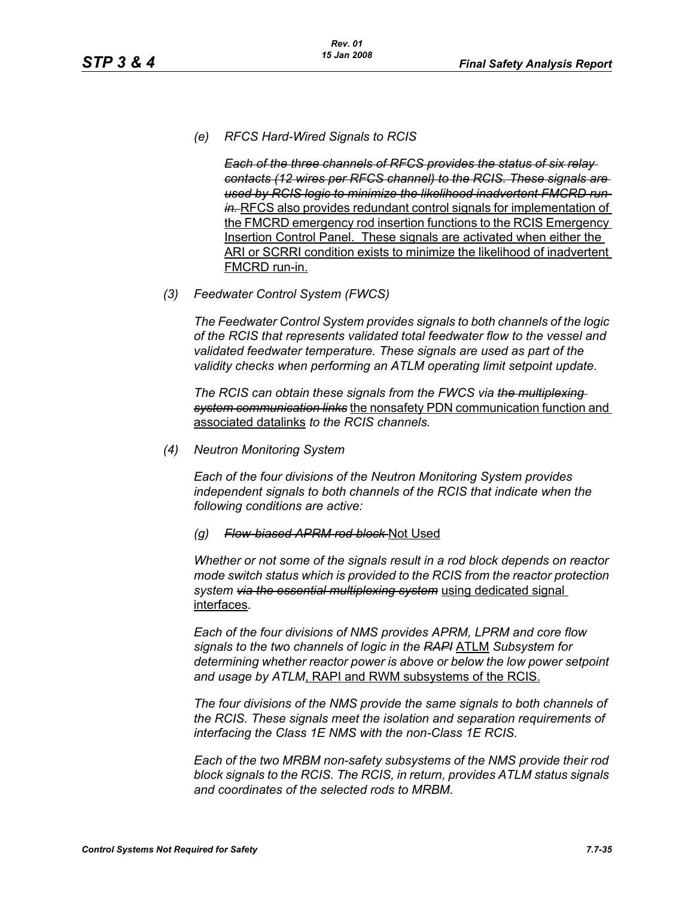*(e) RFCS Hard-Wired Signals to RCIS*

*Each of the three channels of RFCS provides the status of six relay contacts (12 wires per RFCS channel) to the RCIS. These signals are used by RCIS logic to minimize the likelihood inadvertent FMCRD runin.* RFCS also provides redundant control signals for implementation of the FMCRD emergency rod insertion functions to the RCIS Emergency Insertion Control Panel. These signals are activated when either the ARI or SCRRI condition exists to minimize the likelihood of inadvertent FMCRD run-in.

*(3) Feedwater Control System (FWCS)*

*The Feedwater Control System provides signals to both channels of the logic of the RCIS that represents validated total feedwater flow to the vessel and validated feedwater temperature. These signals are used as part of the validity checks when performing an ATLM operating limit setpoint update.*

*The RCIS can obtain these signals from the FWCS via the multiplexing system communication links* the nonsafety PDN communication function and associated datalinks *to the RCIS channels.*

*(4) Neutron Monitoring System*

*Each of the four divisions of the Neutron Monitoring System provides independent signals to both channels of the RCIS that indicate when the following conditions are active:*

*(g) Flow-biased APRM rod block* Not Used

*Whether or not some of the signals result in a rod block depends on reactor mode switch status which is provided to the RCIS from the reactor protection system via the essential multiplexing system* using dedicated signal interfaces*.*

*Each of the four divisions of NMS provides APRM, LPRM and core flow signals to the two channels of logic in the RAPI* ATLM *Subsystem for determining whether reactor power is above or below the low power setpoint and usage by ATLM*, RAPI and RWM subsystems of the RCIS.

*The four divisions of the NMS provide the same signals to both channels of the RCIS. These signals meet the isolation and separation requirements of interfacing the Class 1E NMS with the non-Class 1E RCIS.*

*Each of the two MRBM non-safety subsystems of the NMS provide their rod block signals to the RCIS. The RCIS, in return, provides ATLM status signals and coordinates of the selected rods to MRBM.*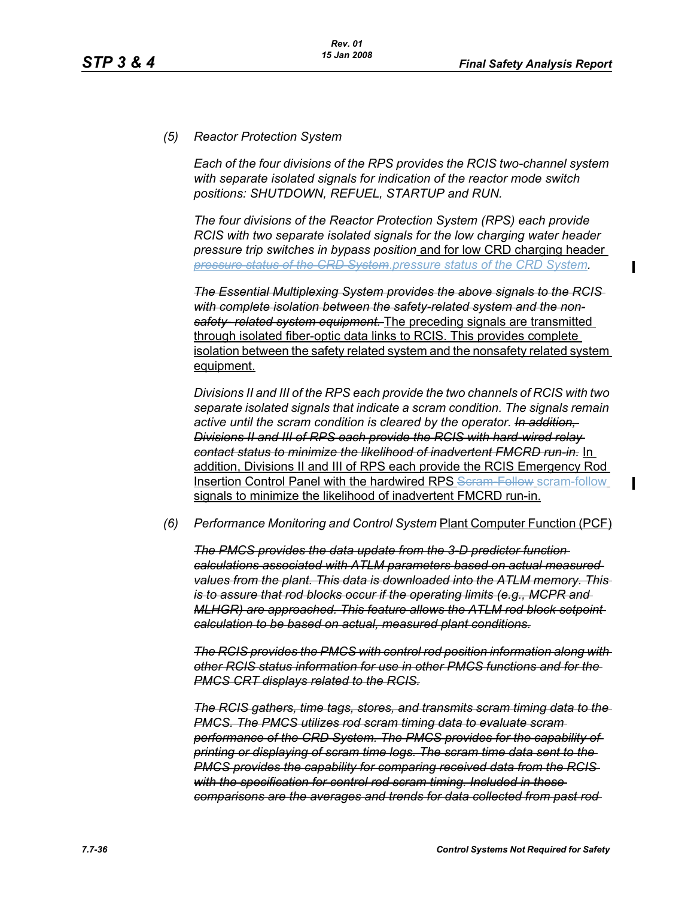## *(5) Reactor Protection System*

*Each of the four divisions of the RPS provides the RCIS two-channel system with separate isolated signals for indication of the reactor mode switch positions: SHUTDOWN, REFUEL, STARTUP and RUN.*

*The four divisions of the Reactor Protection System (RPS) each provide RCIS with two separate isolated signals for the low charging water header pressure trip switches in bypass position* and for low CRD charging header *pressure status of the CRD System*.*pressure status of the CRD System.*

*The Essential Multiplexing System provides the above signals to the RCIS with complete isolation between the safety-related system and the nonsafety- related system equipment.* The preceding signals are transmitted through isolated fiber-optic data links to RCIS. This provides complete isolation between the safety related system and the nonsafety related system equipment.

*Divisions II and III of the RPS each provide the two channels of RCIS with two separate isolated signals that indicate a scram condition. The signals remain active until the scram condition is cleared by the operator. In addition, Divisions II and III of RPS each provide the RCIS with hard-wired relay contact status to minimize the likelihood of inadvertent FMCRD run-in.* In addition, Divisions II and III of RPS each provide the RCIS Emergency Rod Insertion Control Panel with the hardwired RPS Seram Follow scram-follow signals to minimize the likelihood of inadvertent FMCRD run-in.

#### *(6) Performance Monitoring and Control System* Plant Computer Function (PCF)

*The PMCS provides the data update from the 3-D predictor function calculations associated with ATLM parameters based on actual measured values from the plant. This data is downloaded into the ATLM memory. This is to assure that rod blocks occur if the operating limits (e.g., MCPR and MLHGR) are approached. This feature allows the ATLM rod block setpoint calculation to be based on actual, measured plant conditions.*

*The RCIS provides the PMCS with control rod position information along with other RCIS status information for use in other PMCS functions and for the PMCS CRT displays related to the RCIS.*

*The RCIS gathers, time tags, stores, and transmits scram timing data to the PMCS. The PMCS utilizes rod scram timing data to evaluate scram performance of the CRD System. The PMCS provides for the capability of printing or displaying of scram time logs. The scram time data sent to the PMCS provides the capability for comparing received data from the RCIS with the specification for control rod scram timing. Included in these comparisons are the averages and trends for data collected from past rod*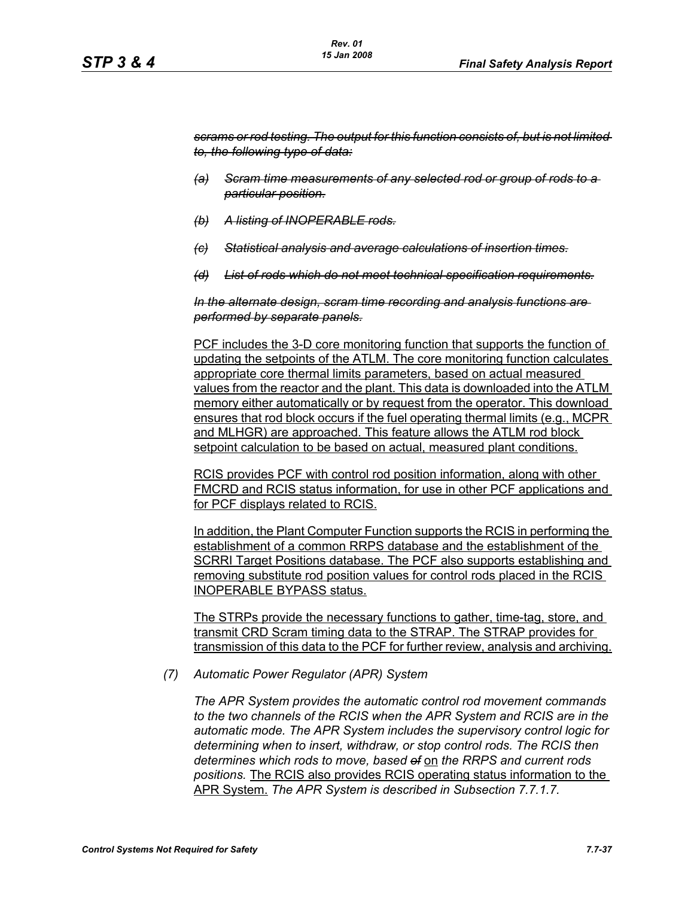*scrams or rod testing. The output for this function consists of, but is not limited to, the following type of data:*

- *(a) Scram time measurements of any selected rod or group of rods to a particular position.*
- *(b) A listing of INOPERABLE rods.*
- *(c) Statistical analysis and average calculations of insertion times.*
- *(d) List of rods which do not meet technical specification requirements.*

*In the alternate design, scram time recording and analysis functions are performed by separate panels.*

PCF includes the 3-D core monitoring function that supports the function of updating the setpoints of the ATLM. The core monitoring function calculates appropriate core thermal limits parameters, based on actual measured values from the reactor and the plant. This data is downloaded into the ATLM memory either automatically or by request from the operator. This download ensures that rod block occurs if the fuel operating thermal limits (e.g., MCPR and MLHGR) are approached. This feature allows the ATLM rod block setpoint calculation to be based on actual, measured plant conditions.

RCIS provides PCF with control rod position information, along with other FMCRD and RCIS status information, for use in other PCF applications and for PCF displays related to RCIS.

In addition, the Plant Computer Function supports the RCIS in performing the establishment of a common RRPS database and the establishment of the SCRRI Target Positions database. The PCF also supports establishing and removing substitute rod position values for control rods placed in the RCIS INOPERABLE BYPASS status.

The STRPs provide the necessary functions to gather, time-tag, store, and transmit CRD Scram timing data to the STRAP. The STRAP provides for transmission of this data to the PCF for further review, analysis and archiving.

*(7) Automatic Power Regulator (APR) System*

*The APR System provides the automatic control rod movement commands to the two channels of the RCIS when the APR System and RCIS are in the automatic mode. The APR System includes the supervisory control logic for determining when to insert, withdraw, or stop control rods. The RCIS then determines which rods to move, based of* on *the RRPS and current rods positions.* The RCIS also provides RCIS operating status information to the APR System. *The APR System is described in Subsection 7.7.1.7.*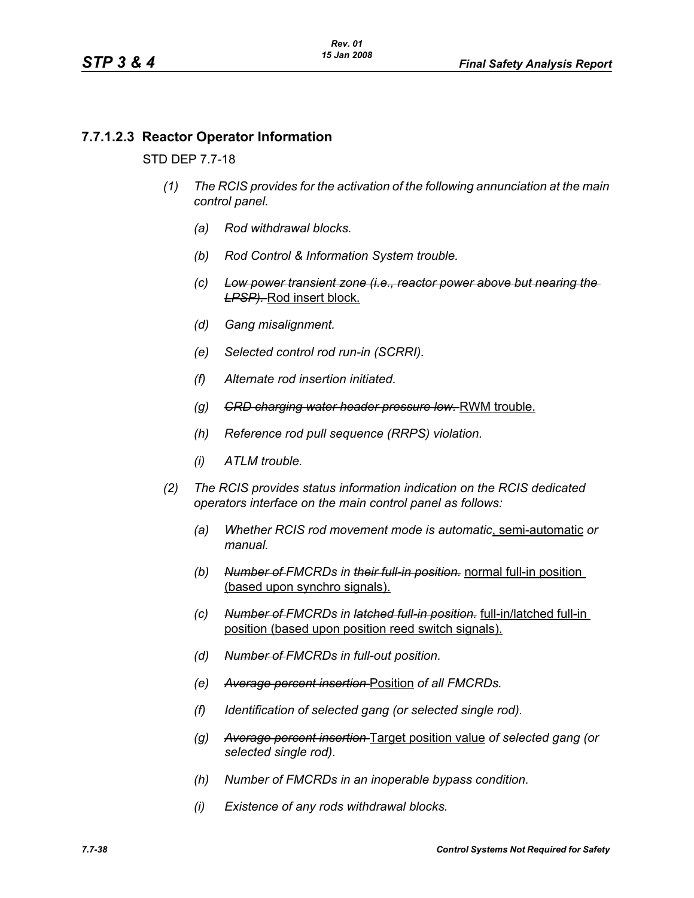# **7.7.1.2.3 Reactor Operator Information**

### STD DEP 7.7-18

- *(1) The RCIS provides for the activation of the following annunciation at the main control panel.*
	- *(a) Rod withdrawal blocks.*
	- *(b) Rod Control & Information System trouble.*
	- *(c) Low power transient zone (i.e., reactor power above but nearing the LPSP).* Rod insert block.
	- *(d) Gang misalignment.*
	- *(e) Selected control rod run-in (SCRRI).*
	- *(f) Alternate rod insertion initiated.*
	- *(g) CRD charging water header pressure low.* RWM trouble.
	- *(h) Reference rod pull sequence (RRPS) violation.*
	- *(i) ATLM trouble.*
- *(2) The RCIS provides status information indication on the RCIS dedicated operators interface on the main control panel as follows:*
	- *(a) Whether RCIS rod movement mode is automatic*, semi-automatic *or manual.*
	- *(b) Number of FMCRDs in their full-in position.* normal full-in position (based upon synchro signals).
	- *(c) Number of FMCRDs in latched full-in position.* full-in/latched full-in position (based upon position reed switch signals).
	- *(d) Number of FMCRDs in full-out position.*
	- *(e) Average percent insertion* Position *of all FMCRDs.*
	- *(f) Identification of selected gang (or selected single rod).*
	- *(g) Average percent insertion* Target position value *of selected gang (or selected single rod).*
	- *(h) Number of FMCRDs in an inoperable bypass condition.*
	- *(i) Existence of any rods withdrawal blocks.*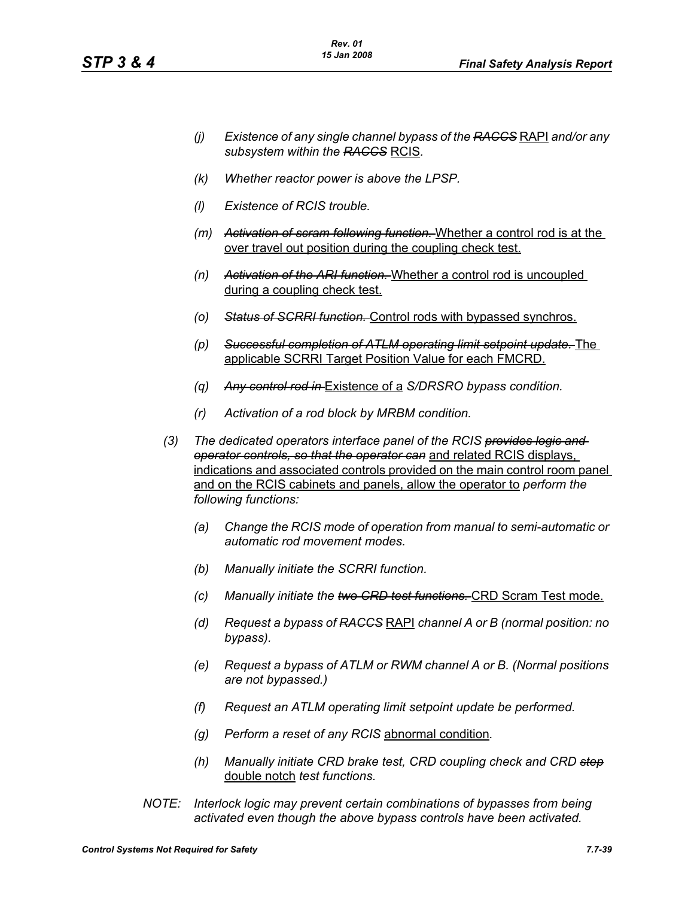- *(j) Existence of any single channel bypass of the RACCS* RAPI *and/or any subsystem within the RACCS* RCIS*.*
- *(k) Whether reactor power is above the LPSP.*
- *(l) Existence of RCIS trouble.*
- *(m) Activation of scram following function.* Whether a control rod is at the over travel out position during the coupling check test.
- *(n) Activation of the ARI function.* Whether a control rod is uncoupled during a coupling check test.
- *(o) Status of SCRRI function.* Control rods with bypassed synchros.
- *(p) Successful completion of ATLM operating limit setpoint update.* The applicable SCRRI Target Position Value for each FMCRD.
- *(q) Any control rod in* Existence of a *S/DRSRO bypass condition.*
- *(r) Activation of a rod block by MRBM condition.*
- *(3) The dedicated operators interface panel of the RCIS provides logic and operator controls, so that the operator can* and related RCIS displays, indications and associated controls provided on the main control room panel and on the RCIS cabinets and panels, allow the operator to *perform the following functions:*
	- *(a) Change the RCIS mode of operation from manual to semi-automatic or automatic rod movement modes.*
	- *(b) Manually initiate the SCRRI function.*
	- *(c) Manually initiate the two CRD test functions.* CRD Scram Test mode.
	- *(d) Request a bypass of RACCS* RAPI *channel A or B (normal position: no bypass).*
	- *(e) Request a bypass of ATLM or RWM channel A or B. (Normal positions are not bypassed.)*
	- *(f) Request an ATLM operating limit setpoint update be performed.*
	- *(g) Perform a reset of any RCIS* abnormal condition*.*
	- *(h) Manually initiate CRD brake test, CRD coupling check and CRD step* double notch *test functions.*
- *NOTE: Interlock logic may prevent certain combinations of bypasses from being activated even though the above bypass controls have been activated.*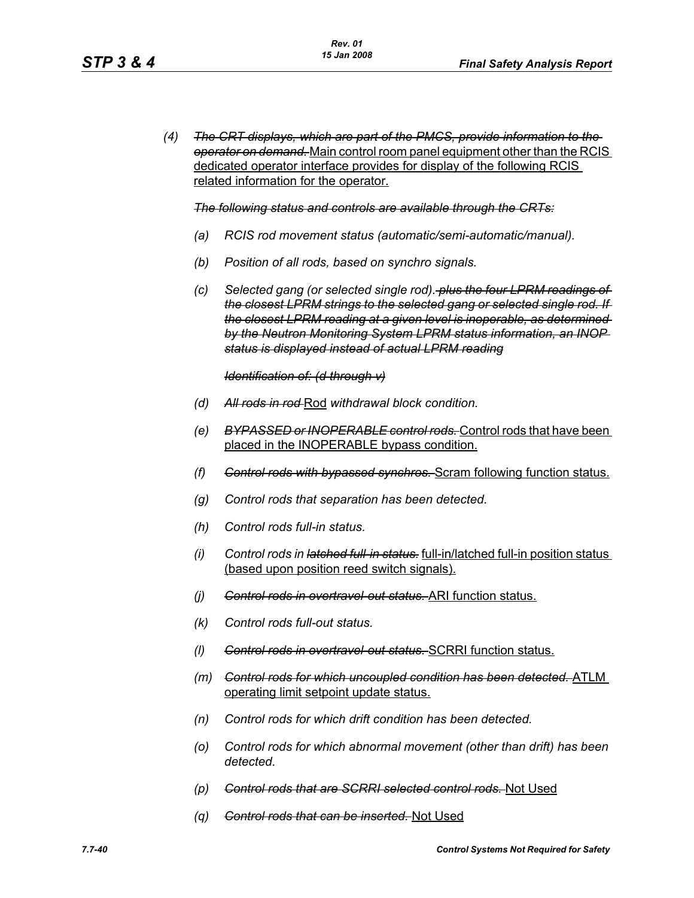*(4) The CRT displays, which are part of the PMCS, provide information to the operator on demand.* Main control room panel equipment other than the RCIS dedicated operator interface provides for display of the following RCIS related information for the operator.

#### *The following status and controls are available through the CRTs:*

- *(a) RCIS rod movement status (automatic/semi-automatic/manual).*
- *(b) Position of all rods, based on synchro signals.*
- *(c) Selected gang (or selected single rod). plus the four LPRM readings of the closest LPRM strings to the selected gang or selected single rod. If the closest LPRM reading at a given level is inoperable, as determined by the Neutron Monitoring System LPRM status information, an INOP status is displayed instead of actual LPRM reading*

#### *Identification of: (d through v)*

- *(d) All rods in rod* Rod *withdrawal block condition.*
- *(e) BYPASSED or INOPERABLE control rods.* Control rods that have been placed in the INOPERABLE bypass condition.
- *(f) Control rods with bypassed synchros.* Scram following function status.
- *(g) Control rods that separation has been detected.*
- *(h) Control rods full-in status.*
- *(i) Control rods in latched full-in status.* full-in/latched full-in position status (based upon position reed switch signals).
- *(j) Control rods in overtravel-out status.* ARI function status.
- *(k) Control rods full-out status.*
- *(l) Control rods in overtravel-out status.* SCRRI function status.
- *(m) Control rods for which uncoupled condition has been detected.* ATLM operating limit setpoint update status.
- *(n) Control rods for which drift condition has been detected.*
- *(o) Control rods for which abnormal movement (other than drift) has been detected.*
- *(p) Control rods that are SCRRI selected control rods.* Not Used
- *(q) Control rods that can be inserted.* Not Used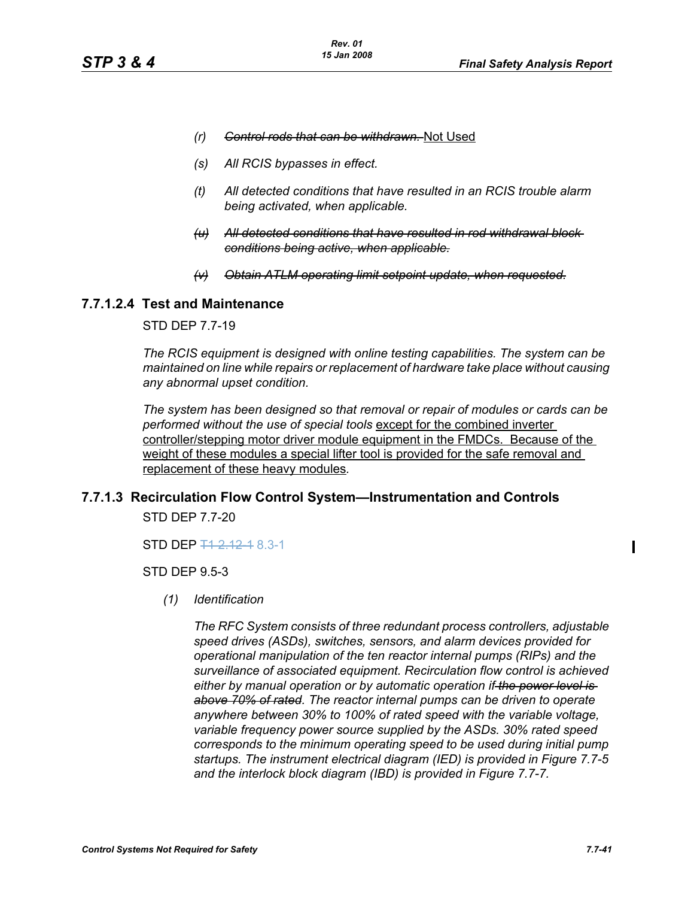- *(r) Control rods that can be withdrawn.* Not Used
- *(s) All RCIS bypasses in effect.*
- *(t) All detected conditions that have resulted in an RCIS trouble alarm being activated, when applicable.*
- *(u) All detected conditions that have resulted in rod withdrawal block conditions being active, when applicable.*
- **Obtain ATLM operating limit setpoint update, when requested.**

## **7.7.1.2.4 Test and Maintenance**

## STD DEP 7.7-19

*The RCIS equipment is designed with online testing capabilities. The system can be maintained on line while repairs or replacement of hardware take place without causing any abnormal upset condition.*

*The system has been designed so that removal or repair of modules or cards can be performed without the use of special tools* except for the combined inverter controller/stepping motor driver module equipment in the FMDCs. Because of the weight of these modules a special lifter tool is provided for the safe removal and replacement of these heavy modules*.*

#### **7.7.1.3 Recirculation Flow Control System—Instrumentation and Controls**

STD DEP 7.7-20

STD DEP  $\frac{11}{2}$  12 1 8.3-1

STD DEP 9.5-3

*(1) Identification*

*The RFC System consists of three redundant process controllers, adjustable speed drives (ASDs), switches, sensors, and alarm devices provided for operational manipulation of the ten reactor internal pumps (RIPs) and the surveillance of associated equipment. Recirculation flow control is achieved either by manual operation or by automatic operation if the power level is above 70% of rated. The reactor internal pumps can be driven to operate anywhere between 30% to 100% of rated speed with the variable voltage, variable frequency power source supplied by the ASDs. 30% rated speed corresponds to the minimum operating speed to be used during initial pump startups. The instrument electrical diagram (IED) is provided in Figure 7.7-5 and the interlock block diagram (IBD) is provided in Figure 7.7-7.*

Ι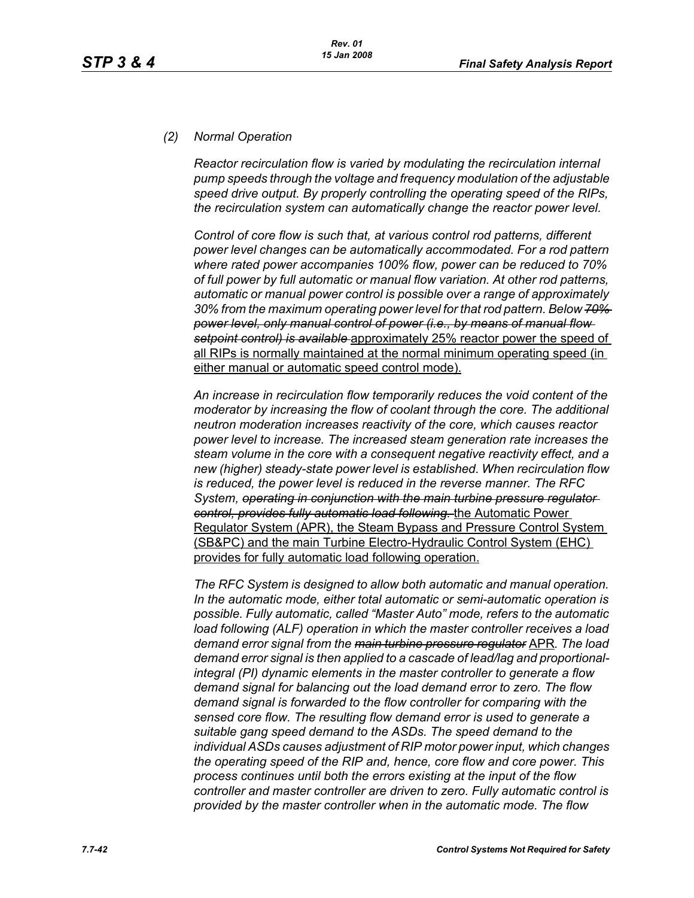# *(2) Normal Operation*

*Reactor recirculation flow is varied by modulating the recirculation internal pump speeds through the voltage and frequency modulation of the adjustable speed drive output. By properly controlling the operating speed of the RIPs, the recirculation system can automatically change the reactor power level.*

*Control of core flow is such that, at various control rod patterns, different power level changes can be automatically accommodated. For a rod pattern where rated power accompanies 100% flow, power can be reduced to 70% of full power by full automatic or manual flow variation. At other rod patterns, automatic or manual power control is possible over a range of approximately 30% from the maximum operating power level for that rod pattern. Below 70% power level, only manual control of power (i.e., by means of manual flow setpoint control) is available* approximately 25% reactor power the speed of all RIPs is normally maintained at the normal minimum operating speed (in either manual or automatic speed control mode).

*An increase in recirculation flow temporarily reduces the void content of the moderator by increasing the flow of coolant through the core. The additional neutron moderation increases reactivity of the core, which causes reactor power level to increase. The increased steam generation rate increases the steam volume in the core with a consequent negative reactivity effect, and a new (higher) steady-state power level is established. When recirculation flow is reduced, the power level is reduced in the reverse manner. The RFC System, operating in conjunction with the main turbine pressure regulator control, provides fully automatic load following.* the Automatic Power Regulator System (APR), the Steam Bypass and Pressure Control System (SB&PC) and the main Turbine Electro-Hydraulic Control System (EHC) provides for fully automatic load following operation.

*The RFC System is designed to allow both automatic and manual operation. In the automatic mode, either total automatic or semi-automatic operation is possible. Fully automatic, called "Master Auto" mode, refers to the automatic load following (ALF) operation in which the master controller receives a load demand error signal from the main turbine pressure regulator* APR*. The load demand error signal is then applied to a cascade of lead/lag and proportionalintegral (PI) dynamic elements in the master controller to generate a flow demand signal for balancing out the load demand error to zero. The flow demand signal is forwarded to the flow controller for comparing with the sensed core flow. The resulting flow demand error is used to generate a suitable gang speed demand to the ASDs. The speed demand to the individual ASDs causes adjustment of RIP motor power input, which changes the operating speed of the RIP and, hence, core flow and core power. This process continues until both the errors existing at the input of the flow controller and master controller are driven to zero. Fully automatic control is provided by the master controller when in the automatic mode. The flow*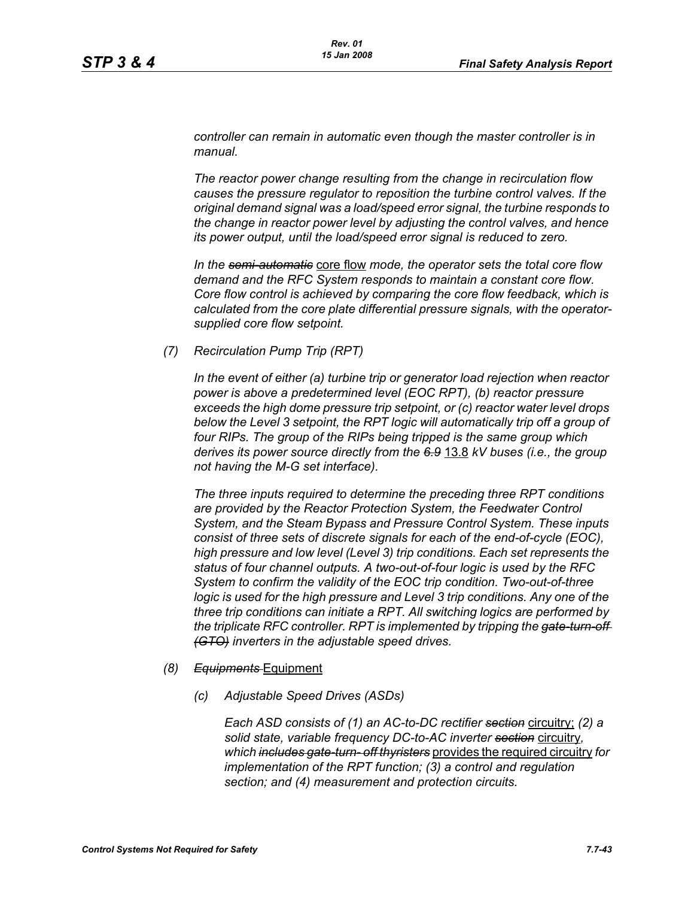*controller can remain in automatic even though the master controller is in manual.*

*The reactor power change resulting from the change in recirculation flow causes the pressure regulator to reposition the turbine control valves. If the original demand signal was a load/speed error signal, the turbine responds to the change in reactor power level by adjusting the control valves, and hence its power output, until the load/speed error signal is reduced to zero.*

*In the semi-automatic* core flow *mode, the operator sets the total core flow demand and the RFC System responds to maintain a constant core flow. Core flow control is achieved by comparing the core flow feedback, which is calculated from the core plate differential pressure signals, with the operatorsupplied core flow setpoint.*

*(7) Recirculation Pump Trip (RPT)*

*In the event of either (a) turbine trip or generator load rejection when reactor power is above a predetermined level (EOC RPT), (b) reactor pressure exceeds the high dome pressure trip setpoint, or (c) reactor water level drops*  below the Level 3 setpoint, the RPT logic will automatically trip off a group of *four RIPs. The group of the RIPs being tripped is the same group which derives its power source directly from the 6.9* 13.8 *kV buses (i.e., the group not having the M-G set interface).*

*The three inputs required to determine the preceding three RPT conditions are provided by the Reactor Protection System, the Feedwater Control System, and the Steam Bypass and Pressure Control System. These inputs consist of three sets of discrete signals for each of the end-of-cycle (EOC), high pressure and low level (Level 3) trip conditions. Each set represents the status of four channel outputs. A two-out-of-four logic is used by the RFC System to confirm the validity of the EOC trip condition. Two-out-of-three logic is used for the high pressure and Level 3 trip conditions. Any one of the three trip conditions can initiate a RPT. All switching logics are performed by the triplicate RFC controller. RPT is implemented by tripping the gate-turn-off (GTO) inverters in the adjustable speed drives.*

- *(8) Equipments* Equipment
	- *(c) Adjustable Speed Drives (ASDs)*

*Each ASD consists of (1) an AC-to-DC rectifier section* circuitry; *(2) a solid state, variable frequency DC-to-AC inverter section* circuitry*, which includes gate-turn- off thyristers* provides the required circuitry *for implementation of the RPT function; (3) a control and regulation section; and (4) measurement and protection circuits.*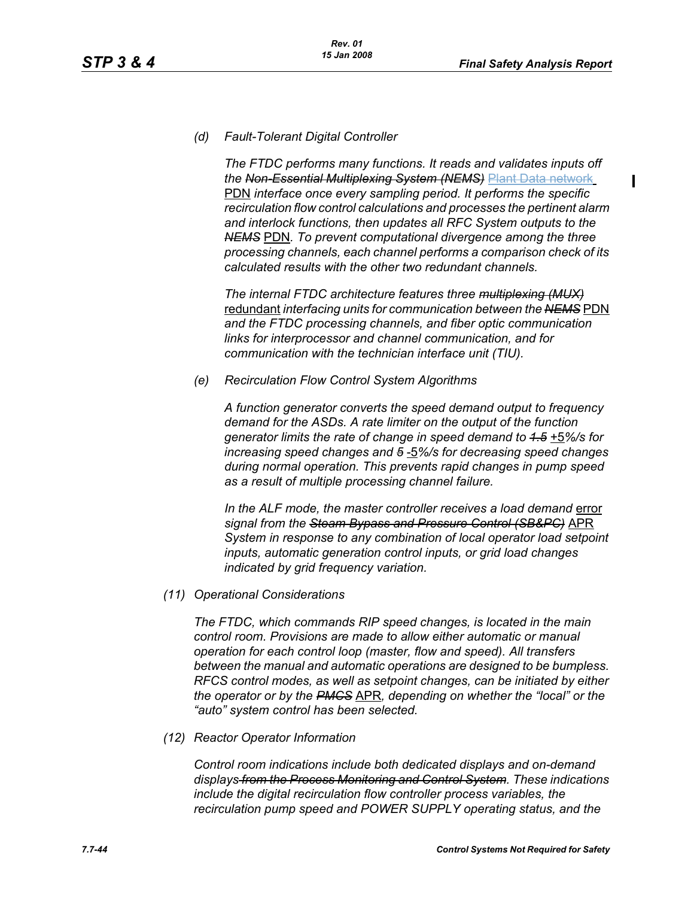$\mathbf I$ 

## *(d) Fault-Tolerant Digital Controller*

*The FTDC performs many functions. It reads and validates inputs off the Non-Essential Multiplexing System (NEMS)* Plant Data network PDN *interface once every sampling period. It performs the specific recirculation flow control calculations and processes the pertinent alarm and interlock functions, then updates all RFC System outputs to the NEMS* PDN*. To prevent computational divergence among the three processing channels, each channel performs a comparison check of its calculated results with the other two redundant channels.*

*The internal FTDC architecture features three multiplexing (MUX)* redundant *interfacing units for communication between the NEMS* PDN *and the FTDC processing channels, and fiber optic communication links for interprocessor and channel communication, and for communication with the technician interface unit (TIU).*

*(e) Recirculation Flow Control System Algorithms*

*A function generator converts the speed demand output to frequency demand for the ASDs. A rate limiter on the output of the function generator limits the rate of change in speed demand to 1.5* +5*%/s for increasing speed changes and 5* -5*%/s for decreasing speed changes during normal operation. This prevents rapid changes in pump speed as a result of multiple processing channel failure.*

In the ALF mode, the master controller receives a load demand error *signal from the Steam Bypass and Pressure Control (SB&PC)* APR *System in response to any combination of local operator load setpoint inputs, automatic generation control inputs, or grid load changes indicated by grid frequency variation.*

#### *(11) Operational Considerations*

*The FTDC, which commands RIP speed changes, is located in the main control room. Provisions are made to allow either automatic or manual operation for each control loop (master, flow and speed). All transfers between the manual and automatic operations are designed to be bumpless. RFCS control modes, as well as setpoint changes, can be initiated by either the operator or by the PMCS* APR*, depending on whether the "local" or the "auto" system control has been selected.*

*(12) Reactor Operator Information*

*Control room indications include both dedicated displays and on-demand displays from the Process Monitoring and Control System. These indications include the digital recirculation flow controller process variables, the recirculation pump speed and POWER SUPPLY operating status, and the*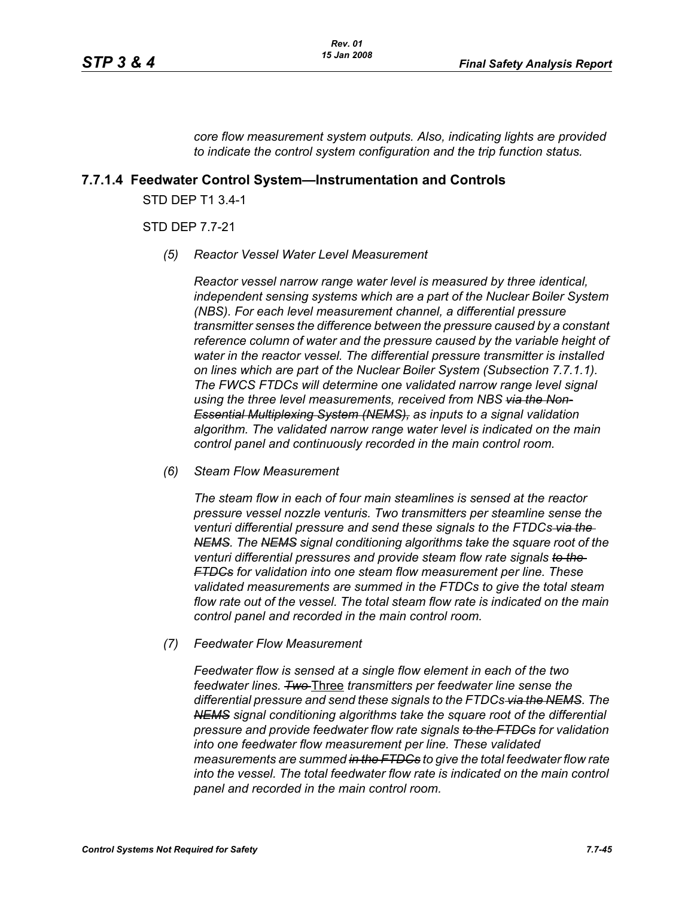*core flow measurement system outputs. Also, indicating lights are provided to indicate the control system configuration and the trip function status.*

## **7.7.1.4 Feedwater Control System—Instrumentation and Controls**

STD DEP T1 3.4-1

## STD DEP 7.7-21

*(5) Reactor Vessel Water Level Measurement* 

*Reactor vessel narrow range water level is measured by three identical, independent sensing systems which are a part of the Nuclear Boiler System (NBS). For each level measurement channel, a differential pressure transmitter senses the difference between the pressure caused by a constant reference column of water and the pressure caused by the variable height of water in the reactor vessel. The differential pressure transmitter is installed on lines which are part of the Nuclear Boiler System (Subsection 7.7.1.1). The FWCS FTDCs will determine one validated narrow range level signal using the three level measurements, received from NBS via the Non-Essential Multiplexing System (NEMS), as inputs to a signal validation algorithm. The validated narrow range water level is indicated on the main control panel and continuously recorded in the main control room.*

*(6) Steam Flow Measurement*

*The steam flow in each of four main steamlines is sensed at the reactor pressure vessel nozzle venturis. Two transmitters per steamline sense the venturi differential pressure and send these signals to the FTDCs via the NEMS. The NEMS signal conditioning algorithms take the square root of the venturi differential pressures and provide steam flow rate signals to the FTDCs for validation into one steam flow measurement per line. These validated measurements are summed in the FTDCs to give the total steam flow rate out of the vessel. The total steam flow rate is indicated on the main control panel and recorded in the main control room.*

*(7) Feedwater Flow Measurement*

*Feedwater flow is sensed at a single flow element in each of the two feedwater lines. Two* Three *transmitters per feedwater line sense the differential pressure and send these signals to the FTDCs via the NEMS. The NEMS signal conditioning algorithms take the square root of the differential pressure and provide feedwater flow rate signals to the FTDCs for validation into one feedwater flow measurement per line. These validated measurements are summed in the FTDCs to give the total feedwater flow rate into the vessel. The total feedwater flow rate is indicated on the main control panel and recorded in the main control room.*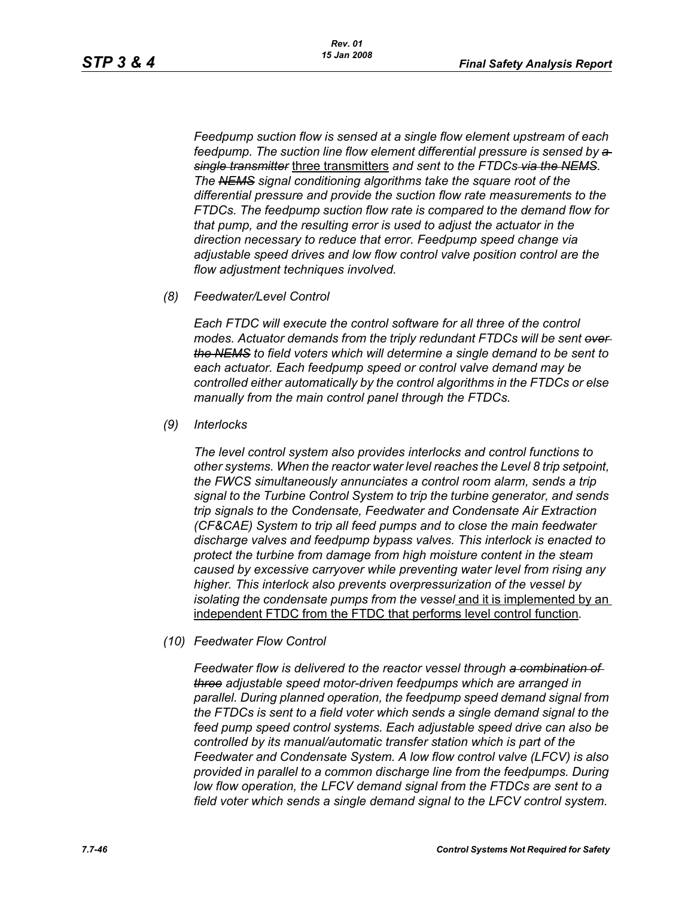*Feedpump suction flow is sensed at a single flow element upstream of each feedpump. The suction line flow element differential pressure is sensed by a single transmitter* three transmitters *and sent to the FTDCs via the NEMS. The NEMS signal conditioning algorithms take the square root of the differential pressure and provide the suction flow rate measurements to the FTDCs. The feedpump suction flow rate is compared to the demand flow for that pump, and the resulting error is used to adjust the actuator in the direction necessary to reduce that error. Feedpump speed change via adjustable speed drives and low flow control valve position control are the flow adjustment techniques involved.*

*(8) Feedwater/Level Control*

*Each FTDC will execute the control software for all three of the control modes. Actuator demands from the triply redundant FTDCs will be sent over the NEMS to field voters which will determine a single demand to be sent to each actuator. Each feedpump speed or control valve demand may be controlled either automatically by the control algorithms in the FTDCs or else manually from the main control panel through the FTDCs.*

*(9) Interlocks*

*The level control system also provides interlocks and control functions to other systems. When the reactor water level reaches the Level 8 trip setpoint, the FWCS simultaneously annunciates a control room alarm, sends a trip signal to the Turbine Control System to trip the turbine generator, and sends trip signals to the Condensate, Feedwater and Condensate Air Extraction (CF&CAE) System to trip all feed pumps and to close the main feedwater discharge valves and feedpump bypass valves. This interlock is enacted to protect the turbine from damage from high moisture content in the steam caused by excessive carryover while preventing water level from rising any higher. This interlock also prevents overpressurization of the vessel by isolating the condensate pumps from the vessel* and it is implemented by an independent FTDC from the FTDC that performs level control function*.*

*(10) Feedwater Flow Control*

*Feedwater flow is delivered to the reactor vessel through a combination of three adjustable speed motor-driven feedpumps which are arranged in parallel. During planned operation, the feedpump speed demand signal from the FTDCs is sent to a field voter which sends a single demand signal to the feed pump speed control systems. Each adjustable speed drive can also be controlled by its manual/automatic transfer station which is part of the Feedwater and Condensate System. A low flow control valve (LFCV) is also provided in parallel to a common discharge line from the feedpumps. During low flow operation, the LFCV demand signal from the FTDCs are sent to a field voter which sends a single demand signal to the LFCV control system.*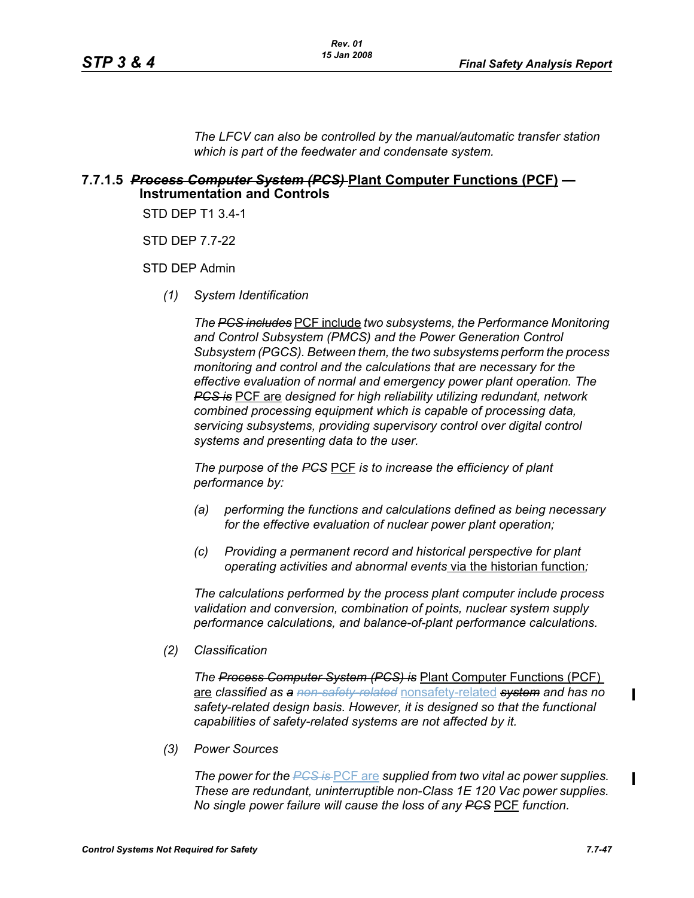*The LFCV can also be controlled by the manual/automatic transfer station which is part of the feedwater and condensate system.*

## **7.7.1.5** *Process Computer System (PCS)* **Plant Computer Functions (PCF) — Instrumentation and Controls**

STD DEP T1 3.4-1

STD DEP 7.7-22

STD DEP Admin

*(1) System Identification*

*The PCS includes* PCF include *two subsystems, the Performance Monitoring and Control Subsystem (PMCS) and the Power Generation Control Subsystem (PGCS). Between them, the two subsystems perform the process monitoring and control and the calculations that are necessary for the effective evaluation of normal and emergency power plant operation. The PCS is* PCF are *designed for high reliability utilizing redundant, network combined processing equipment which is capable of processing data, servicing subsystems, providing supervisory control over digital control systems and presenting data to the user.*

*The purpose of the PCS* PCF *is to increase the efficiency of plant performance by:*

- *(a) performing the functions and calculations defined as being necessary for the effective evaluation of nuclear power plant operation;*
- *(c) Providing a permanent record and historical perspective for plant operating activities and abnormal events* via the historian function*;*

*The calculations performed by the process plant computer include process validation and conversion, combination of points, nuclear system supply performance calculations, and balance-of-plant performance calculations.*

*(2) Classification*

*The Process Computer System (PCS) is* Plant Computer Functions (PCF) are *classified as a non-safety-related* nonsafety-related *system and has no safety-related design basis. However, it is designed so that the functional capabilities of safety-related systems are not affected by it.*

*(3) Power Sources*

*The power for the PCS is* PCF are *supplied from two vital ac power supplies. These are redundant, uninterruptible non-Class 1E 120 Vac power supplies. No single power failure will cause the loss of any PCS* PCF *function.*

 $\mathbf I$ 

 $\blacksquare$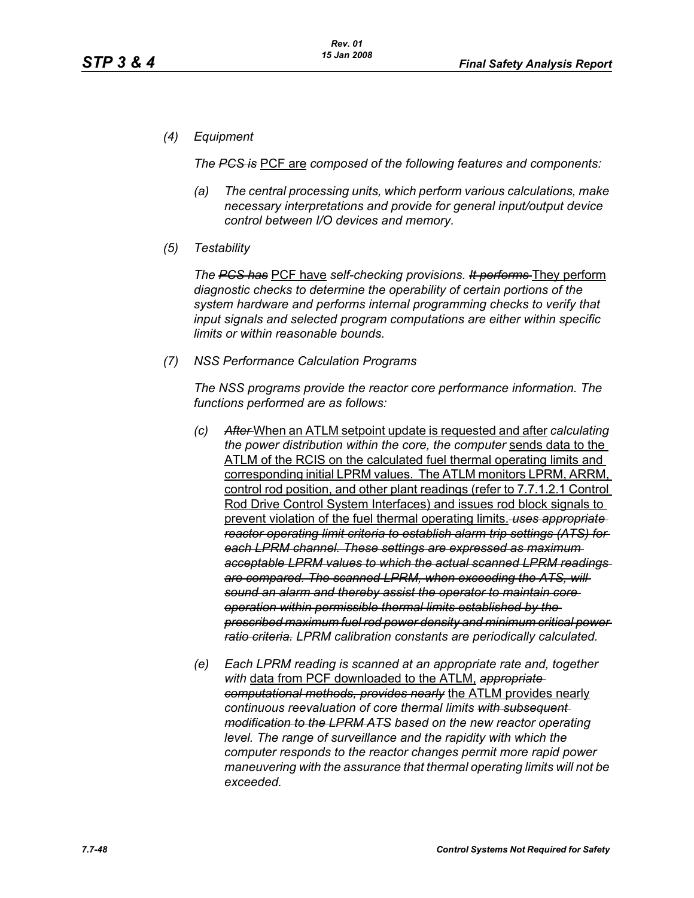*(4) Equipment*

*The PCS is* PCF are *composed of the following features and components:*

- *(a) The central processing units, which perform various calculations, make necessary interpretations and provide for general input/output device control between I/O devices and memory.*
- *(5) Testability*

*The PCS has* PCF have *self-checking provisions. It performs* They perform *diagnostic checks to determine the operability of certain portions of the system hardware and performs internal programming checks to verify that input signals and selected program computations are either within specific limits or within reasonable bounds.*

*(7) NSS Performance Calculation Programs*

*The NSS programs provide the reactor core performance information. The functions performed are as follows:*

- *(c) After* When an ATLM setpoint update is requested and after *calculating the power distribution within the core, the computer* sends data to the ATLM of the RCIS on the calculated fuel thermal operating limits and corresponding initial LPRM values. The ATLM monitors LPRM, ARRM, control rod position, and other plant readings (refer to 7.7.1.2.1 Control Rod Drive Control System Interfaces) and issues rod block signals to prevent violation of the fuel thermal operating limits. *uses appropriate reactor operating limit criteria to establish alarm trip settings (ATS) for each LPRM channel. These settings are expressed as maximum acceptable LPRM values to which the actual scanned LPRM readings are compared. The scanned LPRM, when exceeding the ATS, will sound an alarm and thereby assist the operator to maintain core operation within permissible thermal limits established by the prescribed maximum fuel rod power density and minimum critical power ratio criteria. LPRM calibration constants are periodically calculated.*
- *(e) Each LPRM reading is scanned at an appropriate rate and, together with* data from PCF downloaded to the ATLM, *appropriate computational methods, provides nearly* the ATLM provides nearly *continuous reevaluation of core thermal limits with subsequent modification to the LPRM ATS based on the new reactor operating level. The range of surveillance and the rapidity with which the computer responds to the reactor changes permit more rapid power maneuvering with the assurance that thermal operating limits will not be exceeded.*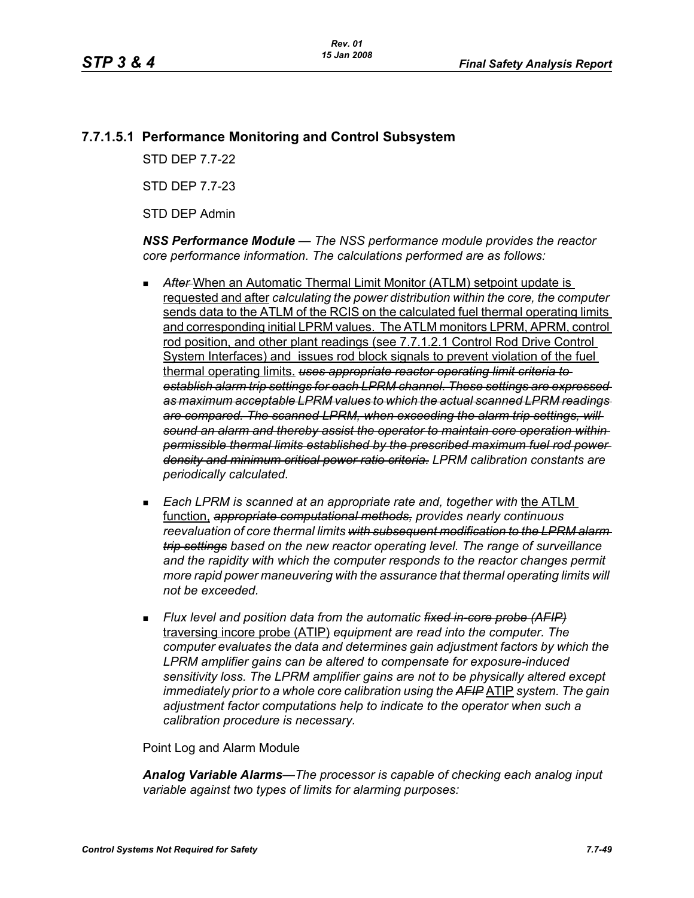# **7.7.1.5.1 Performance Monitoring and Control Subsystem**

STD DEP 7.7-22

STD DEP 7.7-23

STD DEP Admin

*NSS Performance Module — The NSS performance module provides the reactor core performance information. The calculations performed are as follows:*

- After-When an Automatic Thermal Limit Monitor (ATLM) setpoint update is requested and after *calculating the power distribution within the core, the computer*  sends data to the ATLM of the RCIS on the calculated fuel thermal operating limits and corresponding initial LPRM values. The ATLM monitors LPRM, APRM, control rod position, and other plant readings (see 7.7.1.2.1 Control Rod Drive Control System Interfaces) and issues rod block signals to prevent violation of the fuel thermal operating limits. *uses appropriate reactor operating limit criteria to establish alarm trip settings for each LPRM channel. These settings are expressed as maximum acceptable LPRM values to which the actual scanned LPRM readings are compared. The scanned LPRM, when exceeding the alarm trip settings, will sound an alarm and thereby assist the operator to maintain core operation within permissible thermal limits established by the prescribed maximum fuel rod power density and minimum critical power ratio criteria. LPRM calibration constants are periodically calculated.*
- *Each LPRM is scanned at an appropriate rate and, together with* the ATLM function, *appropriate computational methods, provides nearly continuous reevaluation of core thermal limits with subsequent modification to the LPRM alarm trip settings based on the new reactor operating level. The range of surveillance and the rapidity with which the computer responds to the reactor changes permit more rapid power maneuvering with the assurance that thermal operating limits will not be exceeded.*
- *Flux level and position data from the automatic fixed in-core probe (AFIP)* traversing incore probe (ATIP) *equipment are read into the computer. The computer evaluates the data and determines gain adjustment factors by which the LPRM amplifier gains can be altered to compensate for exposure-induced sensitivity loss. The LPRM amplifier gains are not to be physically altered except immediately prior to a whole core calibration using the AFIP* ATIP *system. The gain adjustment factor computations help to indicate to the operator when such a calibration procedure is necessary.*

Point Log and Alarm Module

*Analog Variable Alarms—The processor is capable of checking each analog input variable against two types of limits for alarming purposes:*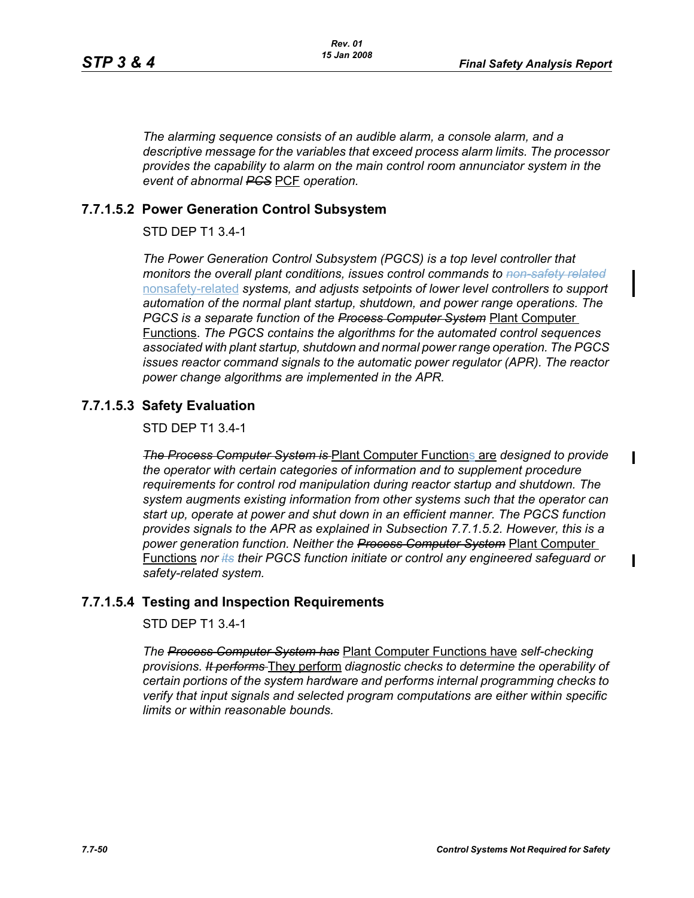$\blacksquare$ 

 $\mathbf I$ 

*The alarming sequence consists of an audible alarm, a console alarm, and a descriptive message for the variables that exceed process alarm limits. The processor provides the capability to alarm on the main control room annunciator system in the event of abnormal PCS* PCF *operation.*

# **7.7.1.5.2 Power Generation Control Subsystem**

STD DEP T1 3.4-1

*The Power Generation Control Subsystem (PGCS) is a top level controller that monitors the overall plant conditions, issues control commands to non-safety related* nonsafety-related *systems, and adjusts setpoints of lower level controllers to support automation of the normal plant startup, shutdown, and power range operations. The PGCS is a separate function of the Process Computer System* Plant Computer Functions. *The PGCS contains the algorithms for the automated control sequences associated with plant startup, shutdown and normal power range operation. The PGCS issues reactor command signals to the automatic power regulator (APR). The reactor power change algorithms are implemented in the APR.*

# **7.7.1.5.3 Safety Evaluation**

STD DEP T1 3.4-1

*The Process Computer System is* Plant Computer Functions are *designed to provide the operator with certain categories of information and to supplement procedure requirements for control rod manipulation during reactor startup and shutdown. The system augments existing information from other systems such that the operator can start up, operate at power and shut down in an efficient manner. The PGCS function provides signals to the APR as explained in Subsection 7.7.1.5.2. However, this is a power generation function. Neither the Process Computer System* Plant Computer Functions *nor its their PGCS function initiate or control any engineered safeguard or safety-related system.*

# **7.7.1.5.4 Testing and Inspection Requirements**

STD DEP T1 3.4-1

*The Process Computer System has* Plant Computer Functions have *self-checking provisions. It performs* They perform *diagnostic checks to determine the operability of certain portions of the system hardware and performs internal programming checks to verify that input signals and selected program computations are either within specific limits or within reasonable bounds.*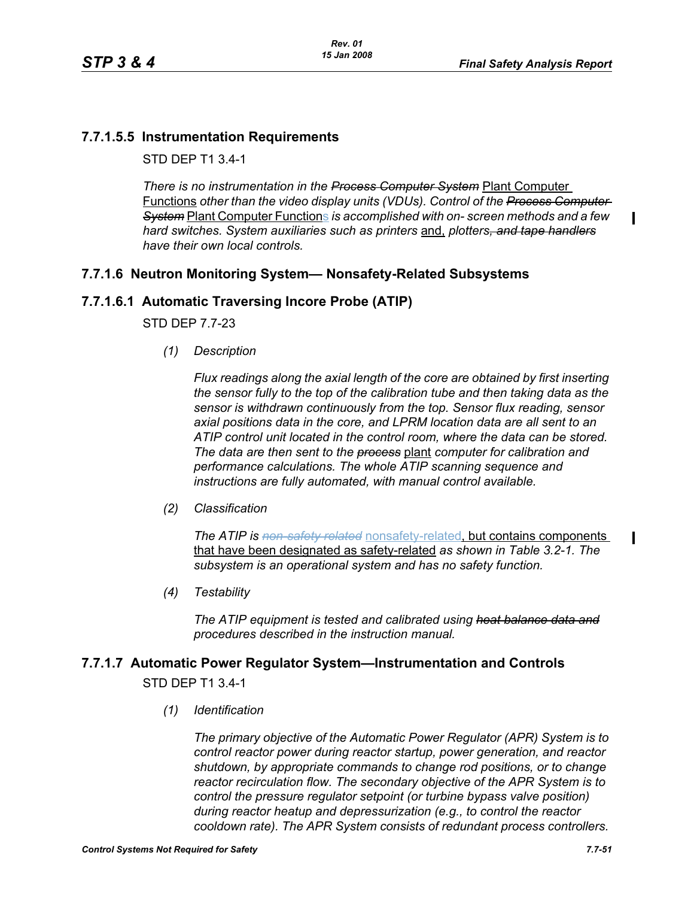$\blacksquare$ 

 $\blacksquare$ 

# **7.7.1.5.5 Instrumentation Requirements**

STD DEP T1 3.4-1

*There is no instrumentation in the Process Computer System* Plant Computer Functions *other than the video display units (VDUs). Control of the Process Computer System* Plant Computer Functions *is accomplished with on- screen methods and a few hard switches. System auxiliaries such as printers* and, *plotters, and tape handlers have their own local controls.*

# **7.7.1.6 Neutron Monitoring System— Nonsafety-Related Subsystems**

# **7.7.1.6.1 Automatic Traversing Incore Probe (ATIP)**

STD DEP 7.7-23

*(1) Description*

*Flux readings along the axial length of the core are obtained by first inserting the sensor fully to the top of the calibration tube and then taking data as the sensor is withdrawn continuously from the top. Sensor flux reading, sensor axial positions data in the core, and LPRM location data are all sent to an ATIP control unit located in the control room, where the data can be stored. The data are then sent to the process* plant *computer for calibration and performance calculations. The whole ATIP scanning sequence and instructions are fully automated, with manual control available.*

*(2) Classification*

*The ATIP is non-safety related* nonsafety-related, but contains components that have been designated as safety-related *as shown in Table 3.2-1. The subsystem is an operational system and has no safety function.*

*(4) Testability*

*The ATIP equipment is tested and calibrated using heat balance data and procedures described in the instruction manual.*

# **7.7.1.7 Automatic Power Regulator System—Instrumentation and Controls**

STD DEP T1 3.4-1

*(1) Identification*

*The primary objective of the Automatic Power Regulator (APR) System is to control reactor power during reactor startup, power generation, and reactor shutdown, by appropriate commands to change rod positions, or to change reactor recirculation flow. The secondary objective of the APR System is to control the pressure regulator setpoint (or turbine bypass valve position) during reactor heatup and depressurization (e.g., to control the reactor cooldown rate). The APR System consists of redundant process controllers.*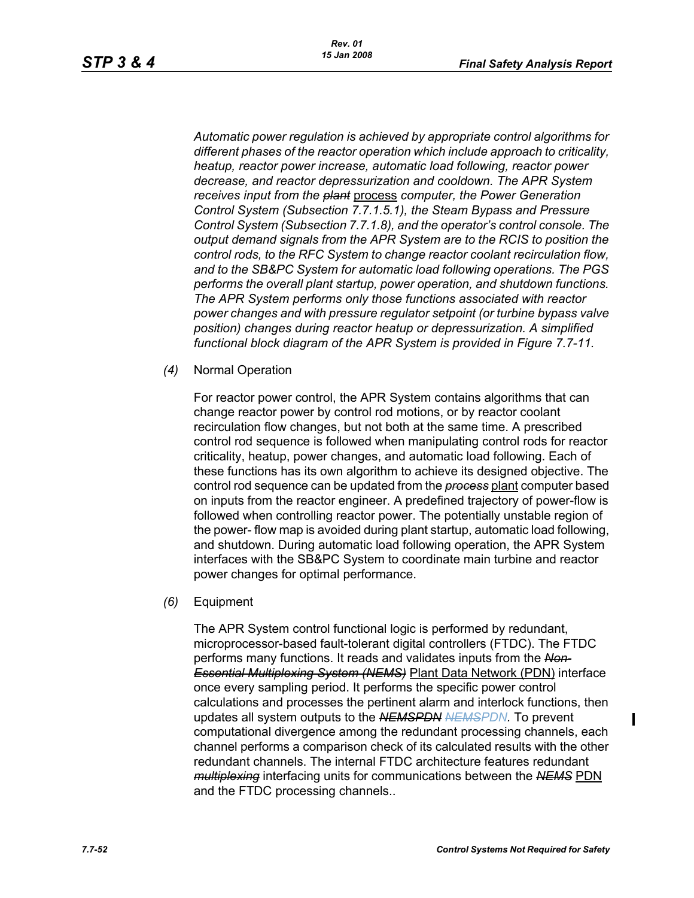*Automatic power regulation is achieved by appropriate control algorithms for different phases of the reactor operation which include approach to criticality, heatup, reactor power increase, automatic load following, reactor power decrease, and reactor depressurization and cooldown. The APR System receives input from the plant* process *computer, the Power Generation Control System (Subsection 7.7.1.5.1), the Steam Bypass and Pressure Control System (Subsection 7.7.1.8), and the operator's control console. The output demand signals from the APR System are to the RCIS to position the control rods, to the RFC System to change reactor coolant recirculation flow, and to the SB&PC System for automatic load following operations. The PGS performs the overall plant startup, power operation, and shutdown functions. The APR System performs only those functions associated with reactor power changes and with pressure regulator setpoint (or turbine bypass valve position) changes during reactor heatup or depressurization. A simplified functional block diagram of the APR System is provided in Figure 7.7-11.*

*(4)* Normal Operation

For reactor power control, the APR System contains algorithms that can change reactor power by control rod motions, or by reactor coolant recirculation flow changes, but not both at the same time. A prescribed control rod sequence is followed when manipulating control rods for reactor criticality, heatup, power changes, and automatic load following. Each of these functions has its own algorithm to achieve its designed objective. The control rod sequence can be updated from the *process* plant computer based on inputs from the reactor engineer. A predefined trajectory of power-flow is followed when controlling reactor power. The potentially unstable region of the power- flow map is avoided during plant startup, automatic load following, and shutdown. During automatic load following operation, the APR System interfaces with the SB&PC System to coordinate main turbine and reactor power changes for optimal performance.

*(6)* Equipment

The APR System control functional logic is performed by redundant, microprocessor-based fault-tolerant digital controllers (FTDC). The FTDC performs many functions. It reads and validates inputs from the *Non-Essential Multiplexing System (NEMS)* Plant Data Network (PDN) interface once every sampling period. It performs the specific power control calculations and processes the pertinent alarm and interlock functions, then updates all system outputs to the *NEMSPDN NEMSPDN.* To prevent computational divergence among the redundant processing channels, each channel performs a comparison check of its calculated results with the other redundant channels. The internal FTDC architecture features redundant *multiplexing* interfacing units for communications between the *NEMS* PDN and the FTDC processing channels..

 $\blacksquare$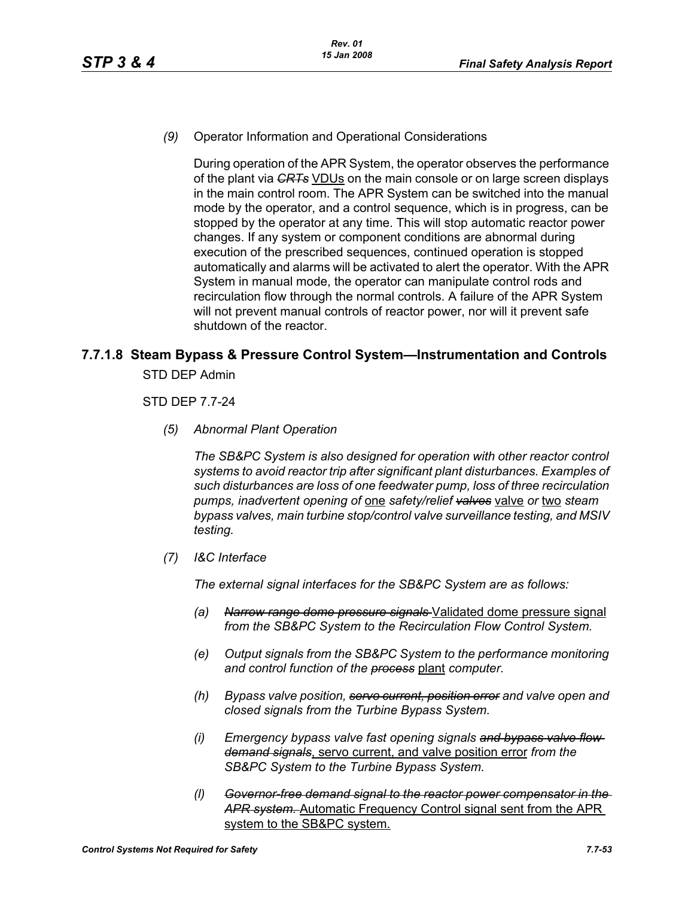*(9)* Operator Information and Operational Considerations

During operation of the APR System, the operator observes the performance of the plant via *CRTs* VDUs on the main console or on large screen displays in the main control room. The APR System can be switched into the manual mode by the operator, and a control sequence, which is in progress, can be stopped by the operator at any time. This will stop automatic reactor power changes. If any system or component conditions are abnormal during execution of the prescribed sequences, continued operation is stopped automatically and alarms will be activated to alert the operator. With the APR System in manual mode, the operator can manipulate control rods and recirculation flow through the normal controls. A failure of the APR System will not prevent manual controls of reactor power, nor will it prevent safe shutdown of the reactor.

# **7.7.1.8 Steam Bypass & Pressure Control System—Instrumentation and Controls**

STD DEP Admin

STD DEP 7.7-24

*(5) Abnormal Plant Operation*

*The SB&PC System is also designed for operation with other reactor control systems to avoid reactor trip after significant plant disturbances. Examples of such disturbances are loss of one feedwater pump, loss of three recirculation pumps, inadvertent opening of* one *safety/relief valves* valve *or* two *steam bypass valves, main turbine stop/control valve surveillance testing, and MSIV testing.*

*(7) I&C Interface*

*The external signal interfaces for the SB&PC System are as follows:*

- *(a) Narrow range dome pressure signals* Validated dome pressure signal *from the SB&PC System to the Recirculation Flow Control System.*
- *(e) Output signals from the SB&PC System to the performance monitoring and control function of the process* plant *computer.*
- *(h) Bypass valve position, servo current, position error and valve open and closed signals from the Turbine Bypass System.*
- *(i) Emergency bypass valve fast opening signals and bypass valve flow demand signals*, servo current, and valve position error *from the SB&PC System to the Turbine Bypass System.*
- *(l) Governor-free demand signal to the reactor power compensator in the APR system.* Automatic Frequency Control signal sent from the APR system to the SB&PC system.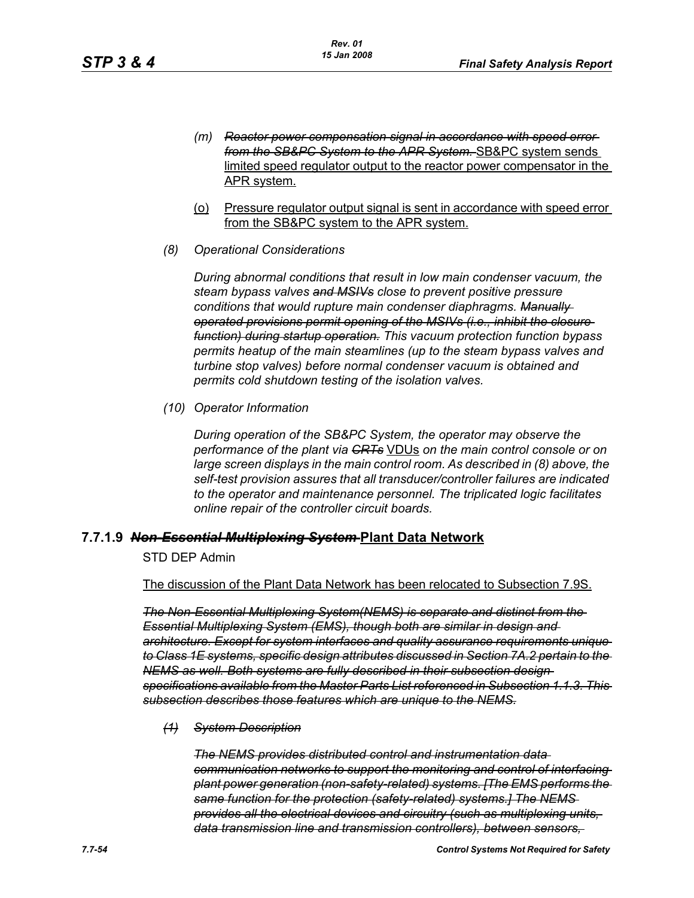- *(m) Reactor power compensation signal in accordance with speed error from the SB&PC System to the APR System.* SB&PC system sends limited speed regulator output to the reactor power compensator in the APR system.
- (o) Pressure regulator output signal is sent in accordance with speed error from the SB&PC system to the APR system.
- *(8) Operational Considerations*

*During abnormal conditions that result in low main condenser vacuum, the steam bypass valves and MSIVs close to prevent positive pressure conditions that would rupture main condenser diaphragms. Manually operated provisions permit opening of the MSIVs (i.e., inhibit the closure function) during startup operation. This vacuum protection function bypass permits heatup of the main steamlines (up to the steam bypass valves and turbine stop valves) before normal condenser vacuum is obtained and permits cold shutdown testing of the isolation valves.*

*(10) Operator Information*

*During operation of the SB&PC System, the operator may observe the performance of the plant via CRTs* VDUs *on the main control console or on large screen displays in the main control room. As described in (8) above, the self-test provision assures that all transducer/controller failures are indicated to the operator and maintenance personnel. The triplicated logic facilitates online repair of the controller circuit boards.*

#### **7.7.1.9** *Non-Essential Multiplexing System* **Plant Data Network**

## STD DEP Admin

The discussion of the Plant Data Network has been relocated to Subsection 7.9S.

*The Non-Essential Multiplexing System(NEMS) is separate and distinct from the Essential Multiplexing System (EMS), though both are similar in design and architecture. Except for system interfaces and quality assurance requirements unique to Class 1E systems, specific design attributes discussed in Section 7A.2 pertain to the NEMS as well. Both systems are fully described in their subsection design specifications available from the Master Parts List referenced in Subsection 1.1.3. This subsection describes those features which are unique to the NEMS.*

*(1) System Description*

*The NEMS provides distributed control and instrumentation data communication networks to support the monitoring and control of interfacing plant power generation (non-safety-related) systems. [The EMS performs the same function for the protection (safety-related) systems.] The NEMS provides all the electrical devices and circuitry (such as multiplexing units, data transmission line and transmission controllers), between sensors,*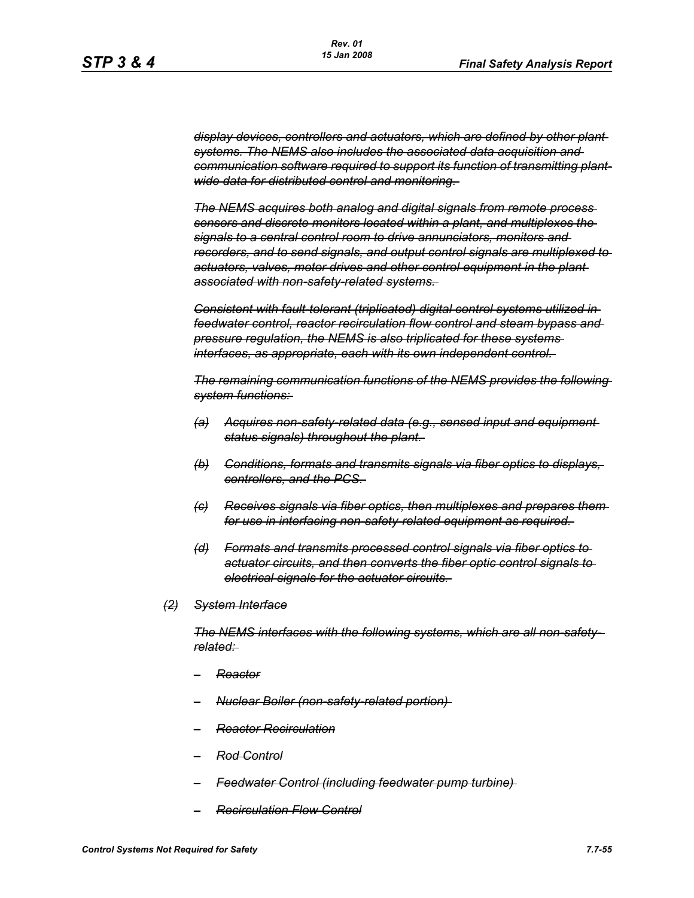*display devices, controllers and actuators, which are defined by other plant systems. The NEMS also includes the associated data acquisition and communication software required to support its function of transmitting plantwide data for distributed control and monitoring.* 

*The NEMS acquires both analog and digital signals from remote process sensors and discrete monitors located within a plant, and multiplexes the signals to a central control room to drive annunciators, monitors and recorders, and to send signals, and output control signals are multiplexed to actuators, valves, motor drives and other control equipment in the plant associated with non-safety-related systems.* 

*Consistent with fault-tolerant (triplicated) digital control systems utilized in feedwater control, reactor recirculation flow control and steam bypass and pressure regulation, the NEMS is also triplicated for these systems interfaces, as appropriate, each with its own independent control.* 

*The remaining communication functions of the NEMS provides the following system functions:* 

- *(a) Acquires non-safety-related data (e.g., sensed input and equipment status signals) throughout the plant.*
- *(b) Conditions, formats and transmits signals via fiber optics to displays, controllers, and the PCS.*
- *(c) Receives signals via fiber optics, then multiplexes and prepares them for use in interfacing non-safety-related equipment as required.*
- *(d) Formats and transmits processed control signals via fiber optics to actuator circuits, and then converts the fiber optic control signals to electrical signals for the actuator circuits.*
- *(2) System Interface*

*The NEMS interfaces with the following systems, which are all non-safetyrelated:* 

- *– Reactor*
- *– Nuclear Boiler (non-safety-related portion)*
- *– Reactor Recirculation*
- *– Rod Control*
- *– Feedwater Control (including feedwater pump turbine)*
- *– Recirculation Flow Control*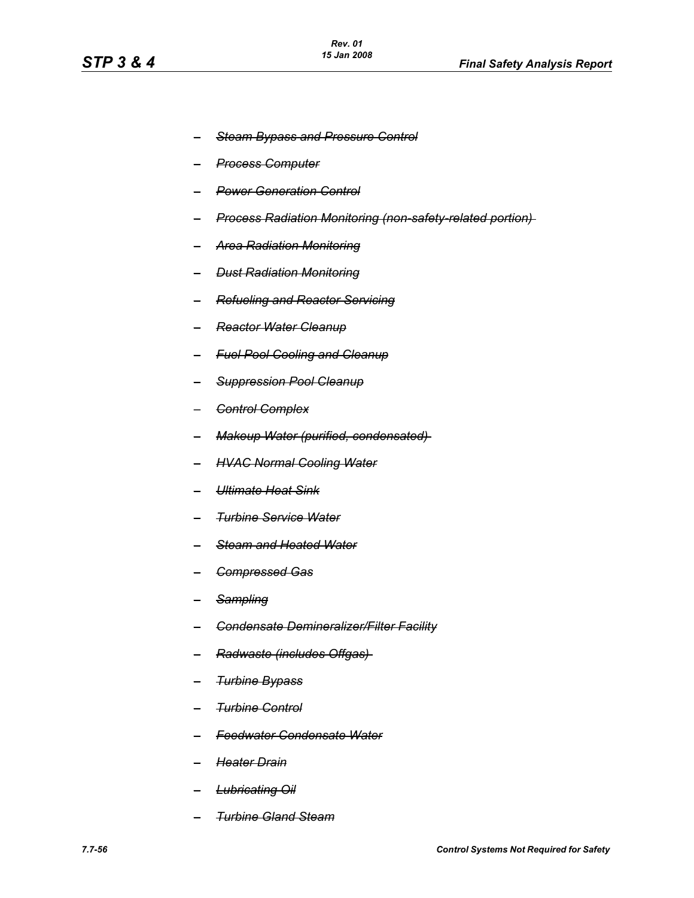- *– Steam Bypass and Pressure Control*
- *– Process Computer*
- *– Power Generation Control*
- *– Process Radiation Monitoring (non-safety-related portion)*
- *– Area Radiation Monitoring*
- *– Dust Radiation Monitoring*
- *– Refueling and Reactor Servicing*
- *– Reactor Water Cleanup*
- *– Fuel Pool Cooling and Cleanup*
- *– Suppression Pool Cleanup*
- *– Control Complex*
- *– Makeup Water (purified, condensated)*
- *– HVAC Normal Cooling Water*
- *– Ultimate Heat Sink*
- *– Turbine Service Water*
- *– Steam and Heated Water*
- *– Compressed Gas*
- *– Sampling*
- *– Condensate Demineralizer/Filter Facility*
- *– Radwaste (includes Offgas)*
- *– Turbine Bypass*
- *– Turbine Control*
- *– Feedwater Condensate Water*
- *– Heater Drain*
- *– Lubricating Oil*
- *– Turbine Gland Steam*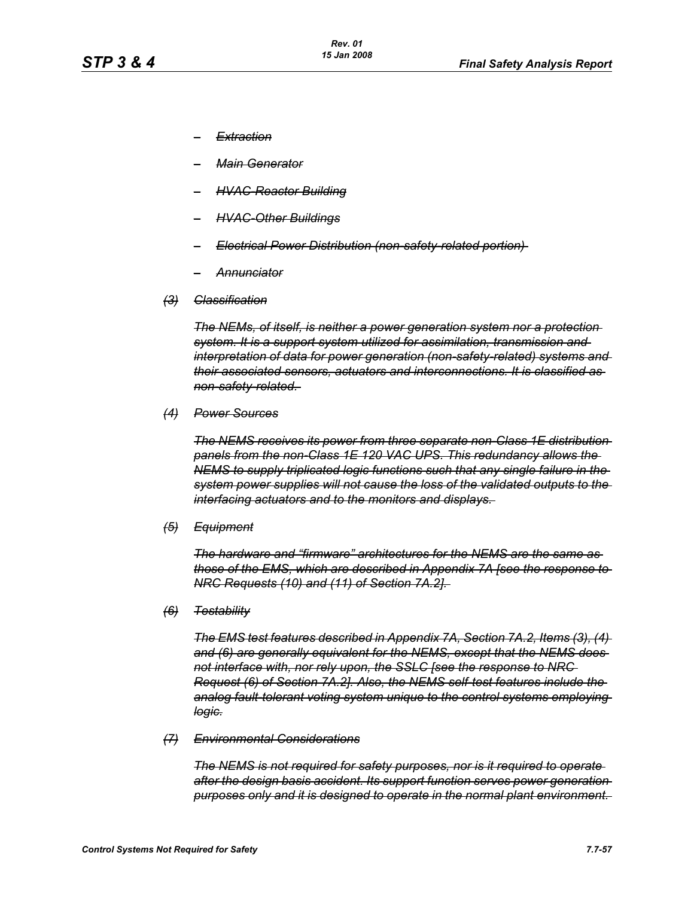- *– Extraction*
- *– Main Generator*
- *– HVAC-Reactor Building*
- *– HVAC-Other Buildings*
- *– Electrical Power Distribution (non-safety-related portion)*
- *– Annunciator*
- *(3) Classification*

*The NEMs, of itself, is neither a power generation system nor a protection system. It is a support system utilized for assimilation, transmission and interpretation of data for power generation (non-safety-related) systems and their associated sensors, actuators and interconnections. It is classified as non-safety-related.* 

*(4) Power Sources*

*The NEMS receives its power from three separate non-Class 1E distribution panels from the non-Class 1E 120 VAC UPS. This redundancy allows the NEMS to supply triplicated logic functions such that any single failure in the system power supplies will not cause the loss of the validated outputs to the interfacing actuators and to the monitors and displays.* 

*(5) Equipment*

*The hardware and "firmware" architectures for the NEMS are the same as those of the EMS, which are described in Appendix 7A [see the response to NRC Requests (10) and (11) of Section 7A.2].* 

*(6) Testability*

*The EMS test features described in Appendix 7A, Section 7A.2, Items (3), (4) and (6) are generally equivalent for the NEMS, except that the NEMS does not interface with, nor rely upon, the SSLC [see the response to NRC Request (6) of Section 7A.2]. Also, the NEMS self-test features include the analog fault-tolerant voting system unique to the control systems employing logic.*

*(7) Environmental Considerations*

*The NEMS is not required for safety purposes, nor is it required to operate after the design basis accident. Its support function serves power generation purposes only and it is designed to operate in the normal plant environment.*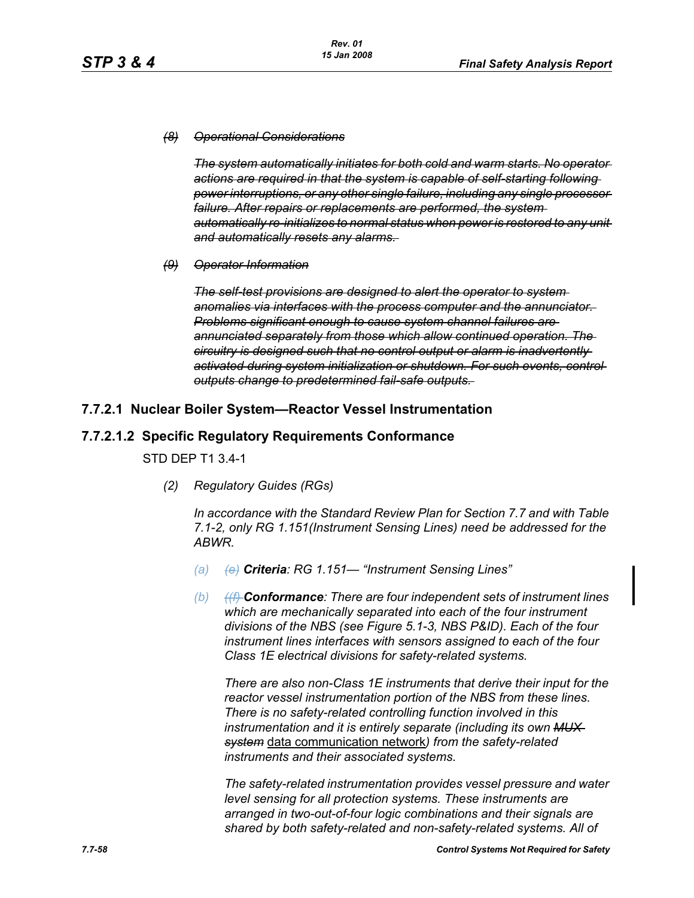#### *(8) Operational Considerations*

*The system automatically initiates for both cold and warm starts. No operator actions are required in that the system is capable of self-starting following power interruptions, or any other single failure, including any single processor failure. After repairs or replacements are performed, the system automatically re-initializes to normal status when power is restored to any unit and automatically resets any alarms.* 

*(9) Operator Information*

*The self-test provisions are designed to alert the operator to system anomalies via interfaces with the process computer and the annunciator. Problems significant enough to cause system channel failures are annunciated separately from those which allow continued operation. The circuitry is designed such that no control output or alarm is inadvertently activated during system initialization or shutdown. For such events, control outputs change to predetermined fail-safe outputs.* 

## **7.7.2.1 Nuclear Boiler System—Reactor Vessel Instrumentation**

## **7.7.2.1.2 Specific Regulatory Requirements Conformance**

STD DEP T1 3.4-1

*(2) Regulatory Guides (RGs)*

*In accordance with the Standard Review Plan for Section 7.7 and with Table 7.1-2, only RG 1.151(Instrument Sensing Lines) need be addressed for the ABWR.*

- *(a) (e) Criteria: RG 1.151— "Instrument Sensing Lines"*
- *(b) ((f) Conformance: There are four independent sets of instrument lines which are mechanically separated into each of the four instrument divisions of the NBS (see Figure 5.1-3, NBS P&ID). Each of the four instrument lines interfaces with sensors assigned to each of the four Class 1E electrical divisions for safety-related systems.*

*There are also non-Class 1E instruments that derive their input for the reactor vessel instrumentation portion of the NBS from these lines. There is no safety-related controlling function involved in this instrumentation and it is entirely separate (including its own MUX system* data communication network*) from the safety-related instruments and their associated systems.*

*The safety-related instrumentation provides vessel pressure and water level sensing for all protection systems. These instruments are arranged in two-out-of-four logic combinations and their signals are shared by both safety-related and non-safety-related systems. All of*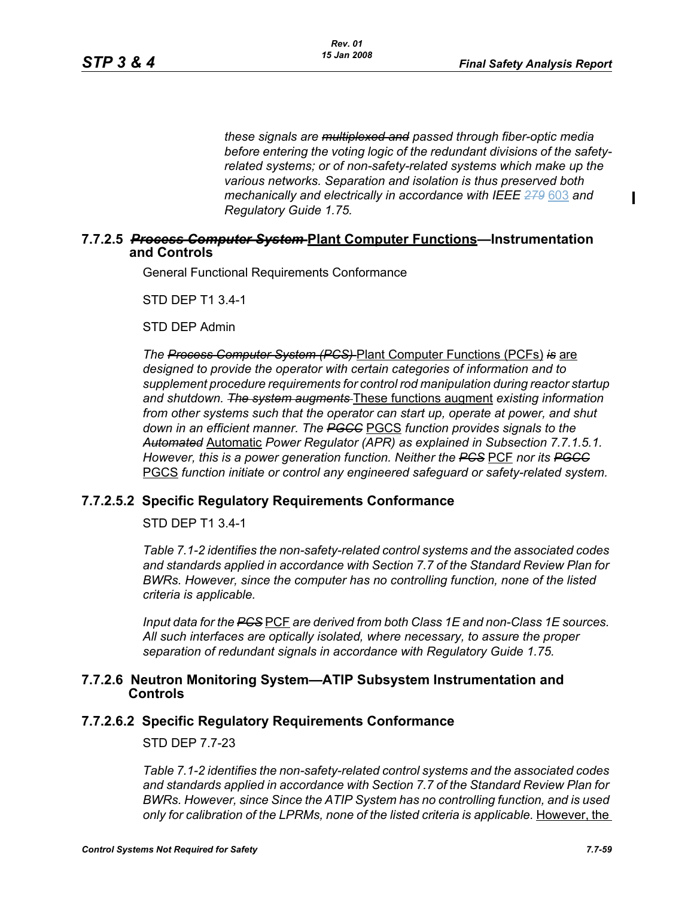П

*these signals are multiplexed and passed through fiber-optic media before entering the voting logic of the redundant divisions of the safetyrelated systems; or of non-safety-related systems which make up the various networks. Separation and isolation is thus preserved both mechanically and electrically in accordance with IEEE 279* 603 *and Regulatory Guide 1.75.*

## **7.7.2.5** *Process Computer System* **Plant Computer Functions—Instrumentation and Controls**

General Functional Requirements Conformance

STD DEP T1 3.4-1

STD DEP Admin

*The Process Computer System (PCS)* Plant Computer Functions (PCFs) *is* are *designed to provide the operator with certain categories of information and to supplement procedure requirements for control rod manipulation during reactor startup and shutdown. The system augments* These functions augment *existing information from other systems such that the operator can start up, operate at power, and shut down in an efficient manner. The PGCC* PGCS *function provides signals to the Automated* Automatic *Power Regulator (APR) as explained in Subsection 7.7.1.5.1. However, this is a power generation function. Neither the PCS* PCF *nor its PGCC* PGCS *function initiate or control any engineered safeguard or safety-related system.*

# **7.7.2.5.2 Specific Regulatory Requirements Conformance**

STD DEP T1 3.4-1

*Table 7.1-2 identifies the non-safety-related control systems and the associated codes and standards applied in accordance with Section 7.7 of the Standard Review Plan for BWRs. However, since the computer has no controlling function, none of the listed criteria is applicable.*

*Input data for the PCS* PCF *are derived from both Class 1E and non-Class 1E sources. All such interfaces are optically isolated, where necessary, to assure the proper separation of redundant signals in accordance with Regulatory Guide 1.75.*

## **7.7.2.6 Neutron Monitoring System—ATIP Subsystem Instrumentation and Controls**

## **7.7.2.6.2 Specific Regulatory Requirements Conformance**

STD DEP 7.7-23

*Table 7.1-2 identifies the non-safety-related control systems and the associated codes and standards applied in accordance with Section 7.7 of the Standard Review Plan for BWRs. However, since Since the ATIP System has no controlling function, and is used only for calibration of the LPRMs, none of the listed criteria is applicable.* However, the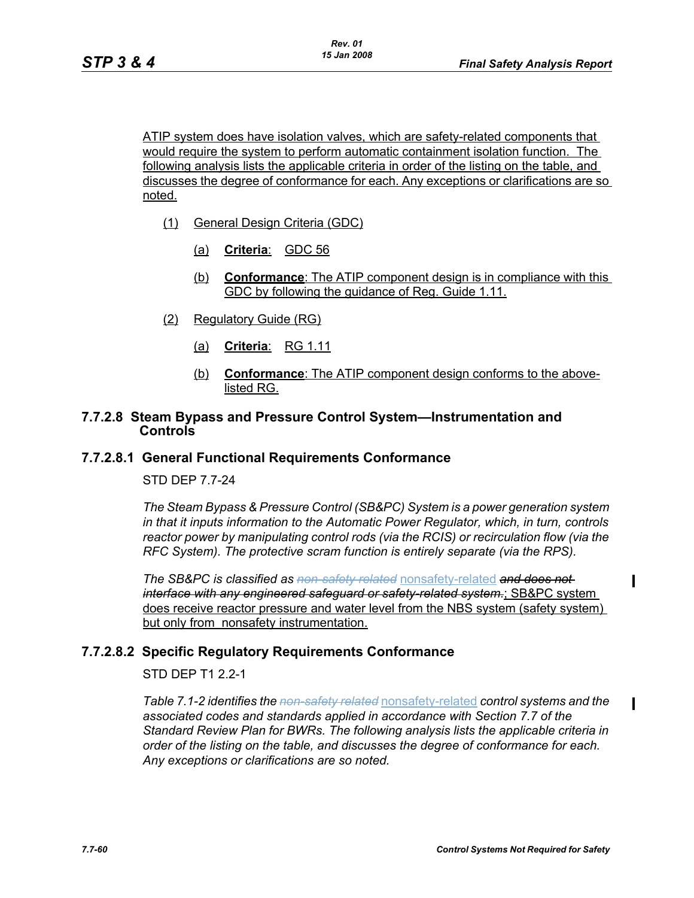ATIP system does have isolation valves, which are safety-related components that would require the system to perform automatic containment isolation function. The following analysis lists the applicable criteria in order of the listing on the table, and discusses the degree of conformance for each. Any exceptions or clarifications are so noted.

- (1) General Design Criteria (GDC)
	- (a) **Criteria**: GDC 56
	- (b) **Conformance**: The ATIP component design is in compliance with this GDC by following the guidance of Reg. Guide 1.11.
- (2) Regulatory Guide (RG)
	- (a) **Criteria**: RG 1.11
	- (b) **Conformance**: The ATIP component design conforms to the abovelisted RG.

### **7.7.2.8 Steam Bypass and Pressure Control System—Instrumentation and Controls**

#### **7.7.2.8.1 General Functional Requirements Conformance**

STD DEP 7.7-24

*The Steam Bypass & Pressure Control (SB&PC) System is a power generation system in that it inputs information to the Automatic Power Regulator, which, in turn, controls reactor power by manipulating control rods (via the RCIS) or recirculation flow (via the RFC System). The protective scram function is entirely separate (via the RPS).*

*The SB&PC is classified as non-safety related* nonsafety-related *and does not interface with any engineered safeguard or safety-related system.*; SB&PC system does receive reactor pressure and water level from the NBS system (safety system) but only from nonsafety instrumentation.

## **7.7.2.8.2 Specific Regulatory Requirements Conformance**

STD DEP T1 2.2-1

*Table 7.1-2 identifies the non-safety related* nonsafety-related *control systems and the associated codes and standards applied in accordance with Section 7.7 of the Standard Review Plan for BWRs. The following analysis lists the applicable criteria in order of the listing on the table, and discusses the degree of conformance for each. Any exceptions or clarifications are so noted.*

П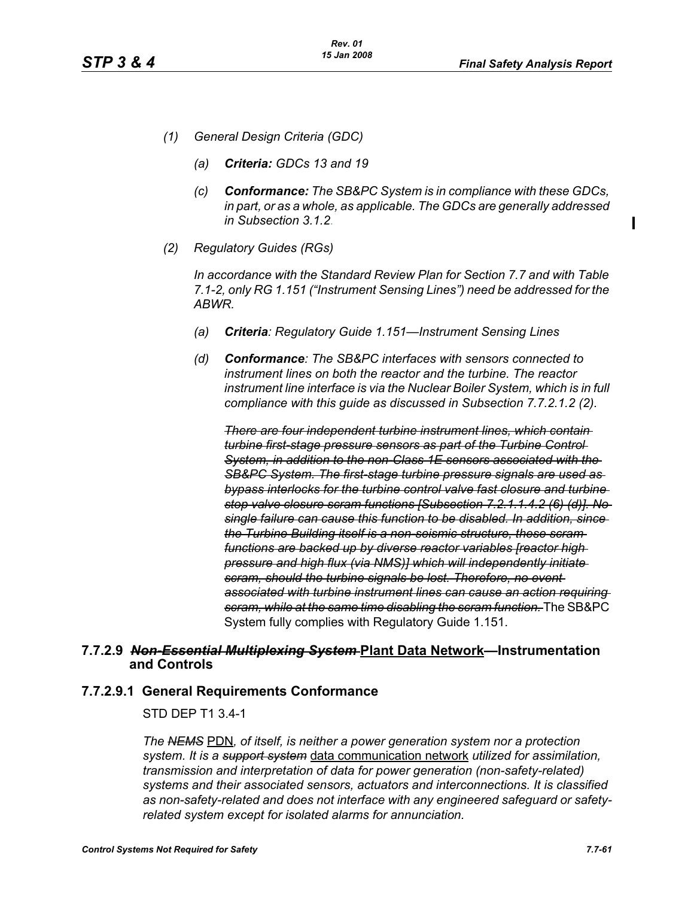- *(1) General Design Criteria (GDC)*
	- *(a) Criteria: GDCs 13 and 19*
	- *(c) Conformance: The SB&PC System is in compliance with these GDCs, in part, or as a whole, as applicable. The GDCs are generally addressed in Subsection 3.1.2.*
- *(2) Regulatory Guides (RGs)*

*In accordance with the Standard Review Plan for Section 7.7 and with Table 7.1-2, only RG 1.151 ("Instrument Sensing Lines") need be addressed for the ABWR.*

- *(a) Criteria: Regulatory Guide 1.151—Instrument Sensing Lines*
- *(d) Conformance: The SB&PC interfaces with sensors connected to instrument lines on both the reactor and the turbine. The reactor instrument line interface is via the Nuclear Boiler System, which is in full compliance with this guide as discussed in Subsection 7.7.2.1.2 (2).*

*There are four independent turbine instrument lines, which contain turbine first-stage pressure sensors as part of the Turbine Control System, in addition to the non-Class 1E sensors associated with the SB&PC System. The first-stage turbine pressure signals are used as bypass interlocks for the turbine control valve fast closure and turbine stop valve closure scram functions [Subsection 7.2.1.1.4.2 (6) (d)]. No single failure can cause this function to be disabled. In addition, since the Turbine Building itself is a non-seismic structure, these scram functions are backed up by diverse reactor variables [reactor high pressure and high flux (via NMS)] which will independently initiate scram, should the turbine signals be lost. Therefore, no event associated with turbine instrument lines can cause an action requiring scram, while at the same time disabling the scram function.* The SB&PC System fully complies with Regulatory Guide 1.151.

## **7.7.2.9** *Non-Essential Multiplexing System* **Plant Data Network—Instrumentation and Controls**

#### **7.7.2.9.1 General Requirements Conformance**

STD DEP T1 3.4-1

*The NEMS* PDN*, of itself, is neither a power generation system nor a protection system. It is a support system* data communication network *utilized for assimilation, transmission and interpretation of data for power generation (non-safety-related) systems and their associated sensors, actuators and interconnections. It is classified as non-safety-related and does not interface with any engineered safeguard or safetyrelated system except for isolated alarms for annunciation.*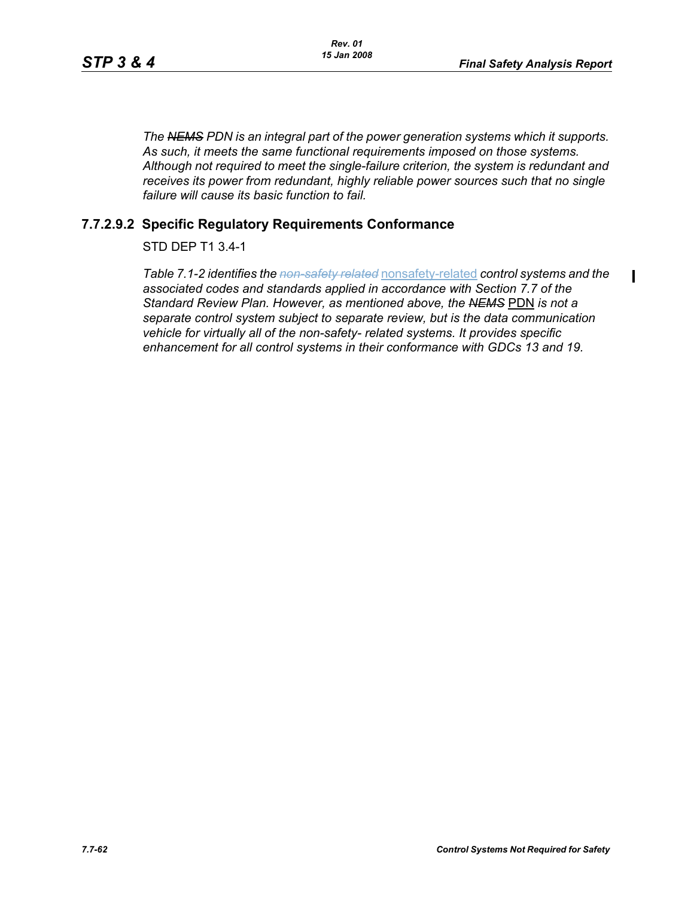$\blacksquare$ 

*The NEMS PDN is an integral part of the power generation systems which it supports. As such, it meets the same functional requirements imposed on those systems. Although not required to meet the single-failure criterion, the system is redundant and receives its power from redundant, highly reliable power sources such that no single failure will cause its basic function to fail.*

# **7.7.2.9.2 Specific Regulatory Requirements Conformance**

# STD DEP T1 3.4-1

*Table 7.1-2 identifies the non-safety related* nonsafety-related *control systems and the associated codes and standards applied in accordance with Section 7.7 of the Standard Review Plan. However, as mentioned above, the NEMS* PDN *is not a separate control system subject to separate review, but is the data communication vehicle for virtually all of the non-safety- related systems. It provides specific enhancement for all control systems in their conformance with GDCs 13 and 19.*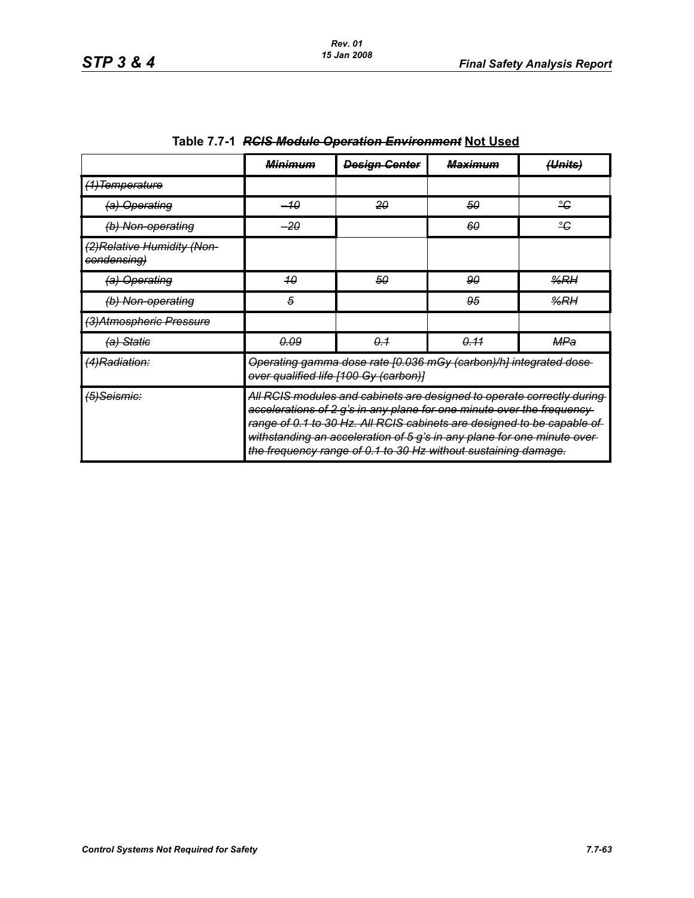|                                            | <b>Minimum</b>                                                                                                                                                                                                                                                                                                                                                          | <b>Design Center</b> | <del>Maximum</del> | ( <del>Units)</del> |  |
|--------------------------------------------|-------------------------------------------------------------------------------------------------------------------------------------------------------------------------------------------------------------------------------------------------------------------------------------------------------------------------------------------------------------------------|----------------------|--------------------|---------------------|--|
| (1) Temperature                            |                                                                                                                                                                                                                                                                                                                                                                         |                      |                    |                     |  |
| (a) Operating                              | –10                                                                                                                                                                                                                                                                                                                                                                     | 20                   | 50                 | ÷                   |  |
| (b) Non-operating                          | $-20$                                                                                                                                                                                                                                                                                                                                                                   |                      | 60                 | ≗€                  |  |
| (2) Relative Humidity (Non-<br>condensing) |                                                                                                                                                                                                                                                                                                                                                                         |                      |                    |                     |  |
| (a) Operating                              | 40                                                                                                                                                                                                                                                                                                                                                                      | 50                   | 90                 | %RH                 |  |
| (b) Non-operating                          | 5                                                                                                                                                                                                                                                                                                                                                                       |                      | 95                 | %RH                 |  |
| (3) Atmospheric Pressure                   |                                                                                                                                                                                                                                                                                                                                                                         |                      |                    |                     |  |
| (a) Statie                                 | <u>0.09</u>                                                                                                                                                                                                                                                                                                                                                             | 0.1                  | 0.11               | MPa                 |  |
| (4)Radiation:                              | Operating gamma dose rate [0.036 mGy (carbon)/h] integrated dose-<br>over qualified life [100 Gy (carbon)]                                                                                                                                                                                                                                                              |                      |                    |                     |  |
| <del>(5)Seismic:</del>                     | All RCIS modules and cabinets are designed to operate correctly during<br>accelerations of 2 g's in any plane for one minute over the frequency-<br>range of 0.1 to 30 Hz. All RCIS cabinets are designed to be capable of<br>withstanding an acceleration of 5 g's in any plane for one minute over-<br>the frequency range of 0.1 to 30 Hz without sustaining damage. |                      |                    |                     |  |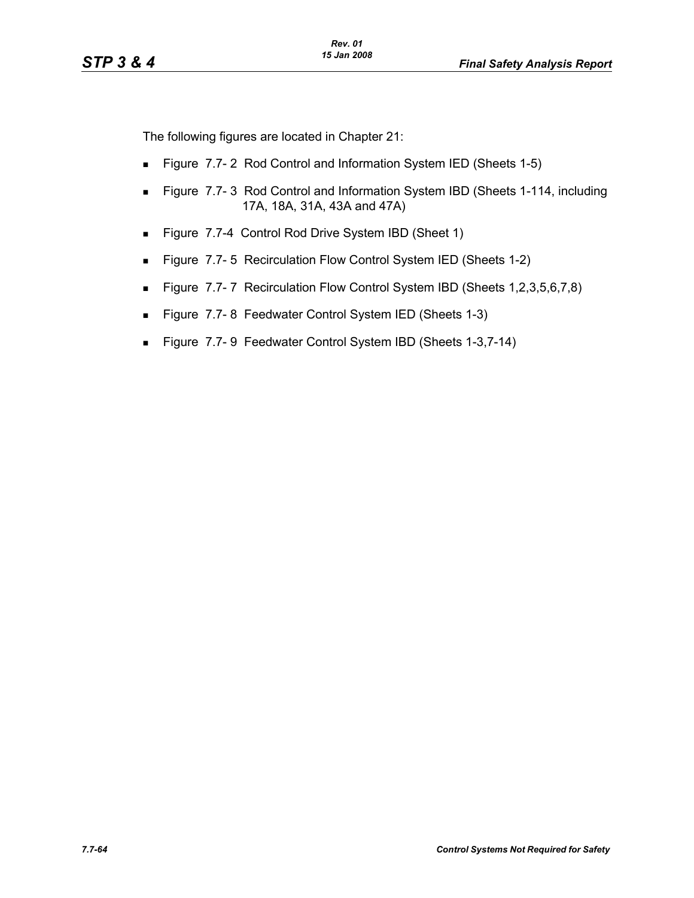The following figures are located in Chapter 21:

- **Figure 7.7-2 Rod Control and Information System IED (Sheets 1-5)**
- Figure 7.7-3 Rod Control and Information System IBD (Sheets 1-114, including 17A, 18A, 31A, 43A and 47A)
- Figure 7.7-4 Control Rod Drive System IBD (Sheet 1)
- **Figure 7.7-5 Recirculation Flow Control System IED (Sheets 1-2)**
- Figure 7.7-7 Recirculation Flow Control System IBD (Sheets 1,2,3,5,6,7,8)
- Figure 7.7-8 Feedwater Control System IED (Sheets 1-3)
- Figure 7.7-9 Feedwater Control System IBD (Sheets 1-3,7-14)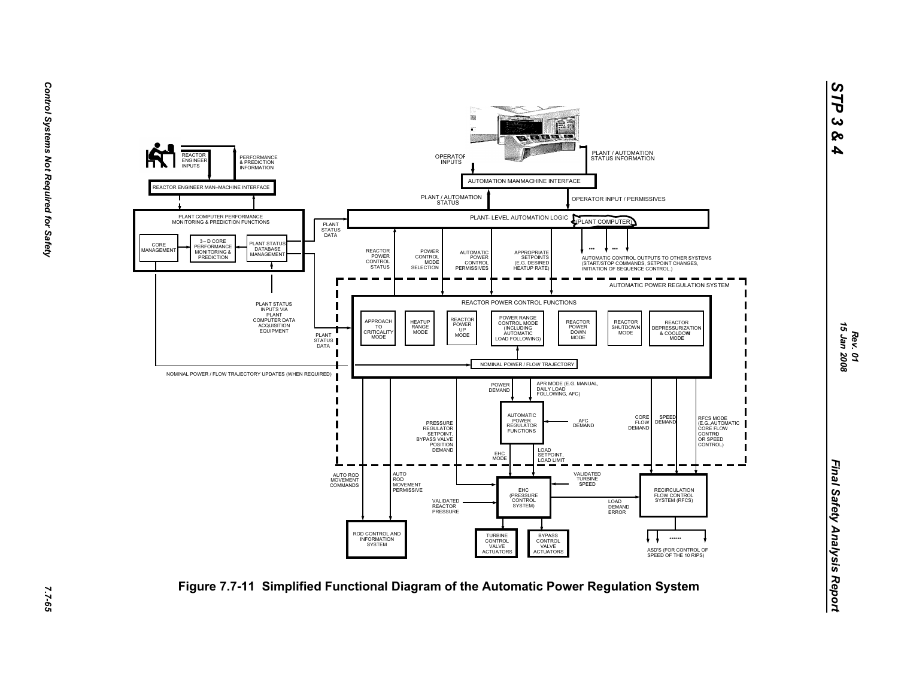

7.7-65

*STP 3 & 4*